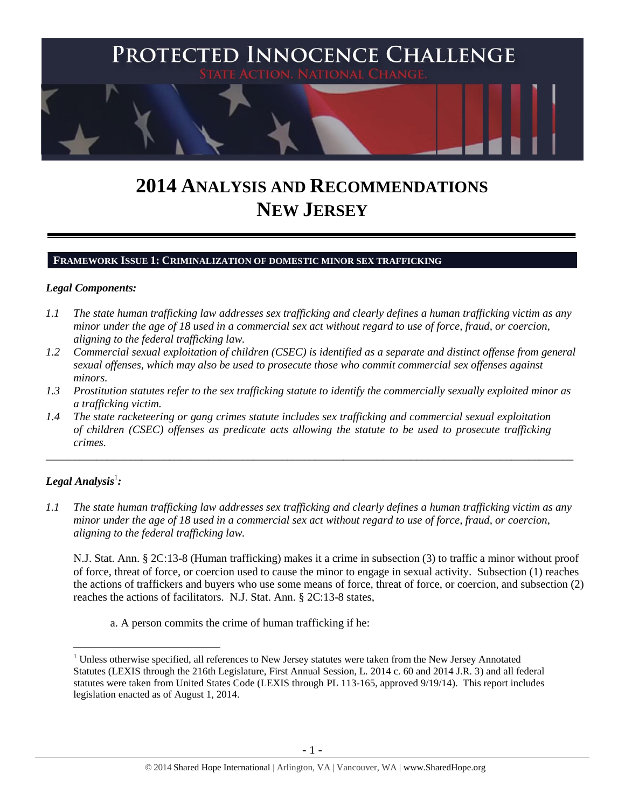

# **2014 ANALYSIS AND RECOMMENDATIONS NEW JERSEY**

### **FRAMEWORK ISSUE 1: CRIMINALIZATION OF DOMESTIC MINOR SEX TRAFFICKING**

#### *Legal Components:*

- *1.1 The state human trafficking law addresses sex trafficking and clearly defines a human trafficking victim as any minor under the age of 18 used in a commercial sex act without regard to use of force, fraud, or coercion, aligning to the federal trafficking law.*
- *1.2 Commercial sexual exploitation of children (CSEC) is identified as a separate and distinct offense from general sexual offenses, which may also be used to prosecute those who commit commercial sex offenses against minors.*
- *1.3 Prostitution statutes refer to the sex trafficking statute to identify the commercially sexually exploited minor as a trafficking victim.*

\_\_\_\_\_\_\_\_\_\_\_\_\_\_\_\_\_\_\_\_\_\_\_\_\_\_\_\_\_\_\_\_\_\_\_\_\_\_\_\_\_\_\_\_\_\_\_\_\_\_\_\_\_\_\_\_\_\_\_\_\_\_\_\_\_\_\_\_\_\_\_\_\_\_\_\_\_\_\_\_\_\_\_\_\_\_\_\_\_\_\_\_\_\_

*1.4 The state racketeering or gang crimes statute includes sex trafficking and commercial sexual exploitation of children (CSEC) offenses as predicate acts allowing the statute to be used to prosecute trafficking crimes.* 

# $\bm{L}$ egal Analysis $^1$ :

 $\overline{a}$ 

*1.1 The state human trafficking law addresses sex trafficking and clearly defines a human trafficking victim as any minor under the age of 18 used in a commercial sex act without regard to use of force, fraud, or coercion, aligning to the federal trafficking law.*

N.J. Stat. Ann. § 2C:13-8 (Human trafficking) makes it a crime in subsection (3) to traffic a minor without proof of force, threat of force, or coercion used to cause the minor to engage in sexual activity. Subsection (1) reaches the actions of traffickers and buyers who use some means of force, threat of force, or coercion, and subsection (2) reaches the actions of facilitators. N.J. Stat. Ann. § 2C:13-8 states,

a. A person commits the crime of human trafficking if he:

 $<sup>1</sup>$  Unless otherwise specified, all references to New Jersey statutes were taken from the New Jersey Annotated</sup> Statutes (LEXIS through the 216th Legislature, First Annual Session, L. 2014 c. 60 and 2014 J.R. 3) and all federal statutes were taken from United States Code (LEXIS through PL 113-165, approved 9/19/14). This report includes legislation enacted as of August 1, 2014.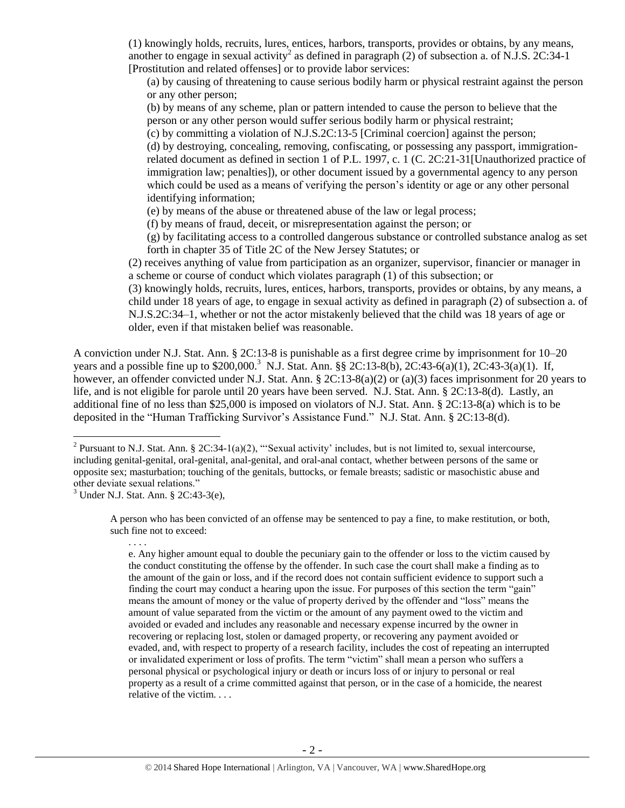(1) knowingly holds, recruits, lures, entices, harbors, transports, provides or obtains, by any means, another to engage in sexual activity<sup>2</sup> as defined in paragraph (2) of subsection a. of N.J.S. 2C:34-1 [Prostitution and related offenses] or to provide labor services:

<span id="page-1-0"></span>(a) by causing of threatening to cause serious bodily harm or physical restraint against the person or any other person;

(b) by means of any scheme, plan or pattern intended to cause the person to believe that the person or any other person would suffer serious bodily harm or physical restraint;

(c) by committing a violation of N.J.S.2C:13-5 [Criminal coercion] against the person;

(d) by destroying, concealing, removing, confiscating, or possessing any passport, immigrationrelated document as defined in section 1 of P.L. 1997, c. 1 (C. 2C:21-31[Unauthorized practice of immigration law; penalties]), or other document issued by a governmental agency to any person which could be used as a means of verifying the person's identity or age or any other personal identifying information;

(e) by means of the abuse or threatened abuse of the law or legal process;

(f) by means of fraud, deceit, or misrepresentation against the person; or

(g) by facilitating access to a controlled dangerous substance or controlled substance analog as set forth in chapter 35 of Title 2C of the New Jersey Statutes; or

(2) receives anything of value from participation as an organizer, supervisor, financier or manager in a scheme or course of conduct which violates paragraph (1) of this subsection; or

<span id="page-1-1"></span>(3) knowingly holds, recruits, lures, entices, harbors, transports, provides or obtains, by any means, a child under 18 years of age, to engage in sexual activity as defined in paragraph (2) of subsection a. of N.J.S.2C:34–1, whether or not the actor mistakenly believed that the child was 18 years of age or older, even if that mistaken belief was reasonable.

A conviction under N.J. Stat. Ann. § 2C:13-8 is punishable as a first degree crime by imprisonment for 10–20 years and a possible fine up to \$200,000.<sup>3</sup> N.J. Stat. Ann. §§ 2C:13-8(b), 2C:43-6(a)(1), 2C:43-3(a)(1). If, however, an offender convicted under N.J. Stat. Ann. § 2C:13-8(a)(2) or (a)(3) faces imprisonment for 20 years to life, and is not eligible for parole until 20 years have been served. N.J. Stat. Ann. § 2C:13-8(d). Lastly, an additional fine of no less than \$25,000 is imposed on violators of N.J. Stat. Ann. § 2C:13-8(a) which is to be deposited in the "Human Trafficking Survivor's Assistance Fund." N.J. Stat. Ann. § 2C:13-8(d).

. . . .

 $\overline{a}$ 

A person who has been convicted of an offense may be sentenced to pay a fine, to make restitution, or both, such fine not to exceed:

e. Any higher amount equal to double the pecuniary gain to the offender or loss to the victim caused by the conduct constituting the offense by the offender. In such case the court shall make a finding as to the amount of the gain or loss, and if the record does not contain sufficient evidence to support such a finding the court may conduct a hearing upon the issue. For purposes of this section the term "gain" means the amount of money or the value of property derived by the offender and "loss" means the amount of value separated from the victim or the amount of any payment owed to the victim and avoided or evaded and includes any reasonable and necessary expense incurred by the owner in recovering or replacing lost, stolen or damaged property, or recovering any payment avoided or evaded, and, with respect to property of a research facility, includes the cost of repeating an interrupted or invalidated experiment or loss of profits. The term "victim" shall mean a person who suffers a personal physical or psychological injury or death or incurs loss of or injury to personal or real property as a result of a crime committed against that person, or in the case of a homicide, the nearest relative of the victim. . . .

<sup>&</sup>lt;sup>2</sup> Pursuant to N.J. Stat. Ann. § 2C:34-1(a)(2), "Sexual activity' includes, but is not limited to, sexual intercourse, including genital-genital, oral-genital, anal-genital, and oral-anal contact, whether between persons of the same or opposite sex; masturbation; touching of the genitals, buttocks, or female breasts; sadistic or masochistic abuse and other deviate sexual relations."

 $3$  Under N.J. Stat. Ann. § 2C:43-3(e),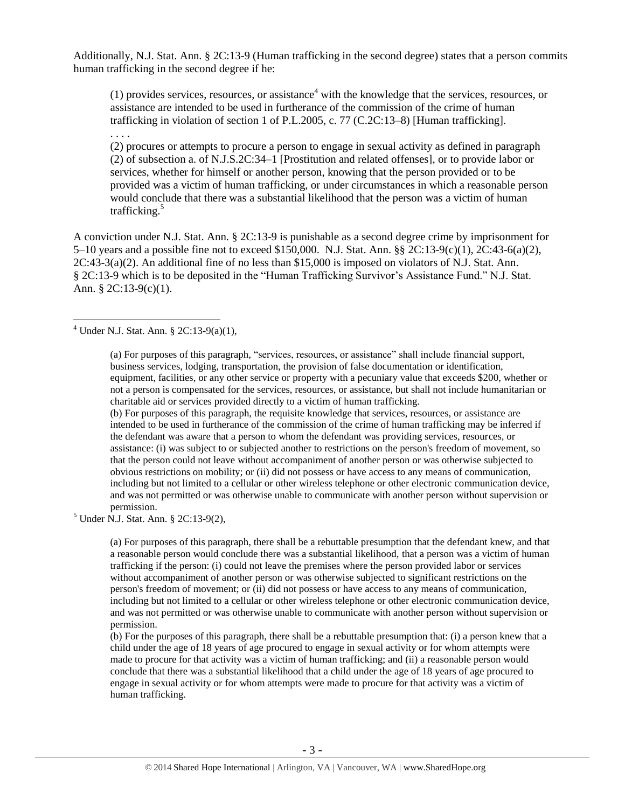Additionally, N.J. Stat. Ann. § 2C:13-9 (Human trafficking in the second degree) states that a person commits human trafficking in the second degree if he:

<span id="page-2-1"></span>(1) provides services, resources, or assistance<sup>4</sup> with the knowledge that the services, resources, or assistance are intended to be used in furtherance of the commission of the crime of human trafficking in violation of section 1 of P.L.2005, c. 77 (C.2C:13–8) [Human trafficking]. . . . .

<span id="page-2-0"></span>(2) procures or attempts to procure a person to engage in sexual activity as defined in paragraph (2) of subsection a. of N.J.S.2C:34–1 [Prostitution and related offenses], or to provide labor or services, whether for himself or another person, knowing that the person provided or to be provided was a victim of human trafficking, or under circumstances in which a reasonable person would conclude that there was a substantial likelihood that the person was a victim of human trafficking.<sup>5</sup>

A conviction under N.J. Stat. Ann. § 2C:13-9 is punishable as a second degree crime by imprisonment for 5–10 years and a possible fine not to exceed \$150,000. N.J. Stat. Ann. §§ 2C:13-9(c)(1), 2C:43-6(a)(2), 2C:43-3(a)(2). An additional fine of no less than \$15,000 is imposed on violators of N.J. Stat. Ann. § 2C:13-9 which is to be deposited in the "Human Trafficking Survivor's Assistance Fund." N.J. Stat. Ann. § 2C:13-9(c)(1).

 $\overline{a}$ 

(a) For purposes of this paragraph, "services, resources, or assistance" shall include financial support, business services, lodging, transportation, the provision of false documentation or identification, equipment, facilities, or any other service or property with a pecuniary value that exceeds \$200, whether or not a person is compensated for the services, resources, or assistance, but shall not include humanitarian or charitable aid or services provided directly to a victim of human trafficking.

(b) For purposes of this paragraph, the requisite knowledge that services, resources, or assistance are intended to be used in furtherance of the commission of the crime of human trafficking may be inferred if the defendant was aware that a person to whom the defendant was providing services, resources, or assistance: (i) was subject to or subjected another to restrictions on the person's freedom of movement, so that the person could not leave without accompaniment of another person or was otherwise subjected to obvious restrictions on mobility; or (ii) did not possess or have access to any means of communication, including but not limited to a cellular or other wireless telephone or other electronic communication device, and was not permitted or was otherwise unable to communicate with another person without supervision or permission.

 $<sup>5</sup>$  Under N.J. Stat. Ann. § 2C:13-9(2),</sup>

(a) For purposes of this paragraph, there shall be a rebuttable presumption that the defendant knew, and that a reasonable person would conclude there was a substantial likelihood, that a person was a victim of human trafficking if the person: (i) could not leave the premises where the person provided labor or services without accompaniment of another person or was otherwise subjected to significant restrictions on the person's freedom of movement; or (ii) did not possess or have access to any means of communication, including but not limited to a cellular or other wireless telephone or other electronic communication device, and was not permitted or was otherwise unable to communicate with another person without supervision or permission.

(b) For the purposes of this paragraph, there shall be a rebuttable presumption that: (i) a person knew that a child under the age of 18 years of age procured to engage in sexual activity or for whom attempts were made to procure for that activity was a victim of human trafficking; and (ii) a reasonable person would conclude that there was a substantial likelihood that a child under the age of 18 years of age procured to engage in sexual activity or for whom attempts were made to procure for that activity was a victim of human trafficking.

 $4$  Under N.J. Stat. Ann. § 2C:13-9(a)(1),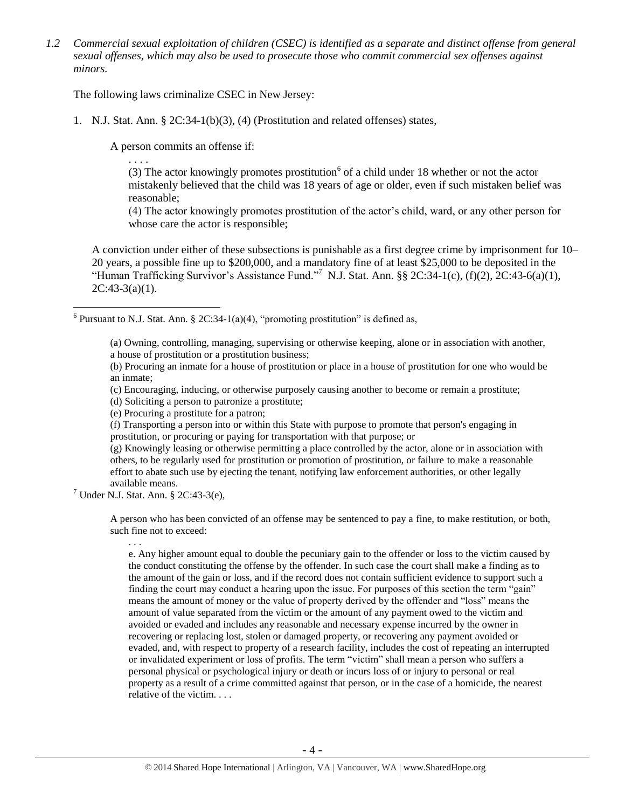*1.2 Commercial sexual exploitation of children (CSEC) is identified as a separate and distinct offense from general sexual offenses, which may also be used to prosecute those who commit commercial sex offenses against minors.*

The following laws criminalize CSEC in New Jersey:

1. N.J. Stat. Ann. § 2C:34-1(b)(3), (4) (Prostitution and related offenses) states,

A person commits an offense if:

. . . .

 $\overline{a}$ 

(3) The actor knowingly promotes prostitution<sup>6</sup> of a child under 18 whether or not the actor mistakenly believed that the child was 18 years of age or older, even if such mistaken belief was reasonable;

(4) The actor knowingly promotes prostitution of the actor's child, ward, or any other person for whose care the actor is responsible;

A conviction under either of these subsections is punishable as a first degree crime by imprisonment for 10– 20 years, a possible fine up to \$200,000, and a mandatory fine of at least \$25,000 to be deposited in the "Human Trafficking Survivor's Assistance Fund." <sup>7</sup> N.J. Stat. Ann. §§ 2C:34-1(c), (f)(2), 2C:43-6(a)(1),  $2C:43-3(a)(1)$ .

<sup>6</sup> Pursuant to N.J. Stat. Ann. § 2C:34-1(a)(4), "promoting prostitution" is defined as,

(a) Owning, controlling, managing, supervising or otherwise keeping, alone or in association with another, a house of prostitution or a prostitution business;

(b) Procuring an inmate for a house of prostitution or place in a house of prostitution for one who would be an inmate;

(c) Encouraging, inducing, or otherwise purposely causing another to become or remain a prostitute;

(d) Soliciting a person to patronize a prostitute;

(e) Procuring a prostitute for a patron;

(f) Transporting a person into or within this State with purpose to promote that person's engaging in prostitution, or procuring or paying for transportation with that purpose; or

(g) Knowingly leasing or otherwise permitting a place controlled by the actor, alone or in association with others, to be regularly used for prostitution or promotion of prostitution, or failure to make a reasonable effort to abate such use by ejecting the tenant, notifying law enforcement authorities, or other legally available means.

 $7$  Under N.J. Stat. Ann. § 2C:43-3(e),

A person who has been convicted of an offense may be sentenced to pay a fine, to make restitution, or both, such fine not to exceed:

. . .

e. Any higher amount equal to double the pecuniary gain to the offender or loss to the victim caused by the conduct constituting the offense by the offender. In such case the court shall make a finding as to the amount of the gain or loss, and if the record does not contain sufficient evidence to support such a finding the court may conduct a hearing upon the issue. For purposes of this section the term "gain" means the amount of money or the value of property derived by the offender and "loss" means the amount of value separated from the victim or the amount of any payment owed to the victim and avoided or evaded and includes any reasonable and necessary expense incurred by the owner in recovering or replacing lost, stolen or damaged property, or recovering any payment avoided or evaded, and, with respect to property of a research facility, includes the cost of repeating an interrupted or invalidated experiment or loss of profits. The term "victim" shall mean a person who suffers a personal physical or psychological injury or death or incurs loss of or injury to personal or real property as a result of a crime committed against that person, or in the case of a homicide, the nearest relative of the victim. . . .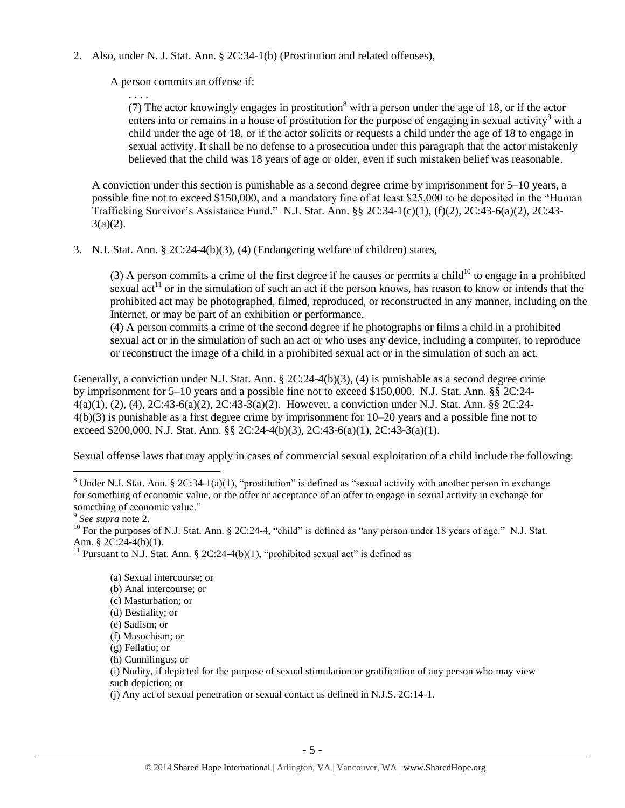2. Also, under N. J. Stat. Ann. § 2C:34-1(b) (Prostitution and related offenses),

A person commits an offense if:

. . . .

(7) The actor knowingly engages in prostitution<sup>8</sup> with a person under the age of 18, or if the actor enters into or remains in a house of prostitution for the purpose of engaging in sexual activity<sup>9</sup> with a child under the age of 18, or if the actor solicits or requests a child under the age of 18 to engage in sexual activity. It shall be no defense to a prosecution under this paragraph that the actor mistakenly believed that the child was 18 years of age or older, even if such mistaken belief was reasonable.

A conviction under this section is punishable as a second degree crime by imprisonment for 5–10 years, a possible fine not to exceed \$150,000, and a mandatory fine of at least \$25,000 to be deposited in the "Human Trafficking Survivor's Assistance Fund." N.J. Stat. Ann. §§ 2C:34-1(c)(1), (f)(2), 2C:43-6(a)(2), 2C:43-  $3(a)(2)$ .

3. N.J. Stat. Ann. § 2C:24-4(b)(3), (4) (Endangering welfare of children) states,

<span id="page-4-1"></span><span id="page-4-0"></span>(3) A person commits a crime of the first degree if he causes or permits a child<sup>10</sup> to engage in a prohibited sexual act<sup>11</sup> or in the simulation of such an act if the person knows, has reason to know or intends that the prohibited act may be photographed, filmed, reproduced, or reconstructed in any manner, including on the Internet, or may be part of an exhibition or performance.

(4) A person commits a crime of the second degree if he photographs or films a child in a prohibited sexual act or in the simulation of such an act or who uses any device, including a computer, to reproduce or reconstruct the image of a child in a prohibited sexual act or in the simulation of such an act.

Generally, a conviction under N.J. Stat. Ann. § 2C:24-4(b)(3), (4) is punishable as a second degree crime by imprisonment for 5–10 years and a possible fine not to exceed \$150,000. N.J. Stat. Ann. §§ 2C:24- 4(a)(1), (2), (4), 2C:43-6(a)(2), 2C:43-3(a)(2). However, a conviction under N.J. Stat. Ann. §§ 2C:24- 4(b)(3) is punishable as a first degree crime by imprisonment for 10–20 years and a possible fine not to exceed \$200,000. N.J. Stat. Ann. §§ 2C:24-4(b)(3), 2C:43-6(a)(1), 2C:43-3(a)(1).

Sexual offense laws that may apply in cases of commercial sexual exploitation of a child include the following:

 $\overline{a}$ 

- (a) Sexual intercourse; or
- (b) Anal intercourse; or
- (c) Masturbation; or
- (d) Bestiality; or
- (e) Sadism; or (f) Masochism; or

(j) Any act of sexual penetration or sexual contact as defined in N.J.S. 2C:14-1.

<sup>&</sup>lt;sup>8</sup> Under N.J. Stat. Ann. § 2C:34-1(a)(1), "prostitution" is defined as "sexual activity with another person in exchange for something of economic value, or the offer or acceptance of an offer to engage in sexual activity in exchange for something of economic value."

<sup>9</sup> *See supra* note [2.](#page-1-0)

<sup>&</sup>lt;sup>10</sup> For the purposes of N.J. Stat. Ann. § 2C:24-4, "child" is defined as "any person under 18 years of age." N.J. Stat. Ann. § 2C:24-4(b)(1).

<sup>&</sup>lt;sup>11</sup> Pursuant to N.J. Stat. Ann. § 2C:24-4(b)(1), "prohibited sexual act" is defined as

<sup>(</sup>g) Fellatio; or

<sup>(</sup>h) Cunnilingus; or

<sup>(</sup>i) Nudity, if depicted for the purpose of sexual stimulation or gratification of any person who may view such depiction; or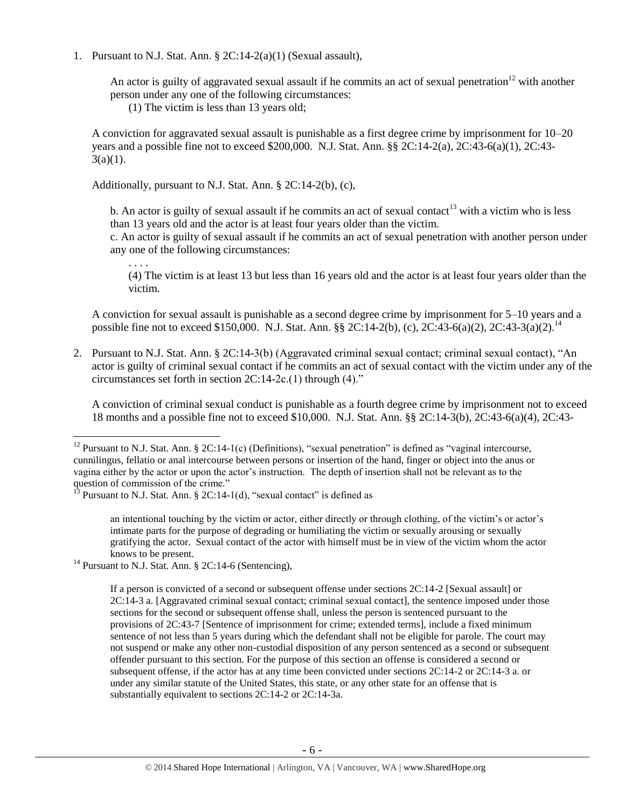1. Pursuant to N.J. Stat. Ann. § 2C:14-2(a)(1) (Sexual assault),

An actor is guilty of aggravated sexual assault if he commits an act of sexual penetration<sup>12</sup> with another person under any one of the following circumstances:

<span id="page-5-0"></span>(1) The victim is less than 13 years old;

A conviction for aggravated sexual assault is punishable as a first degree crime by imprisonment for 10–20 years and a possible fine not to exceed \$200,000. N.J. Stat. Ann. §§ 2C:14-2(a), 2C:43-6(a)(1), 2C:43-  $3(a)(1)$ .

Additionally, pursuant to N.J. Stat. Ann. § 2C:14-2(b), (c),

b. An actor is guilty of sexual assault if he commits an act of sexual contact<sup>13</sup> with a victim who is less than 13 years old and the actor is at least four years older than the victim.

c. An actor is guilty of sexual assault if he commits an act of sexual penetration with another person under any one of the following circumstances:

<span id="page-5-1"></span>. . . . (4) The victim is at least 13 but less than 16 years old and the actor is at least four years older than the victim.

A conviction for sexual assault is punishable as a second degree crime by imprisonment for 5–10 years and a possible fine not to exceed \$150,000. N.J. Stat. Ann. §§ 2C:14-2(b), (c), 2C:43-6(a)(2), 2C:43-3(a)(2).<sup>14</sup>

2. Pursuant to N.J. Stat. Ann. § 2C:14-3(b) (Aggravated criminal sexual contact; criminal sexual contact), "An actor is guilty of criminal sexual contact if he commits an act of sexual contact with the victim under any of the circumstances set forth in section 2C:14-2c.(1) through (4)."

A conviction of criminal sexual conduct is punishable as a fourth degree crime by imprisonment not to exceed 18 months and a possible fine not to exceed \$10,000. N.J. Stat. Ann. §§ 2C:14-3(b), 2C:43-6(a)(4), 2C:43-

an intentional touching by the victim or actor, either directly or through clothing, of the victim's or actor's intimate parts for the purpose of degrading or humiliating the victim or sexually arousing or sexually gratifying the actor. Sexual contact of the actor with himself must be in view of the victim whom the actor knows to be present.

 $14$  Pursuant to N.J. Stat. Ann. § 2C:14-6 (Sentencing),

 $\overline{a}$ 

If a person is convicted of a second or subsequent offense under sections 2C:14-2 [Sexual assault] or 2C:14-3 a. [Aggravated criminal sexual contact; criminal sexual contact], the sentence imposed under those sections for the second or subsequent offense shall, unless the person is sentenced pursuant to the provisions of 2C:43-7 [Sentence of imprisonment for crime; extended terms], include a fixed minimum sentence of not less than 5 years during which the defendant shall not be eligible for parole. The court may not suspend or make any other non-custodial disposition of any person sentenced as a second or subsequent offender pursuant to this section. For the purpose of this section an offense is considered a second or subsequent offense, if the actor has at any time been convicted under sections 2C:14-2 or 2C:14-3 a. or under any similar statute of the United States, this state, or any other state for an offense that is substantially equivalent to sections 2C:14-2 or 2C:14-3a.

<sup>&</sup>lt;sup>12</sup> Pursuant to N.J. Stat. Ann. § 2C:14-1(c) (Definitions), "sexual penetration" is defined as "vaginal intercourse, cunnilingus, fellatio or anal intercourse between persons or insertion of the hand, finger or object into the anus or vagina either by the actor or upon the actor's instruction. The depth of insertion shall not be relevant as to the question of commission of the crime."

<sup>&</sup>lt;sup>13</sup> Pursuant to N.J. Stat. Ann. § 2C:14-1(d), "sexual contact" is defined as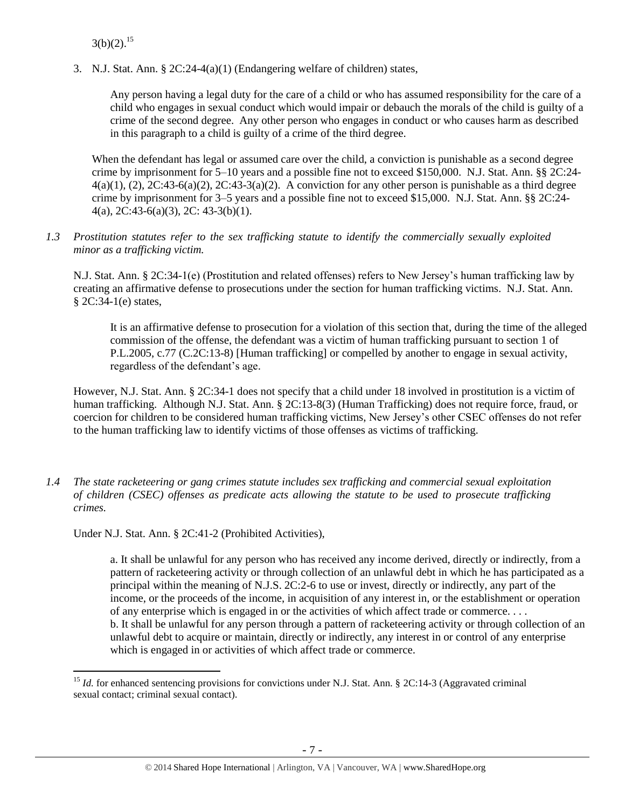$3(b)(2).^{15}$ 

3. N.J. Stat. Ann. § 2C:24-4(a)(1) (Endangering welfare of children) states,

Any person having a legal duty for the care of a child or who has assumed responsibility for the care of a child who engages in sexual conduct which would impair or debauch the morals of the child is guilty of a crime of the second degree. Any other person who engages in conduct or who causes harm as described in this paragraph to a child is guilty of a crime of the third degree.

When the defendant has legal or assumed care over the child, a conviction is punishable as a second degree crime by imprisonment for 5–10 years and a possible fine not to exceed \$150,000. N.J. Stat. Ann. §§ 2C:24-  $4(a)(1)$ ,  $(2)$ ,  $2C:43-6(a)(2)$ ,  $2C:43-3(a)(2)$ . A conviction for any other person is punishable as a third degree crime by imprisonment for 3–5 years and a possible fine not to exceed \$15,000. N.J. Stat. Ann. §§ 2C:24- 4(a), 2C:43-6(a)(3), 2C: 43-3(b)(1).

*1.3 Prostitution statutes refer to the sex trafficking statute to identify the commercially sexually exploited minor as a trafficking victim.* 

N.J. Stat. Ann. § 2C:34-1(e) (Prostitution and related offenses) refers to New Jersey's human trafficking law by creating an affirmative defense to prosecutions under the section for human trafficking victims. N.J. Stat. Ann. § 2C:34-1(e) states,

It is an affirmative defense to prosecution for a violation of this section that, during the time of the alleged commission of the offense, the defendant was a victim of human trafficking pursuant to section 1 of P.L.2005, c.77 (C.2C:13-8) [Human trafficking] or compelled by another to engage in sexual activity, regardless of the defendant's age.

However, N.J. Stat. Ann. § 2C:34-1 does not specify that a child under 18 involved in prostitution is a victim of human trafficking. Although N.J. Stat. Ann. § 2C:13-8(3) (Human Trafficking) does not require force, fraud, or coercion for children to be considered human trafficking victims, New Jersey's other CSEC offenses do not refer to the human trafficking law to identify victims of those offenses as victims of trafficking.

*1.4 The state racketeering or gang crimes statute includes sex trafficking and commercial sexual exploitation of children (CSEC) offenses as predicate acts allowing the statute to be used to prosecute trafficking crimes.* 

Under N.J. Stat. Ann. § 2C:41-2 (Prohibited Activities),

 $\overline{a}$ 

a. It shall be unlawful for any person who has received any income derived, directly or indirectly, from a pattern of racketeering activity or through collection of an unlawful debt in which he has participated as a principal within the meaning of N.J.S. 2C:2-6 to use or invest, directly or indirectly, any part of the income, or the proceeds of the income, in acquisition of any interest in, or the establishment or operation of any enterprise which is engaged in or the activities of which affect trade or commerce. . . . b. It shall be unlawful for any person through a pattern of racketeering activity or through collection of an unlawful debt to acquire or maintain, directly or indirectly, any interest in or control of any enterprise which is engaged in or activities of which affect trade or commerce.

<sup>&</sup>lt;sup>15</sup> *Id.* for enhanced sentencing provisions for convictions under N.J. Stat. Ann. § 2C:14-3 (Aggravated criminal sexual contact; criminal sexual contact).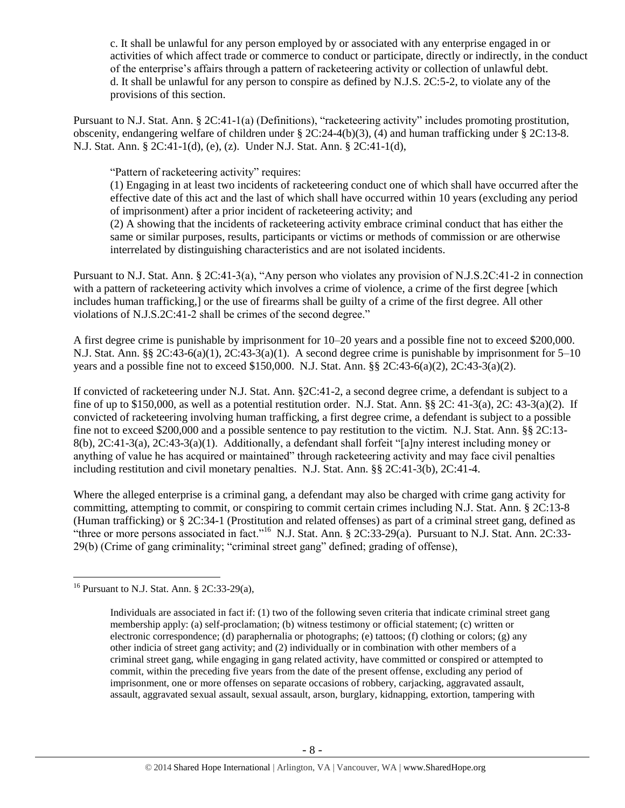c. It shall be unlawful for any person employed by or associated with any enterprise engaged in or activities of which affect trade or commerce to conduct or participate, directly or indirectly, in the conduct of the enterprise's affairs through a pattern of racketeering activity or collection of unlawful debt. d. It shall be unlawful for any person to conspire as defined by N.J.S. 2C:5-2, to violate any of the provisions of this section.

Pursuant to N.J. Stat. Ann. § 2C:41-1(a) (Definitions), "racketeering activity" includes promoting prostitution, obscenity, endangering welfare of children under § 2C:24-4(b)(3), (4) and human trafficking under § 2C:13-8. N.J. Stat. Ann. § 2C:41-1(d), (e), (z). Under N.J. Stat. Ann. § 2C:41-1(d),

"Pattern of racketeering activity" requires:

(1) Engaging in at least two incidents of racketeering conduct one of which shall have occurred after the effective date of this act and the last of which shall have occurred within 10 years (excluding any period of imprisonment) after a prior incident of racketeering activity; and

(2) A showing that the incidents of racketeering activity embrace criminal conduct that has either the same or similar purposes, results, participants or victims or methods of commission or are otherwise interrelated by distinguishing characteristics and are not isolated incidents.

Pursuant to N.J. Stat. Ann. § 2C:41-3(a), "Any person who violates any provision of N.J.S.2C:41-2 in connection with a pattern of racketeering activity which involves a crime of violence, a crime of the first degree [which includes human trafficking,] or the use of firearms shall be guilty of a crime of the first degree. All other violations of N.J.S.2C:41-2 shall be crimes of the second degree."

A first degree crime is punishable by imprisonment for 10–20 years and a possible fine not to exceed \$200,000. N.J. Stat. Ann. §§ 2C:43-6(a)(1), 2C:43-3(a)(1). A second degree crime is punishable by imprisonment for 5–10 years and a possible fine not to exceed \$150,000. N.J. Stat. Ann. §§ 2C:43-6(a)(2), 2C:43-3(a)(2).

If convicted of racketeering under N.J. Stat. Ann. §2C:41-2, a second degree crime, a defendant is subject to a fine of up to \$150,000, as well as a potential restitution order. N.J. Stat. Ann. §§ 2C: 41-3(a), 2C: 43-3(a)(2). If convicted of racketeering involving human trafficking, a first degree crime, a defendant is subject to a possible fine not to exceed \$200,000 and a possible sentence to pay restitution to the victim. N.J. Stat. Ann. §§ 2C:13- 8(b), 2C:41-3(a), 2C:43-3(a)(1). Additionally, a defendant shall forfeit "[a]ny interest including money or anything of value he has acquired or maintained" through racketeering activity and may face civil penalties including restitution and civil monetary penalties. N.J. Stat. Ann. §§ 2C:41-3(b), 2C:41-4.

Where the alleged enterprise is a criminal gang, a defendant may also be charged with crime gang activity for committing, attempting to commit, or conspiring to commit certain crimes including N.J. Stat. Ann. § 2C:13-8 (Human trafficking) or § 2C:34-1 (Prostitution and related offenses) as part of a criminal street gang, defined as "three or more persons associated in fact."<sup>16</sup> N.J. Stat. Ann. § 2C:33-29(a). Pursuant to N.J. Stat. Ann. 2C:33-29(b) (Crime of gang criminality; "criminal street gang" defined; grading of offense),

 $\overline{a}$ <sup>16</sup> Pursuant to N.J. Stat. Ann. § 2C:33-29(a),

Individuals are associated in fact if: (1) two of the following seven criteria that indicate criminal street gang membership apply: (a) self-proclamation; (b) witness testimony or official statement; (c) written or electronic correspondence; (d) paraphernalia or photographs; (e) tattoos; (f) clothing or colors; (g) any other indicia of street gang activity; and (2) individually or in combination with other members of a criminal street gang, while engaging in gang related activity, have committed or conspired or attempted to commit, within the preceding five years from the date of the present offense, excluding any period of imprisonment, one or more offenses on separate occasions of robbery, carjacking, aggravated assault, assault, aggravated sexual assault, sexual assault, arson, burglary, kidnapping, extortion, tampering with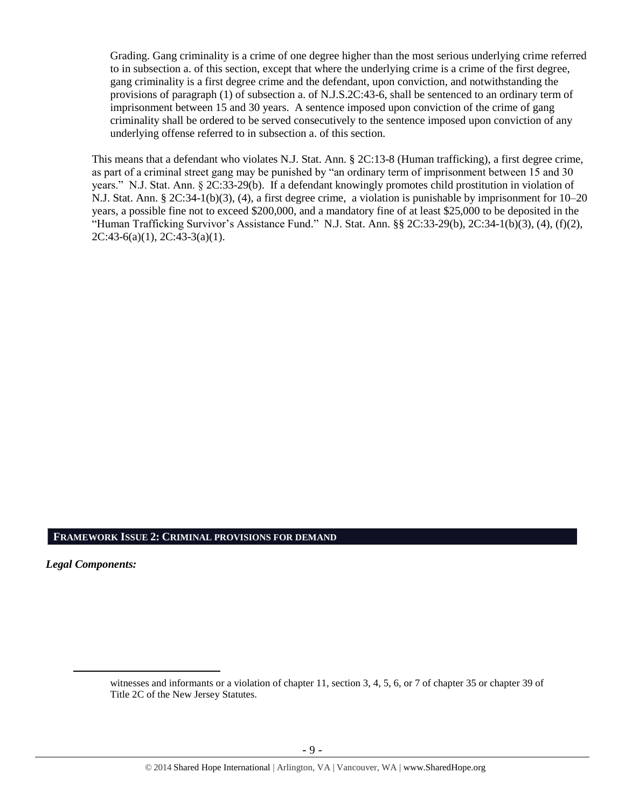Grading. Gang criminality is a crime of one degree higher than the most serious underlying crime referred to in subsection a. of this section, except that where the underlying crime is a crime of the first degree, gang criminality is a first degree crime and the defendant, upon conviction, and notwithstanding the provisions of paragraph (1) of subsection a. of N.J.S.2C:43-6, shall be sentenced to an ordinary term of imprisonment between 15 and 30 years. A sentence imposed upon conviction of the crime of gang criminality shall be ordered to be served consecutively to the sentence imposed upon conviction of any underlying offense referred to in subsection a. of this section.

This means that a defendant who violates N.J. Stat. Ann. § 2C:13-8 (Human trafficking), a first degree crime, as part of a criminal street gang may be punished by "an ordinary term of imprisonment between 15 and 30 years." N.J. Stat. Ann. § 2C:33-29(b). If a defendant knowingly promotes child prostitution in violation of N.J. Stat. Ann. § 2C:34-1(b)(3), (4), a first degree crime, a violation is punishable by imprisonment for 10–20 years, a possible fine not to exceed \$200,000, and a mandatory fine of at least \$25,000 to be deposited in the "Human Trafficking Survivor's Assistance Fund." N.J. Stat. Ann. §§ 2C:33-29(b), 2C:34-1(b)(3), (4), (f)(2), 2C:43-6(a)(1), 2C:43-3(a)(1).

#### **FRAMEWORK ISSUE 2: CRIMINAL PROVISIONS FOR DEMAND**

*Legal Components:* 

witnesses and informants or a violation of chapter 11, section 3, 4, 5, 6, or 7 of chapter 35 or chapter 39 of Title 2C of the New Jersey Statutes.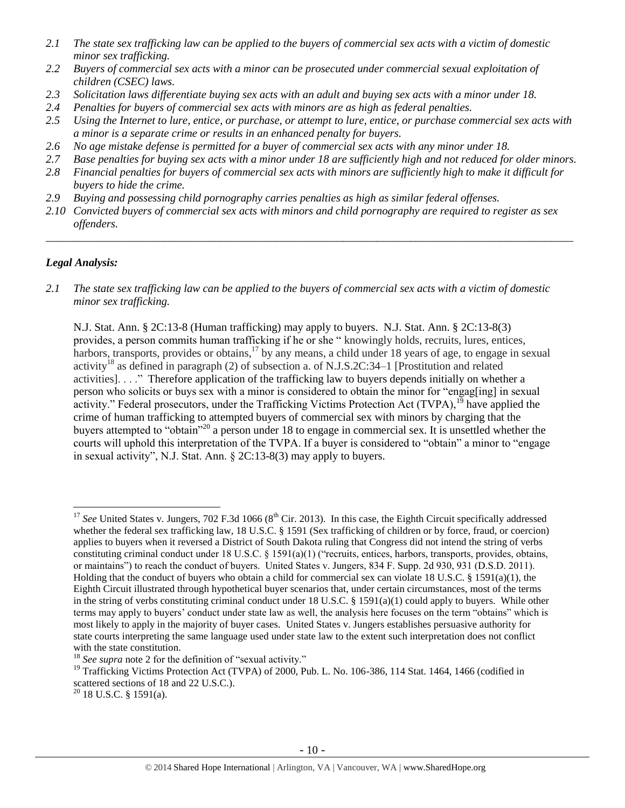- *2.1 The state sex trafficking law can be applied to the buyers of commercial sex acts with a victim of domestic minor sex trafficking.*
- *2.2 Buyers of commercial sex acts with a minor can be prosecuted under commercial sexual exploitation of children (CSEC) laws.*
- *2.3 Solicitation laws differentiate buying sex acts with an adult and buying sex acts with a minor under 18.*
- *2.4 Penalties for buyers of commercial sex acts with minors are as high as federal penalties.*
- *2.5 Using the Internet to lure, entice, or purchase, or attempt to lure, entice, or purchase commercial sex acts with a minor is a separate crime or results in an enhanced penalty for buyers.*
- *2.6 No age mistake defense is permitted for a buyer of commercial sex acts with any minor under 18.*
- *2.7 Base penalties for buying sex acts with a minor under 18 are sufficiently high and not reduced for older minors.*
- *2.8 Financial penalties for buyers of commercial sex acts with minors are sufficiently high to make it difficult for buyers to hide the crime.*
- *2.9 Buying and possessing child pornography carries penalties as high as similar federal offenses.*
- *2.10 Convicted buyers of commercial sex acts with minors and child pornography are required to register as sex offenders.*

\_\_\_\_\_\_\_\_\_\_\_\_\_\_\_\_\_\_\_\_\_\_\_\_\_\_\_\_\_\_\_\_\_\_\_\_\_\_\_\_\_\_\_\_\_\_\_\_\_\_\_\_\_\_\_\_\_\_\_\_\_\_\_\_\_\_\_\_\_\_\_\_\_\_\_\_\_\_\_\_\_\_\_\_\_\_\_\_\_\_\_\_\_\_

### *Legal Analysis:*

 $\overline{a}$ 

*2.1 The state sex trafficking law can be applied to the buyers of commercial sex acts with a victim of domestic minor sex trafficking.*

N.J. Stat. Ann. § 2C:13-8 (Human trafficking) may apply to buyers. N.J. Stat. Ann. § 2C:13-8(3) provides, a person commits human trafficking if he or she " knowingly holds, recruits, lures, entices, harbors, transports, provides or obtains,<sup>17</sup> by any means, a child under 18 years of age, to engage in sexual activity<sup>18</sup> as defined in paragraph (2) of subsection a. of N.J.S.2C:34–1 [Prostitution and related activities]. . . ." Therefore application of the trafficking law to buyers depends initially on whether a person who solicits or buys sex with a minor is considered to obtain the minor for "engag[ing] in sexual activity." Federal prosecutors, under the Trafficking Victims Protection Act (TVPA),  $\frac{19}{19}$  have applied the crime of human trafficking to attempted buyers of commercial sex with minors by charging that the buyers attempted to "obtain"<sup>20</sup> a person under 18 to engage in commercial sex. It is unsettled whether the courts will uphold this interpretation of the TVPA. If a buyer is considered to "obtain" a minor to "engage in sexual activity", N.J. Stat. Ann. § 2C:13-8(3) may apply to buyers.

 $17$  *See* United States v. Jungers, 702 F.3d 1066 ( $8<sup>th</sup>$  Cir. 2013). In this case, the Eighth Circuit specifically addressed whether the federal sex trafficking law, 18 U.S.C. § 1591 (Sex trafficking of children or by force, fraud, or coercion) applies to buyers when it reversed a District of South Dakota ruling that Congress did not intend the string of verbs constituting criminal conduct under 18 U.S.C. § 1591(a)(1) ("recruits, entices, harbors, transports, provides, obtains, or maintains") to reach the conduct of buyers. United States v. Jungers, 834 F. Supp. 2d 930, 931 (D.S.D. 2011). Holding that the conduct of buyers who obtain a child for commercial sex can violate 18 U.S.C. § 1591(a)(1), the Eighth Circuit illustrated through hypothetical buyer scenarios that, under certain circumstances, most of the terms in the string of verbs constituting criminal conduct under 18 U.S.C. § 1591(a)(1) could apply to buyers. While other terms may apply to buyers' conduct under state law as well, the analysis here focuses on the term "obtains" which is most likely to apply in the majority of buyer cases. United States v. Jungers establishes persuasive authority for state courts interpreting the same language used under state law to the extent such interpretation does not conflict with the state constitution.

<sup>&</sup>lt;sup>18</sup> *See supra* note [2](#page-1-0) for the definition of "sexual activity."

<sup>&</sup>lt;sup>19</sup> Trafficking Victims Protection Act (TVPA) of 2000, Pub. L. No. 106-386, 114 Stat. 1464, 1466 (codified in scattered sections of 18 and 22 U.S.C.).

 $^{20}$  18 U.S.C. § 1591(a).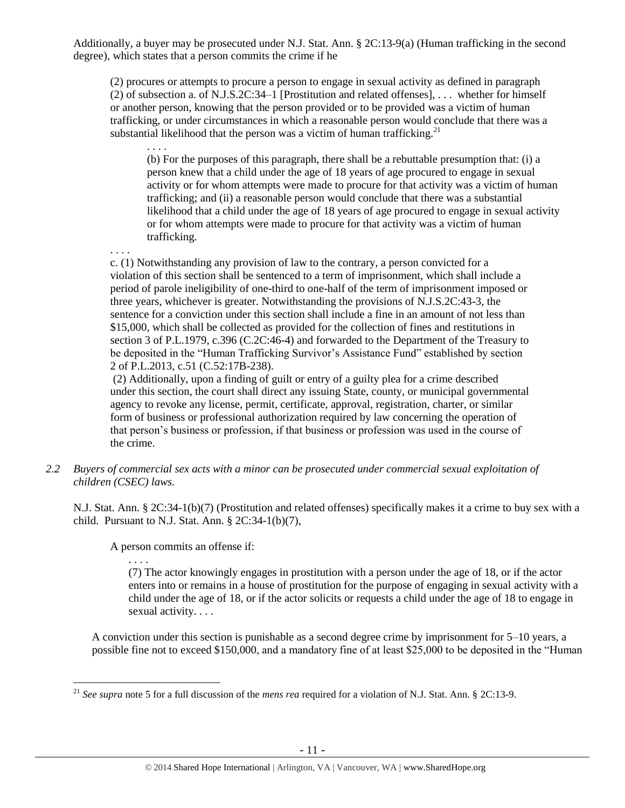Additionally, a buyer may be prosecuted under N.J. Stat. Ann. § 2C:13-9(a) (Human trafficking in the second degree), which states that a person commits the crime if he

(2) procures or attempts to procure a person to engage in sexual activity as defined in paragraph (2) of subsection a. of N.J.S.2C:34–1 [Prostitution and related offenses], . . . whether for himself or another person, knowing that the person provided or to be provided was a victim of human trafficking, or under circumstances in which a reasonable person would conclude that there was a substantial likelihood that the person was a victim of human trafficking.<sup>21</sup>

(b) For the purposes of this paragraph, there shall be a rebuttable presumption that: (i) a person knew that a child under the age of 18 years of age procured to engage in sexual activity or for whom attempts were made to procure for that activity was a victim of human trafficking; and (ii) a reasonable person would conclude that there was a substantial likelihood that a child under the age of 18 years of age procured to engage in sexual activity or for whom attempts were made to procure for that activity was a victim of human trafficking.

. . . .

. . . .

c. (1) Notwithstanding any provision of law to the contrary, a person convicted for a violation of this section shall be sentenced to a term of imprisonment, which shall include a period of parole ineligibility of one-third to one-half of the term of imprisonment imposed or three years, whichever is greater. Notwithstanding the provisions of N.J.S.2C:43-3, the sentence for a conviction under this section shall include a fine in an amount of not less than \$15,000, which shall be collected as provided for the collection of fines and restitutions in section 3 of P.L.1979, c.396 (C.2C:46-4) and forwarded to the Department of the Treasury to be deposited in the "Human Trafficking Survivor's Assistance Fund" established by section 2 of P.L.2013, c.51 (C.52:17B-238).

(2) Additionally, upon a finding of guilt or entry of a guilty plea for a crime described under this section, the court shall direct any issuing State, county, or municipal governmental agency to revoke any license, permit, certificate, approval, registration, charter, or similar form of business or professional authorization required by law concerning the operation of that person's business or profession, if that business or profession was used in the course of the crime.

*2.2 Buyers of commercial sex acts with a minor can be prosecuted under commercial sexual exploitation of children (CSEC) laws.*

N.J. Stat. Ann. § 2C:34-1(b)(7) (Prostitution and related offenses) specifically makes it a crime to buy sex with a child. Pursuant to N.J. Stat. Ann.  $\S 2C:34-1(b)(7)$ ,

A person commits an offense if:

. . . . (7) The actor knowingly engages in prostitution with a person under the age of 18, or if the actor enters into or remains in a house of prostitution for the purpose of engaging in sexual activity with a child under the age of 18, or if the actor solicits or requests a child under the age of 18 to engage in sexual activity. . . .

A conviction under this section is punishable as a second degree crime by imprisonment for 5–10 years, a possible fine not to exceed \$150,000, and a mandatory fine of at least \$25,000 to be deposited in the "Human

 $\overline{a}$ <sup>21</sup> *See supra* note [5](#page-2-0) for a full discussion of the *mens rea* required for a violation of N.J. Stat. Ann. § 2C:13-9.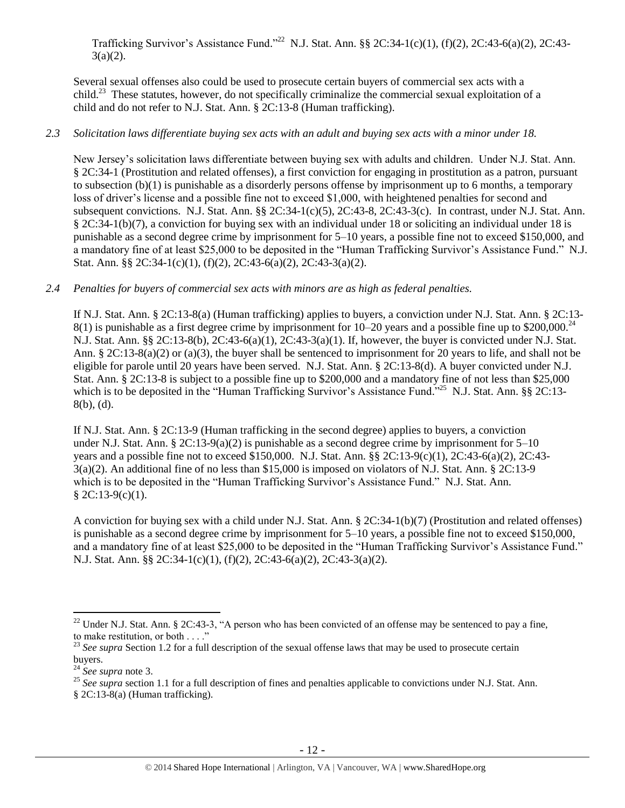Trafficking Survivor's Assistance Fund." <sup>22</sup> N.J. Stat. Ann. §§ 2C:34-1(c)(1), (f)(2), 2C:43-6(a)(2), 2C:43-  $3(a)(2)$ .

Several sexual offenses also could be used to prosecute certain buyers of commercial sex acts with a child.<sup>23</sup> These statutes, however, do not specifically criminalize the commercial sexual exploitation of a child and do not refer to N.J. Stat. Ann. § 2C:13-8 (Human trafficking).

### *2.3 Solicitation laws differentiate buying sex acts with an adult and buying sex acts with a minor under 18.*

New Jersey's solicitation laws differentiate between buying sex with adults and children. Under N.J. Stat. Ann. § 2C:34-1 (Prostitution and related offenses), a first conviction for engaging in prostitution as a patron, pursuant to subsection (b)(1) is punishable as a disorderly persons offense by imprisonment up to 6 months, a temporary loss of driver's license and a possible fine not to exceed \$1,000, with heightened penalties for second and subsequent convictions. N.J. Stat. Ann. §§ 2C:34-1(c)(5), 2C:43-8, 2C:43-3(c). In contrast, under N.J. Stat. Ann. § 2C:34-1(b)(7), a conviction for buying sex with an individual under 18 or soliciting an individual under 18 is punishable as a second degree crime by imprisonment for 5–10 years, a possible fine not to exceed \$150,000, and a mandatory fine of at least \$25,000 to be deposited in the "Human Trafficking Survivor's Assistance Fund." N.J. Stat. Ann. §§ 2C:34-1(c)(1), (f)(2), 2C:43-6(a)(2), 2C:43-3(a)(2).

### *2.4 Penalties for buyers of commercial sex acts with minors are as high as federal penalties.*

If N.J. Stat. Ann. § 2C:13-8(a) (Human trafficking) applies to buyers, a conviction under N.J. Stat. Ann. § 2C:13- 8(1) is punishable as a first degree crime by imprisonment for 10–20 years and a possible fine up to \$200,000.<sup>24</sup> N.J. Stat. Ann. §§ 2C:13-8(b), 2C:43-6(a)(1), 2C:43-3(a)(1). If, however, the buyer is convicted under N.J. Stat. Ann. § 2C:13-8(a)(2) or (a)(3), the buyer shall be sentenced to imprisonment for 20 years to life, and shall not be eligible for parole until 20 years have been served. N.J. Stat. Ann. § 2C:13-8(d). A buyer convicted under N.J. Stat. Ann. § 2C:13-8 is subject to a possible fine up to \$200,000 and a mandatory fine of not less than \$25,000 which is to be deposited in the "Human Trafficking Survivor's Assistance Fund."<sup>25</sup> N.J. Stat. Ann. §§ 2C:13-8(b), (d).

If N.J. Stat. Ann. § 2C:13-9 (Human trafficking in the second degree) applies to buyers, a conviction under N.J. Stat. Ann. § 2C:13-9(a)(2) is punishable as a second degree crime by imprisonment for 5–10 years and a possible fine not to exceed \$150,000. N.J. Stat. Ann. §§ 2C:13-9(c)(1), 2C:43-6(a)(2), 2C:43- 3(a)(2). An additional fine of no less than \$15,000 is imposed on violators of N.J. Stat. Ann. § 2C:13-9 which is to be deposited in the "Human Trafficking Survivor's Assistance Fund." N.J. Stat. Ann.  $$2C:13-9(c)(1).$ 

A conviction for buying sex with a child under N.J. Stat. Ann. § 2C:34-1(b)(7) (Prostitution and related offenses) is punishable as a second degree crime by imprisonment for 5–10 years, a possible fine not to exceed \$150,000, and a mandatory fine of at least \$25,000 to be deposited in the "Human Trafficking Survivor's Assistance Fund." N.J. Stat. Ann. §§ 2C:34-1(c)(1), (f)(2), 2C:43-6(a)(2), 2C:43-3(a)(2).

<sup>&</sup>lt;sup>22</sup> Under N.J. Stat. Ann. § 2C:43-3, "A person who has been convicted of an offense may be sentenced to pay a fine, to make restitution, or both . . . ."

<sup>&</sup>lt;sup>23</sup> See supra Section 1.2 for a full description of the sexual offense laws that may be used to prosecute certain buyers.

<sup>24</sup> *See supra* note [3.](#page-1-1)

<sup>&</sup>lt;sup>25</sup> See supra section 1.1 for a full description of fines and penalties applicable to convictions under N.J. Stat. Ann.

<sup>§</sup> 2C:13-8(a) (Human trafficking).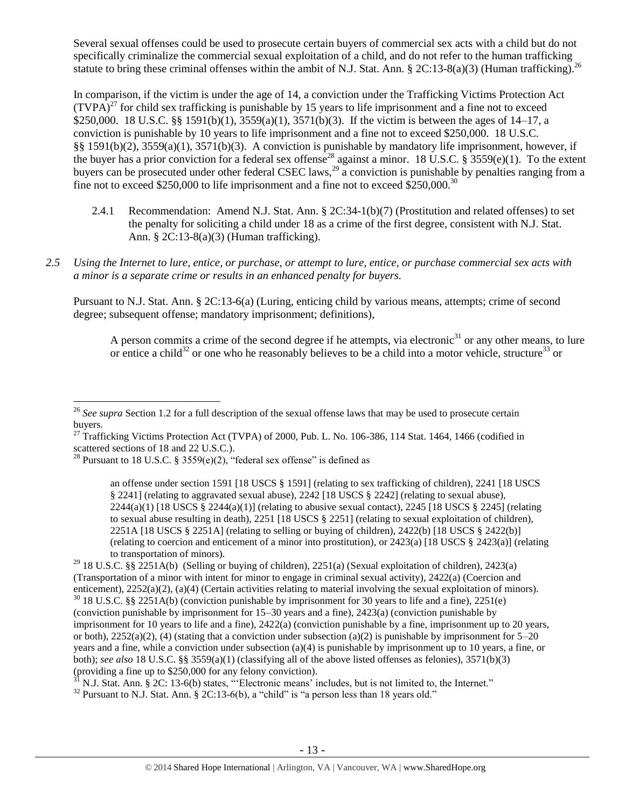Several sexual offenses could be used to prosecute certain buyers of commercial sex acts with a child but do not specifically criminalize the commercial sexual exploitation of a child, and do not refer to the human trafficking statute to bring these criminal offenses within the ambit of N.J. Stat. Ann. § 2C:13-8(a)(3) (Human trafficking).<sup>26</sup>

<span id="page-12-0"></span>In comparison, if the victim is under the age of 14, a conviction under the Trafficking Victims Protection Act  $(TVPA)^{27}$  for child sex trafficking is punishable by 15 years to life imprisonment and a fine not to exceed \$250,000. 18 U.S.C. §§ 1591(b)(1), 3559(a)(1), 3571(b)(3). If the victim is between the ages of 14–17, a conviction is punishable by 10 years to life imprisonment and a fine not to exceed \$250,000. 18 U.S.C. §§ 1591(b)(2), 3559(a)(1), 3571(b)(3). A conviction is punishable by mandatory life imprisonment, however, if the buyer has a prior conviction for a federal sex offense<sup>28</sup> against a minor. 18 U.S.C. § 3559(e)(1). To the extent buyers can be prosecuted under other federal CSEC laws,  $^{29}$  a conviction is punishable by penalties ranging from a fine not to exceed \$250,000 to life imprisonment and a fine not to exceed \$250,000.<sup>30</sup>

- <span id="page-12-1"></span>2.4.1 Recommendation: Amend N.J. Stat. Ann. § 2C:34-1(b)(7) (Prostitution and related offenses) to set the penalty for soliciting a child under 18 as a crime of the first degree, consistent with N.J. Stat. Ann. § 2C:13-8(a)(3) (Human trafficking).
- *2.5 Using the Internet to lure, entice, or purchase, or attempt to lure, entice, or purchase commercial sex acts with a minor is a separate crime or results in an enhanced penalty for buyers.*

Pursuant to N.J. Stat. Ann. § 2C:13-6(a) (Luring, enticing child by various means, attempts; crime of second degree; subsequent offense; mandatory imprisonment; definitions),

A person commits a crime of the second degree if he attempts, via electronic<sup>31</sup> or any other means, to lure or entice a child<sup>32</sup> or one who he reasonably believes to be a child into a motor vehicle, structure<sup>33</sup> or

<sup>27</sup> Trafficking Victims Protection Act (TVPA) of 2000, Pub. L. No. 106-386, 114 Stat. 1464, 1466 (codified in scattered sections of 18 and 22 U.S.C.).

 $\overline{a}$ 

 $3\overline{1}$  N.J. Stat. Ann.  $\S$  2C: 13-6(b) states, "Electronic means' includes, but is not limited to, the Internet."

<sup>26</sup> *See supra* Section 1.2 for a full description of the sexual offense laws that may be used to prosecute certain buyers.

<sup>&</sup>lt;sup>28</sup> Pursuant to 18 U.S.C. § 3559(e)(2), "federal sex offense" is defined as

an offense under section 1591 [18 USCS § 1591] (relating to sex trafficking of children), 2241 [18 USCS § 2241] (relating to aggravated sexual abuse), 2242 [18 USCS § 2242] (relating to sexual abuse),  $2244(a)(1)$  [18 USCS §  $2244(a)(1)$ ] (relating to abusive sexual contact),  $2245$  [18 USCS § 2245] (relating to sexual abuse resulting in death), 2251 [18 USCS § 2251] (relating to sexual exploitation of children), 2251A [18 USCS  $\S$  2251A] (relating to selling or buying of children), 2422(b) [18 USCS  $\S$  2422(b)] (relating to coercion and enticement of a minor into prostitution), or 2423(a) [18 USCS § 2423(a)] (relating to transportation of minors).

<sup>&</sup>lt;sup>29</sup> 18 U.S.C. §§ 2251A(b) (Selling or buying of children), 2251(a) (Sexual exploitation of children), 2423(a) (Transportation of a minor with intent for minor to engage in criminal sexual activity), 2422(a) (Coercion and enticement), 2252(a)(2), (a)(4) (Certain activities relating to material involving the sexual exploitation of minors).  $30\,18$  U.S.C. §§ 2251A(b) (conviction punishable by imprisonment for 30 years to life and a fine), 2251(e) (conviction punishable by imprisonment for 15–30 years and a fine), 2423(a) (conviction punishable by imprisonment for 10 years to life and a fine), 2422(a) (conviction punishable by a fine, imprisonment up to 20 years, or both),  $2252(a)(2)$ , (4) (stating that a conviction under subsection (a)(2) is punishable by imprisonment for  $5-20$ years and a fine, while a conviction under subsection (a)(4) is punishable by imprisonment up to 10 years, a fine, or both); *see also* 18 U.S.C. §§ 3559(a)(1) (classifying all of the above listed offenses as felonies), 3571(b)(3) (providing a fine up to \$250,000 for any felony conviction).

 $32$  Pursuant to N.J. Stat. Ann.  $\frac{8}{3}$  2C:13-6(b), a "child" is "a person less than 18 years old."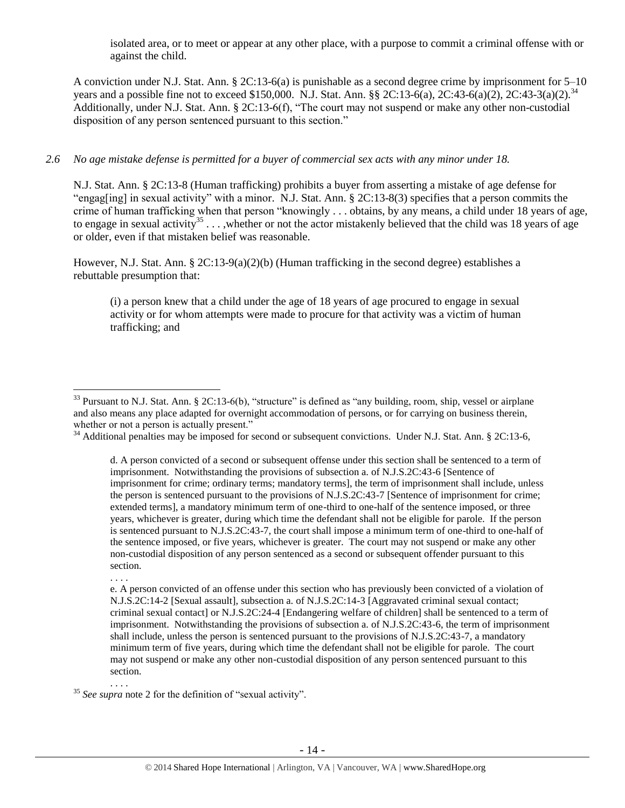<span id="page-13-0"></span>isolated area, or to meet or appear at any other place, with a purpose to commit a criminal offense with or against the child.

A conviction under N.J. Stat. Ann. § 2C:13-6(a) is punishable as a second degree crime by imprisonment for 5–10 years and a possible fine not to exceed \$150,000. N.J. Stat. Ann. §§ 2C:13-6(a), 2C:43-6(a)(2), 2C:43-3(a)(2).<sup>34</sup> Additionally, under N.J. Stat. Ann. § 2C:13-6(f), "The court may not suspend or make any other non-custodial disposition of any person sentenced pursuant to this section."

### *2.6 No age mistake defense is permitted for a buyer of commercial sex acts with any minor under 18.*

N.J. Stat. Ann. § 2C:13-8 (Human trafficking) prohibits a buyer from asserting a mistake of age defense for "engag[ing] in sexual activity" with a minor. N.J. Stat. Ann. § 2C:13-8(3) specifies that a person commits the crime of human trafficking when that person "knowingly . . . obtains, by any means, a child under 18 years of age, to engage in sexual activity<sup>35</sup> . . . ,whether or not the actor mistakenly believed that the child was 18 years of age or older, even if that mistaken belief was reasonable.

However, N.J. Stat. Ann. § 2C:13-9(a)(2)(b) (Human trafficking in the second degree) establishes a rebuttable presumption that:

(i) a person knew that a child under the age of 18 years of age procured to engage in sexual activity or for whom attempts were made to procure for that activity was a victim of human trafficking; and

e. A person convicted of an offense under this section who has previously been convicted of a violation of N.J.S.2C:14-2 [Sexual assault], subsection a. of N.J.S.2C:14-3 [Aggravated criminal sexual contact; criminal sexual contact] or N.J.S.2C:24-4 [Endangering welfare of children] shall be sentenced to a term of imprisonment. Notwithstanding the provisions of subsection a. of N.J.S.2C:43-6, the term of imprisonment shall include, unless the person is sentenced pursuant to the provisions of N.J.S.2C:43-7, a mandatory minimum term of five years, during which time the defendant shall not be eligible for parole. The court may not suspend or make any other non-custodial disposition of any person sentenced pursuant to this section.

 $\overline{a}$ 

. . . .

 $33$  Pursuant to N.J. Stat. Ann. § 2C:13-6(b), "structure" is defined as "any building, room, ship, vessel or airplane and also means any place adapted for overnight accommodation of persons, or for carrying on business therein, whether or not a person is actually present."

<sup>&</sup>lt;sup>34</sup> Additional penalties may be imposed for second or subsequent convictions. Under N.J. Stat. Ann. § 2C:13-6,

d. A person convicted of a second or subsequent offense under this section shall be sentenced to a term of imprisonment. Notwithstanding the provisions of subsection a. of N.J.S.2C:43-6 [Sentence of imprisonment for crime; ordinary terms; mandatory terms], the term of imprisonment shall include, unless the person is sentenced pursuant to the provisions of N.J.S.2C:43-7 [Sentence of imprisonment for crime; extended terms], a mandatory minimum term of one-third to one-half of the sentence imposed, or three years, whichever is greater, during which time the defendant shall not be eligible for parole. If the person is sentenced pursuant to N.J.S.2C:43-7, the court shall impose a minimum term of one-third to one-half of the sentence imposed, or five years, whichever is greater. The court may not suspend or make any other non-custodial disposition of any person sentenced as a second or subsequent offender pursuant to this section.

<sup>. . . .</sup>  <sup>35</sup> See supra note [2](#page-1-0) for the definition of "sexual activity".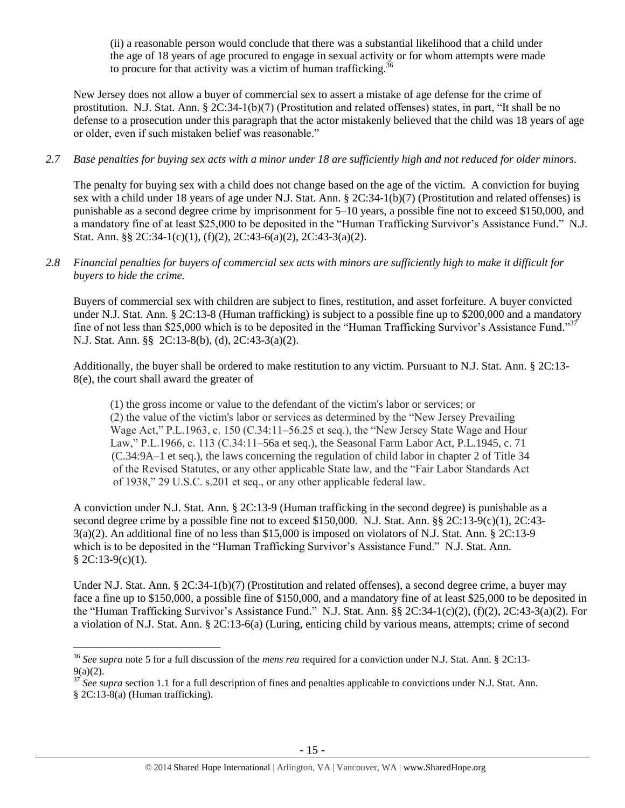(ii) a reasonable person would conclude that there was a substantial likelihood that a child under the age of 18 years of age procured to engage in sexual activity or for whom attempts were made to procure for that activity was a victim of human trafficking.<sup>36</sup>

New Jersey does not allow a buyer of commercial sex to assert a mistake of age defense for the crime of prostitution. N.J. Stat. Ann. § 2C:34-1(b)(7) (Prostitution and related offenses) states, in part, "It shall be no defense to a prosecution under this paragraph that the actor mistakenly believed that the child was 18 years of age or older, even if such mistaken belief was reasonable."

*2.7 Base penalties for buying sex acts with a minor under 18 are sufficiently high and not reduced for older minors.*

The penalty for buying sex with a child does not change based on the age of the victim. A conviction for buying sex with a child under 18 years of age under N.J. Stat. Ann. § 2C:34-1(b)(7) (Prostitution and related offenses) is punishable as a second degree crime by imprisonment for 5–10 years, a possible fine not to exceed \$150,000, and a mandatory fine of at least \$25,000 to be deposited in the "Human Trafficking Survivor's Assistance Fund." N.J. Stat. Ann. §§ 2C:34-1(c)(1), (f)(2), 2C:43-6(a)(2), 2C:43-3(a)(2).

*2.8 Financial penalties for buyers of commercial sex acts with minors are sufficiently high to make it difficult for buyers to hide the crime.* 

Buyers of commercial sex with children are subject to fines, restitution, and asset forfeiture. A buyer convicted under N.J. Stat. Ann. § 2C:13-8 (Human trafficking) is subject to a possible fine up to \$200,000 and a mandatory fine of not less than \$25,000 which is to be deposited in the "Human Trafficking Survivor's Assistance Fund."<sup>37</sup> N.J. Stat. Ann. §§ 2C:13-8(b), (d), 2C:43-3(a)(2).

Additionally, the buyer shall be ordered to make restitution to any victim. Pursuant to N.J. Stat. Ann. § 2C:13- 8(e), the court shall award the greater of

(1) the gross income or value to the defendant of the victim's labor or services; or (2) the value of the victim's labor or services as determined by the "New Jersey Prevailing Wage Act," P.L.1963, c. 150 (C.34:11–56.25 et seq.), the "New Jersey State Wage and Hour Law," P.L.1966, c. 113 (C.34:11–56a et seq.), the Seasonal Farm Labor Act, P.L.1945, c. 71 (C.34:9A–1 et seq.), the laws concerning the regulation of child labor in chapter 2 of Title 34 of the Revised Statutes, or any other applicable State law, and the "Fair Labor Standards Act of 1938," 29 U.S.C. s.201 et seq., or any other applicable federal law.

A conviction under N.J. Stat. Ann. § 2C:13-9 (Human trafficking in the second degree) is punishable as a second degree crime by a possible fine not to exceed \$150,000. N.J. Stat. Ann. §§ 2C:13-9(c)(1), 2C:43-3(a)(2). An additional fine of no less than \$15,000 is imposed on violators of N.J. Stat. Ann. § 2C:13-9 which is to be deposited in the "Human Trafficking Survivor's Assistance Fund." N.J. Stat. Ann.  $$2C:13-9(c)(1).$ 

Under N.J. Stat. Ann. § 2C:34-1(b)(7) (Prostitution and related offenses), a second degree crime, a buyer may face a fine up to \$150,000, a possible fine of \$150,000, and a mandatory fine of at least \$25,000 to be deposited in the "Human Trafficking Survivor's Assistance Fund." N.J. Stat. Ann. §§ 2C:34-1(c)(2), (f)(2), 2C:43-3(a)(2). For a violation of N.J. Stat. Ann. § 2C:13-6(a) (Luring, enticing child by various means, attempts; crime of second

 $\overline{a}$ <sup>36</sup> *See supra* note [5](#page-2-0) for a full discussion of the *mens rea* required for a conviction under N.J. Stat. Ann. § 2C:13-  $9(a)(2)$ .

<sup>&</sup>lt;sup>37</sup> See supra section 1.1 for a full description of fines and penalties applicable to convictions under N.J. Stat. Ann.

<sup>§</sup> 2C:13-8(a) (Human trafficking).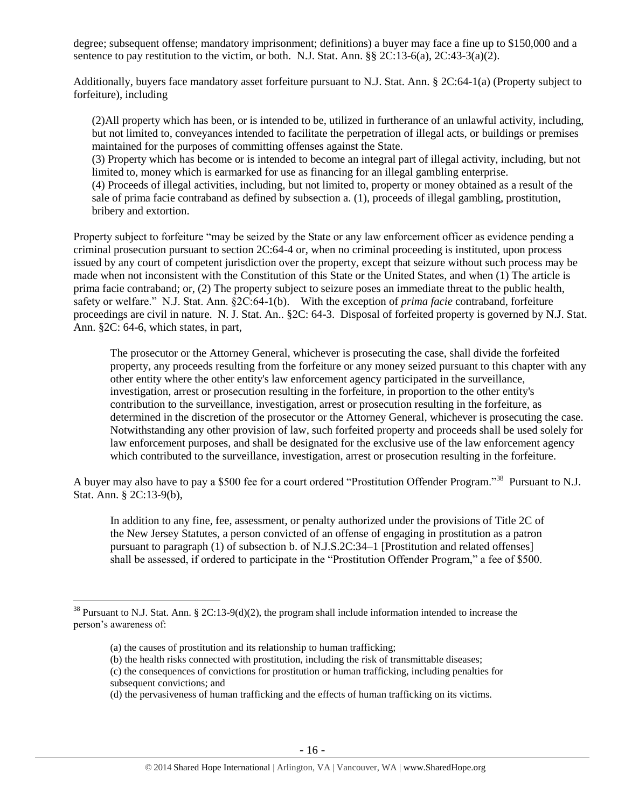degree; subsequent offense; mandatory imprisonment; definitions) a buyer may face a fine up to \$150,000 and a sentence to pay restitution to the victim, or both. N.J. Stat. Ann.  $\S$ § 2C:13-6(a), 2C:43-3(a)(2).

Additionally, buyers face mandatory asset forfeiture pursuant to N.J. Stat. Ann. § 2C:64-1(a) (Property subject to forfeiture), including

(2)All property which has been, or is intended to be, utilized in furtherance of an unlawful activity, including, but not limited to, conveyances intended to facilitate the perpetration of illegal acts, or buildings or premises maintained for the purposes of committing offenses against the State.

(3) Property which has become or is intended to become an integral part of illegal activity, including, but not limited to, money which is earmarked for use as financing for an illegal gambling enterprise.

(4) Proceeds of illegal activities, including, but not limited to, property or money obtained as a result of the sale of prima facie contraband as defined by subsection a. (1), proceeds of illegal gambling, prostitution, bribery and extortion.

Property subject to forfeiture "may be seized by the State or any law enforcement officer as evidence pending a criminal prosecution pursuant to section 2C:64-4 or, when no criminal proceeding is instituted, upon process issued by any court of competent jurisdiction over the property, except that seizure without such process may be made when not inconsistent with the Constitution of this State or the United States, and when (1) The article is prima facie contraband; or, (2) The property subject to seizure poses an immediate threat to the public health, safety or welfare." N.J. Stat. Ann. §2C:64-1(b). With the exception of *prima facie* contraband, forfeiture proceedings are civil in nature. N. J. Stat. An.. §2C: 64-3. Disposal of forfeited property is governed by N.J. Stat. Ann. §2C: 64-6, which states, in part,

The prosecutor or the Attorney General, whichever is prosecuting the case, shall divide the forfeited property, any proceeds resulting from the forfeiture or any money seized pursuant to this chapter with any other entity where the other entity's law enforcement agency participated in the surveillance, investigation, arrest or prosecution resulting in the forfeiture, in proportion to the other entity's contribution to the surveillance, investigation, arrest or prosecution resulting in the forfeiture, as determined in the discretion of the prosecutor or the Attorney General, whichever is prosecuting the case. Notwithstanding any other provision of law, such forfeited property and proceeds shall be used solely for law enforcement purposes, and shall be designated for the exclusive use of the law enforcement agency which contributed to the surveillance, investigation, arrest or prosecution resulting in the forfeiture.

A buyer may also have to pay a \$500 fee for a court ordered "Prostitution Offender Program."<sup>38</sup> Pursuant to N.J. Stat. Ann. § 2C:13-9(b),

In addition to any fine, fee, assessment, or penalty authorized under the provisions of Title 2C of the New Jersey Statutes, a person convicted of an offense of engaging in prostitution as a patron pursuant to paragraph (1) of subsection b. of N.J.S.2C:34–1 [Prostitution and related offenses] shall be assessed, if ordered to participate in the "Prostitution Offender Program," a fee of \$500.

 $38$  Pursuant to N.J. Stat. Ann. § 2C:13-9(d)(2), the program shall include information intended to increase the person's awareness of:

<sup>(</sup>a) the causes of prostitution and its relationship to human trafficking;

<sup>(</sup>b) the health risks connected with prostitution, including the risk of transmittable diseases;

<sup>(</sup>c) the consequences of convictions for prostitution or human trafficking, including penalties for subsequent convictions; and

<sup>(</sup>d) the pervasiveness of human trafficking and the effects of human trafficking on its victims.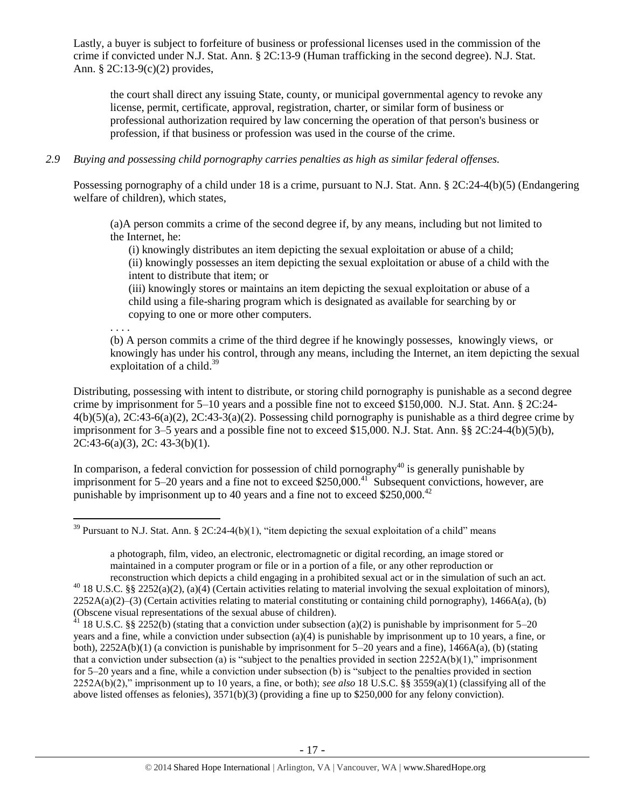Lastly, a buyer is subject to forfeiture of business or professional licenses used in the commission of the crime if convicted under N.J. Stat. Ann. § 2C:13-9 (Human trafficking in the second degree). N.J. Stat. Ann. § 2C:13-9(c)(2) provides,

the court shall direct any issuing State, county, or municipal governmental agency to revoke any license, permit, certificate, approval, registration, charter, or similar form of business or professional authorization required by law concerning the operation of that person's business or profession, if that business or profession was used in the course of the crime.

### *2.9 Buying and possessing child pornography carries penalties as high as similar federal offenses.*

Possessing pornography of a child under 18 is a crime, pursuant to N.J. Stat. Ann. § 2C:24-4(b)(5) (Endangering welfare of children), which states,

(a)A person commits a crime of the second degree if, by any means, including but not limited to the Internet, he:

(i) knowingly distributes an item depicting the sexual exploitation or abuse of a child; (ii) knowingly possesses an item depicting the sexual exploitation or abuse of a child with the

intent to distribute that item; or

(iii) knowingly stores or maintains an item depicting the sexual exploitation or abuse of a child using a file-sharing program which is designated as available for searching by or copying to one or more other computers.

. . . .

 $\overline{a}$ 

(b) A person commits a crime of the third degree if he knowingly possesses, knowingly views, or knowingly has under his control, through any means, including the Internet, an item depicting the sexual exploitation of a child.<sup>39</sup>

Distributing, possessing with intent to distribute, or storing child pornography is punishable as a second degree crime by imprisonment for 5–10 years and a possible fine not to exceed \$150,000. N.J. Stat. Ann. § 2C:24-  $4(b)(5)(a)$ ,  $2C:43-6(a)(2)$ ,  $2C:43-3(a)(2)$ . Possessing child pornography is punishable as a third degree crime by imprisonment for 3–5 years and a possible fine not to exceed \$15,000. N.J. Stat. Ann. §§ 2C:24-4(b)(5)(b), 2C:43-6(a)(3), 2C: 43-3(b)(1).

In comparison, a federal conviction for possession of child pornography<sup>40</sup> is generally punishable by imprisonment for 5–20 years and a fine not to exceed  $$250,000.<sup>41</sup>$  Subsequent convictions, however, are punishable by imprisonment up to 40 years and a fine not to exceed  $$250,000.<sup>42</sup>$ 

 $39$  Pursuant to N.J. Stat. Ann. § 2C:24-4(b)(1), "item depicting the sexual exploitation of a child" means

a photograph, film, video, an electronic, electromagnetic or digital recording, an image stored or maintained in a computer program or file or in a portion of a file, or any other reproduction or

reconstruction which depicts a child engaging in a prohibited sexual act or in the simulation of such an act. <sup>40</sup> 18 U.S.C. §§ 2252(a)(2), (a)(4) (Certain activities relating to material involving the sexual exploitation of minors),  $2252A(a)(2)$ –(3) (Certain activities relating to material constituting or containing child pornography), 1466A(a), (b) (Obscene visual representations of the sexual abuse of children).

<sup>&</sup>lt;sup>41</sup> 18 U.S.C. §§ 2252(b) (stating that a conviction under subsection (a)(2) is punishable by imprisonment for 5–20 years and a fine, while a conviction under subsection (a)(4) is punishable by imprisonment up to 10 years, a fine, or both),  $2252A(b)(1)$  (a conviction is punishable by imprisonment for 5–20 years and a fine),  $1466A(a)$ , (b) (stating that a conviction under subsection (a) is "subject to the penalties provided in section  $2252A(b)(1)$ ," imprisonment for 5–20 years and a fine, while a conviction under subsection (b) is "subject to the penalties provided in section 2252A(b)(2)," imprisonment up to 10 years, a fine, or both); *see also* 18 U.S.C. §§ 3559(a)(1) (classifying all of the above listed offenses as felonies), 3571(b)(3) (providing a fine up to \$250,000 for any felony conviction).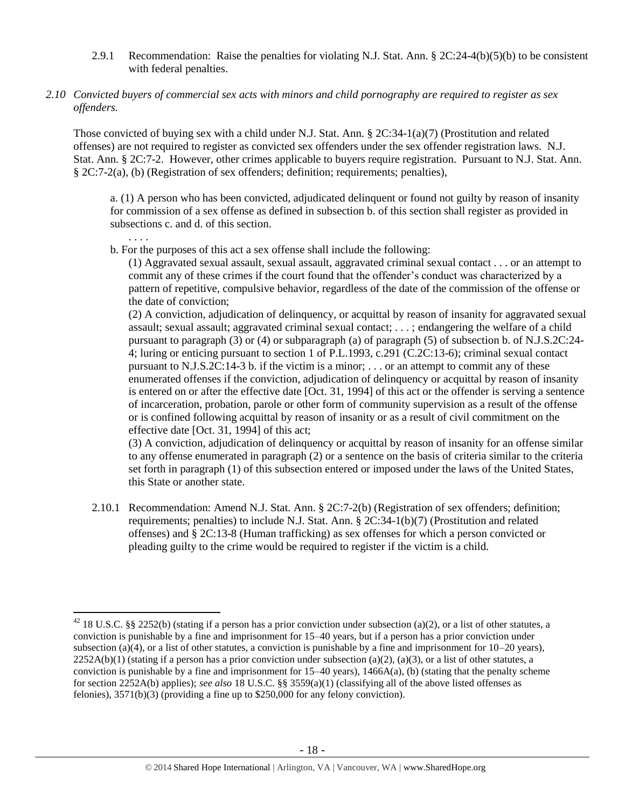- 2.9.1 Recommendation: Raise the penalties for violating N.J. Stat. Ann. § 2C:24-4(b)(5)(b) to be consistent with federal penalties.
- *2.10 Convicted buyers of commercial sex acts with minors and child pornography are required to register as sex offenders.*

Those convicted of buying sex with a child under N.J. Stat. Ann. § 2C:34-1(a)(7) (Prostitution and related offenses) are not required to register as convicted sex offenders under the sex offender registration laws. N.J. Stat. Ann. § 2C:7-2. However, other crimes applicable to buyers require registration. Pursuant to N.J. Stat. Ann. § 2C:7-2(a), (b) (Registration of sex offenders; definition; requirements; penalties),

a. (1) A person who has been convicted, adjudicated delinquent or found not guilty by reason of insanity for commission of a sex offense as defined in subsection b. of this section shall register as provided in subsections c. and d. of this section.

. . . . b. For the purposes of this act a sex offense shall include the following:

(1) Aggravated sexual assault, sexual assault, aggravated criminal sexual contact . . . or an attempt to commit any of these crimes if the court found that the offender's conduct was characterized by a pattern of repetitive, compulsive behavior, regardless of the date of the commission of the offense or the date of conviction;

(2) A conviction, adjudication of delinquency, or acquittal by reason of insanity for aggravated sexual assault; sexual assault; aggravated criminal sexual contact; . . . ; endangering the welfare of a child pursuant to paragraph (3) or (4) or subparagraph (a) of paragraph (5) of subsection b. of N.J.S.2C:24- 4; luring or enticing pursuant to section 1 of P.L.1993, c.291 (C.2C:13-6); criminal sexual contact pursuant to N.J.S.2C:14-3 b. if the victim is a minor;  $\ldots$  or an attempt to commit any of these enumerated offenses if the conviction, adjudication of delinquency or acquittal by reason of insanity is entered on or after the effective date [Oct. 31, 1994] of this act or the offender is serving a sentence of incarceration, probation, parole or other form of community supervision as a result of the offense or is confined following acquittal by reason of insanity or as a result of civil commitment on the effective date [Oct. 31, 1994] of this act;

(3) A conviction, adjudication of delinquency or acquittal by reason of insanity for an offense similar to any offense enumerated in paragraph (2) or a sentence on the basis of criteria similar to the criteria set forth in paragraph (1) of this subsection entered or imposed under the laws of the United States, this State or another state.

2.10.1 Recommendation: Amend N.J. Stat. Ann. § 2C:7-2(b) (Registration of sex offenders; definition; requirements; penalties) to include N.J. Stat. Ann. § 2C:34-1(b)(7) (Prostitution and related offenses) and § 2C:13-8 (Human trafficking) as sex offenses for which a person convicted or pleading guilty to the crime would be required to register if the victim is a child.

<sup>&</sup>lt;sup>42</sup> 18 U.S.C. §§ 2252(b) (stating if a person has a prior conviction under subsection (a)(2), or a list of other statutes, a conviction is punishable by a fine and imprisonment for 15–40 years, but if a person has a prior conviction under subsection (a)(4), or a list of other statutes, a conviction is punishable by a fine and imprisonment for  $10-20$  years),  $2252A(b)(1)$  (stating if a person has a prior conviction under subsection (a)(2), (a)(3), or a list of other statutes, a conviction is punishable by a fine and imprisonment for  $15-40$  years),  $1466A(a)$ , (b) (stating that the penalty scheme for section 2252A(b) applies); *see also* 18 U.S.C. §§ 3559(a)(1) (classifying all of the above listed offenses as felonies), 3571(b)(3) (providing a fine up to \$250,000 for any felony conviction).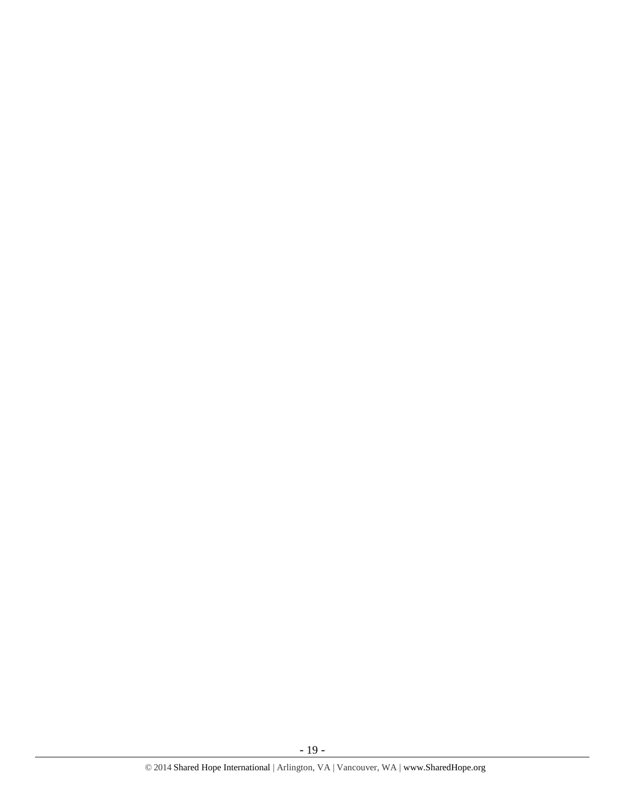# $\copyright$  2014 Shared Hope International | Arlington, VA | Vancouver, WA | www.SharedHope.org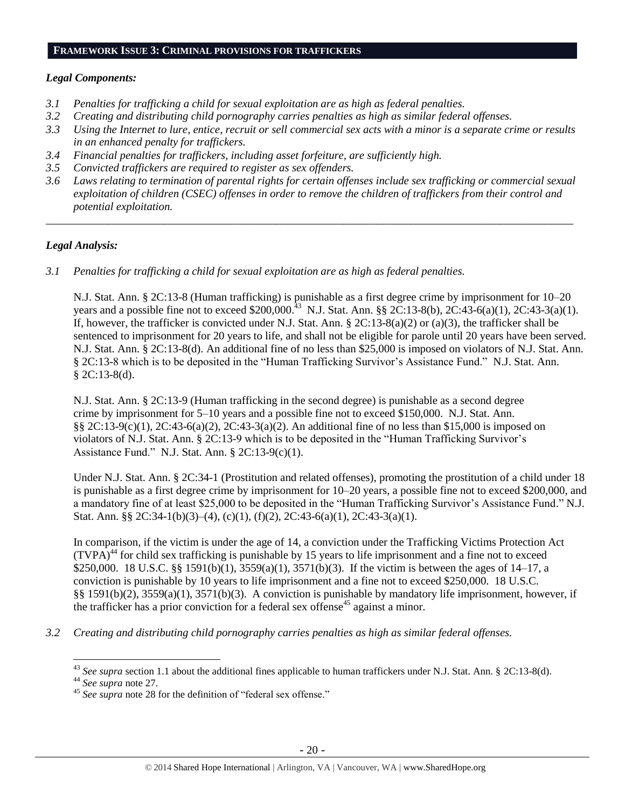### **FRAMEWORK ISSUE 3: CRIMINAL PROVISIONS FOR TRAFFICKERS**

### *Legal Components:*

- *3.1 Penalties for trafficking a child for sexual exploitation are as high as federal penalties.*
- *3.2 Creating and distributing child pornography carries penalties as high as similar federal offenses.*
- *3.3 Using the Internet to lure, entice, recruit or sell commercial sex acts with a minor is a separate crime or results in an enhanced penalty for traffickers.*
- *3.4 Financial penalties for traffickers, including asset forfeiture, are sufficiently high.*
- *3.5 Convicted traffickers are required to register as sex offenders.*
- *3.6 Laws relating to termination of parental rights for certain offenses include sex trafficking or commercial sexual exploitation of children (CSEC) offenses in order to remove the children of traffickers from their control and potential exploitation.*

*\_\_\_\_\_\_\_\_\_\_\_\_\_\_\_\_\_\_\_\_\_\_\_\_\_\_\_\_\_\_\_\_\_\_\_\_\_\_\_\_\_\_\_\_\_\_\_\_\_\_\_\_\_\_\_\_\_\_\_\_\_\_\_\_\_\_\_\_\_\_\_\_\_\_\_\_\_\_\_\_\_\_\_\_\_\_\_\_\_\_\_\_\_\_*

### *Legal Analysis:*

*3.1 Penalties for trafficking a child for sexual exploitation are as high as federal penalties.* 

N.J. Stat. Ann. § 2C:13-8 (Human trafficking) is punishable as a first degree crime by imprisonment for 10–20 years and a possible fine not to exceed \$200,000.<sup>43</sup> N.J. Stat. Ann. §§ 2C:13-8(b), 2C:43-6(a)(1), 2C:43-3(a)(1). If, however, the trafficker is convicted under N.J. Stat. Ann.  $\S 2C:13-8(a)(2)$  or (a)(3), the trafficker shall be sentenced to imprisonment for 20 years to life, and shall not be eligible for parole until 20 years have been served. N.J. Stat. Ann. § 2C:13-8(d). An additional fine of no less than \$25,000 is imposed on violators of N.J. Stat. Ann. § 2C:13-8 which is to be deposited in the "Human Trafficking Survivor's Assistance Fund." N.J. Stat. Ann.  $$2C:13-8(d).$ 

N.J. Stat. Ann. § 2C:13-9 (Human trafficking in the second degree) is punishable as a second degree crime by imprisonment for 5–10 years and a possible fine not to exceed \$150,000. N.J. Stat. Ann. §§ 2C:13-9(c)(1), 2C:43-6(a)(2), 2C:43-3(a)(2). An additional fine of no less than \$15,000 is imposed on violators of N.J. Stat. Ann. § 2C:13-9 which is to be deposited in the "Human Trafficking Survivor's Assistance Fund." N.J. Stat. Ann. § 2C:13-9(c)(1).

Under N.J. Stat. Ann. § 2C:34-1 (Prostitution and related offenses), promoting the prostitution of a child under 18 is punishable as a first degree crime by imprisonment for 10–20 years, a possible fine not to exceed \$200,000, and a mandatory fine of at least \$25,000 to be deposited in the "Human Trafficking Survivor's Assistance Fund." N.J. Stat. Ann. §§ 2C:34-1(b)(3)–(4), (c)(1), (f)(2), 2C:43-6(a)(1), 2C:43-3(a)(1).

In comparison, if the victim is under the age of 14, a conviction under the Trafficking Victims Protection Act  $(TVPA)<sup>44</sup>$  for child sex trafficking is punishable by 15 years to life imprisonment and a fine not to exceed \$250,000. 18 U.S.C. §§ 1591(b)(1),  $3559(a)(1)$ ,  $3571(b)(3)$ . If the victim is between the ages of 14–17, a conviction is punishable by 10 years to life imprisonment and a fine not to exceed \$250,000. 18 U.S.C. §§ 1591(b)(2), 3559(a)(1), 3571(b)(3). A conviction is punishable by mandatory life imprisonment, however, if the trafficker has a prior conviction for a federal sex offense<sup>45</sup> against a minor.

*3.2 Creating and distributing child pornography carries penalties as high as similar federal offenses.*

<sup>43</sup> *See supra* section 1.1 about the additional fines applicable to human traffickers under N.J. Stat. Ann. § 2C:13-8(d).

<sup>44</sup> *See supra* note [27.](#page-12-0)

<sup>45</sup> *See supra* note [28](#page-12-1) for the definition of "federal sex offense."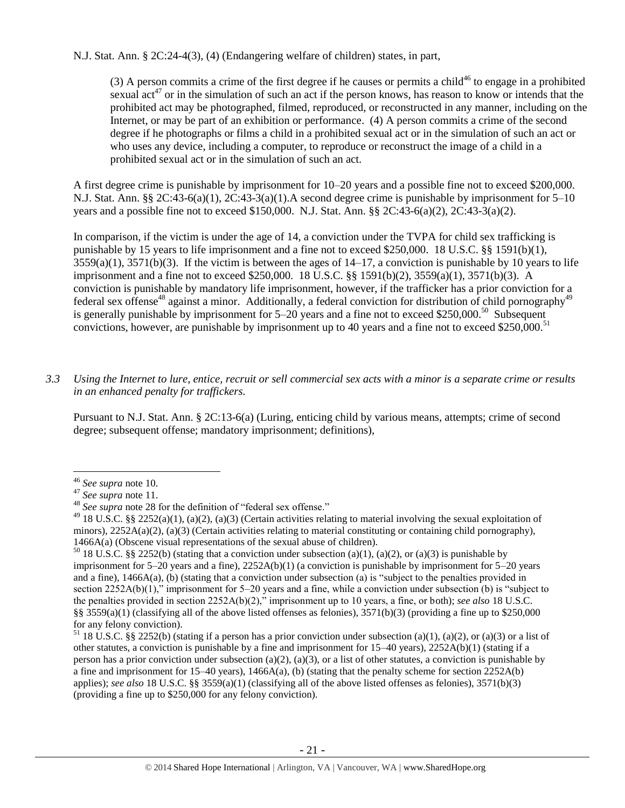N.J. Stat. Ann. § 2C:24-4(3), (4) (Endangering welfare of children) states, in part,

(3) A person commits a crime of the first degree if he causes or permits a child<sup>46</sup> to engage in a prohibited sexual act<sup>47</sup> or in the simulation of such an act if the person knows, has reason to know or intends that the prohibited act may be photographed, filmed, reproduced, or reconstructed in any manner, including on the Internet, or may be part of an exhibition or performance. (4) A person commits a crime of the second degree if he photographs or films a child in a prohibited sexual act or in the simulation of such an act or who uses any device, including a computer, to reproduce or reconstruct the image of a child in a prohibited sexual act or in the simulation of such an act.

A first degree crime is punishable by imprisonment for 10–20 years and a possible fine not to exceed \$200,000. N.J. Stat. Ann. §§ 2C:43-6(a)(1), 2C:43-3(a)(1). A second degree crime is punishable by imprisonment for  $5-10$ years and a possible fine not to exceed \$150,000. N.J. Stat. Ann. §§ 2C:43-6(a)(2), 2C:43-3(a)(2).

In comparison, if the victim is under the age of 14, a conviction under the TVPA for child sex trafficking is punishable by 15 years to life imprisonment and a fine not to exceed \$250,000. 18 U.S.C. §§ 1591(b)(1),  $3559(a)(1)$ ,  $3571(b)(3)$ . If the victim is between the ages of  $14-17$ , a conviction is punishable by 10 years to life imprisonment and a fine not to exceed \$250,000. 18 U.S.C. §§ 1591(b)(2), 3559(a)(1), 3571(b)(3). A conviction is punishable by mandatory life imprisonment, however, if the trafficker has a prior conviction for a federal sex offense<sup>48</sup> against a minor. Additionally, a federal conviction for distribution of child pornography<sup>49</sup> is generally punishable by imprisonment for  $5-20$  years and a fine not to exceed \$250,000.<sup>50</sup> Subsequent convictions, however, are punishable by imprisonment up to 40 years and a fine not to exceed \$250,000.<sup>51</sup>

*3.3 Using the Internet to lure, entice, recruit or sell commercial sex acts with a minor is a separate crime or results in an enhanced penalty for traffickers.*

Pursuant to N.J. Stat. Ann. § 2C:13-6(a) (Luring, enticing child by various means, attempts; crime of second degree; subsequent offense; mandatory imprisonment; definitions),

<sup>46</sup> *See supra* note [10.](#page-4-0)

<sup>47</sup> *See supra* note [11.](#page-4-1)

<sup>48</sup> *See supra* note [28](#page-12-1) for the definition of "federal sex offense."

<sup>&</sup>lt;sup>49</sup> 18 U.S.C. §§ 2252(a)(1), (a)(2), (a)(3) (Certain activities relating to material involving the sexual exploitation of minors),  $2252A(a)(2)$ , (a)(3) (Certain activities relating to material constituting or containing child pornography), 1466A(a) (Obscene visual representations of the sexual abuse of children).

 $50$  18 U.S.C. §§ 2252(b) (stating that a conviction under subsection (a)(1), (a)(2), or (a)(3) is punishable by imprisonment for 5–20 years and a fine), 2252A(b)(1) (a conviction is punishable by imprisonment for 5–20 years and a fine), 1466A(a), (b) (stating that a conviction under subsection (a) is "subject to the penalties provided in section 2252A(b)(1)," imprisonment for 5–20 years and a fine, while a conviction under subsection (b) is "subject to the penalties provided in section 2252A(b)(2)," imprisonment up to 10 years, a fine, or both); *see also* 18 U.S.C. §§ 3559(a)(1) (classifying all of the above listed offenses as felonies),  $3571(b)(3)$  (providing a fine up to \$250,000 for any felony conviction).

<sup>&</sup>lt;sup>51</sup> 18 U.S.C. §§ 2252(b) (stating if a person has a prior conviction under subsection (a)(1), (a)(2), or (a)(3) or a list of other statutes, a conviction is punishable by a fine and imprisonment for  $15-40$  years),  $2252A(b)(1)$  (stating if a person has a prior conviction under subsection (a)(2), (a)(3), or a list of other statutes, a conviction is punishable by a fine and imprisonment for  $15-40$  years),  $1466A(a)$ , (b) (stating that the penalty scheme for section  $2252A(b)$ applies); *see also* 18 U.S.C. §§ 3559(a)(1) (classifying all of the above listed offenses as felonies), 3571(b)(3) (providing a fine up to \$250,000 for any felony conviction).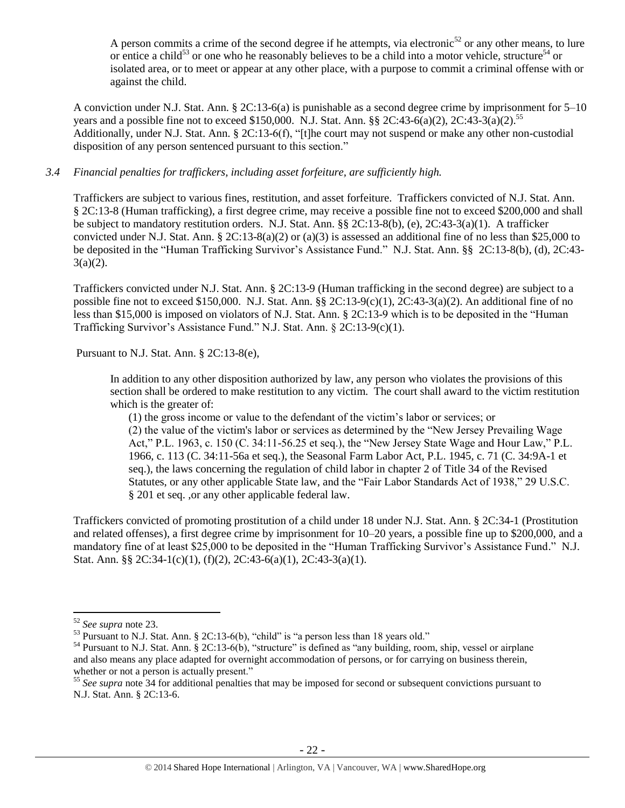A person commits a crime of the second degree if he attempts, via electronic<sup>52</sup> or any other means, to lure or entice a child<sup>53</sup> or one who he reasonably believes to be a child into a motor vehicle, structure<sup>54</sup> or isolated area, or to meet or appear at any other place, with a purpose to commit a criminal offense with or against the child.

A conviction under N.J. Stat. Ann. § 2C:13-6(a) is punishable as a second degree crime by imprisonment for 5–10 years and a possible fine not to exceed \$150,000. N.J. Stat. Ann. §§ 2C:43-6(a)(2), 2C:43-3(a)(2).<sup>55</sup> Additionally, under N.J. Stat. Ann. § 2C:13-6(f), "[t]he court may not suspend or make any other non-custodial disposition of any person sentenced pursuant to this section."

### *3.4 Financial penalties for traffickers, including asset forfeiture, are sufficiently high.*

Traffickers are subject to various fines, restitution, and asset forfeiture. Traffickers convicted of N.J. Stat. Ann. § 2C:13-8 (Human trafficking), a first degree crime, may receive a possible fine not to exceed \$200,000 and shall be subject to mandatory restitution orders. N.J. Stat. Ann. §§ 2C:13-8(b), (e), 2C:43-3(a)(1). A trafficker convicted under N.J. Stat. Ann. § 2C:13-8(a)(2) or (a)(3) is assessed an additional fine of no less than \$25,000 to be deposited in the "Human Trafficking Survivor's Assistance Fund." N.J. Stat. Ann. §§ 2C:13-8(b), (d), 2C:43-  $3(a)(2)$ .

Traffickers convicted under N.J. Stat. Ann. § 2C:13-9 (Human trafficking in the second degree) are subject to a possible fine not to exceed \$150,000. N.J. Stat. Ann. §§ 2C:13-9(c)(1), 2C:43-3(a)(2). An additional fine of no less than \$15,000 is imposed on violators of N.J. Stat. Ann. § 2C:13-9 which is to be deposited in the "Human Trafficking Survivor's Assistance Fund." N.J. Stat. Ann. § 2C:13-9(c)(1).

Pursuant to N.J. Stat. Ann. § 2C:13-8(e),

In addition to any other disposition authorized by law, any person who violates the provisions of this section shall be ordered to make restitution to any victim. The court shall award to the victim restitution which is the greater of:

(1) the gross income or value to the defendant of the victim's labor or services; or (2) the value of the victim's labor or services as determined by the "New Jersey Prevailing Wage Act," P.L. 1963, c. 150 (C. 34:11-56.25 et seq.), the "New Jersey State Wage and Hour Law," P.L. 1966, c. 113 (C. 34:11-56a et seq.), the Seasonal Farm Labor Act, P.L. 1945, c. 71 (C. 34:9A-1 et seq.), the laws concerning the regulation of child labor in chapter 2 of Title 34 of the Revised Statutes, or any other applicable State law, and the "Fair Labor Standards Act of 1938," 29 U.S.C. § 201 et seq. ,or any other applicable federal law.

Traffickers convicted of promoting prostitution of a child under 18 under N.J. Stat. Ann. § 2C:34-1 (Prostitution and related offenses), a first degree crime by imprisonment for 10–20 years, a possible fine up to \$200,000, and a mandatory fine of at least \$25,000 to be deposited in the "Human Trafficking Survivor's Assistance Fund." N.J. Stat. Ann. §§ 2C:34-1(c)(1), (f)(2), 2C:43-6(a)(1), 2C:43-3(a)(1).

<sup>52</sup> *See supra* note 23.

 $53$  Pursuant to N.J. Stat. Ann. § 2C:13-6(b), "child" is "a person less than 18 years old."

<sup>&</sup>lt;sup>54</sup> Pursuant to N.J. Stat. Ann. § 2C:13-6(b), "structure" is defined as "any building, room, ship, vessel or airplane and also means any place adapted for overnight accommodation of persons, or for carrying on business therein, whether or not a person is actually present."

<sup>55</sup> *See supra* note [34](#page-13-0) for additional penalties that may be imposed for second or subsequent convictions pursuant to N.J. Stat. Ann. § 2C:13-6.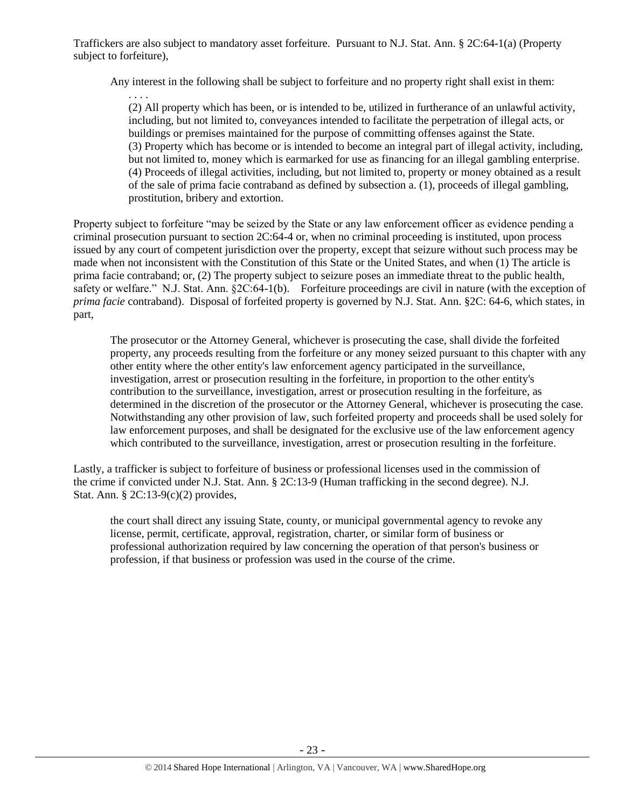Traffickers are also subject to mandatory asset forfeiture. Pursuant to N.J. Stat. Ann. § 2C:64-1(a) (Property subject to forfeiture),

Any interest in the following shall be subject to forfeiture and no property right shall exist in them:

. . . . (2) All property which has been, or is intended to be, utilized in furtherance of an unlawful activity, including, but not limited to, conveyances intended to facilitate the perpetration of illegal acts, or buildings or premises maintained for the purpose of committing offenses against the State. (3) Property which has become or is intended to become an integral part of illegal activity, including, but not limited to, money which is earmarked for use as financing for an illegal gambling enterprise. (4) Proceeds of illegal activities, including, but not limited to, property or money obtained as a result of the sale of prima facie contraband as defined by subsection a. (1), proceeds of illegal gambling, prostitution, bribery and extortion.

Property subject to forfeiture "may be seized by the State or any law enforcement officer as evidence pending a criminal prosecution pursuant to section 2C:64-4 or, when no criminal proceeding is instituted, upon process issued by any court of competent jurisdiction over the property, except that seizure without such process may be made when not inconsistent with the Constitution of this State or the United States, and when (1) The article is prima facie contraband; or, (2) The property subject to seizure poses an immediate threat to the public health, safety or welfare." N.J. Stat. Ann. §2C:64-1(b). Forfeiture proceedings are civil in nature (with the exception of *prima facie* contraband). Disposal of forfeited property is governed by N.J. Stat. Ann. §2C: 64-6, which states, in part,

The prosecutor or the Attorney General, whichever is prosecuting the case, shall divide the forfeited property, any proceeds resulting from the forfeiture or any money seized pursuant to this chapter with any other entity where the other entity's law enforcement agency participated in the surveillance, investigation, arrest or prosecution resulting in the forfeiture, in proportion to the other entity's contribution to the surveillance, investigation, arrest or prosecution resulting in the forfeiture, as determined in the discretion of the prosecutor or the Attorney General, whichever is prosecuting the case. Notwithstanding any other provision of law, such forfeited property and proceeds shall be used solely for law enforcement purposes, and shall be designated for the exclusive use of the law enforcement agency which contributed to the surveillance, investigation, arrest or prosecution resulting in the forfeiture.

Lastly, a trafficker is subject to forfeiture of business or professional licenses used in the commission of the crime if convicted under N.J. Stat. Ann. § 2C:13-9 (Human trafficking in the second degree). N.J. Stat. Ann. § 2C:13-9(c)(2) provides,

the court shall direct any issuing State, county, or municipal governmental agency to revoke any license, permit, certificate, approval, registration, charter, or similar form of business or professional authorization required by law concerning the operation of that person's business or profession, if that business or profession was used in the course of the crime.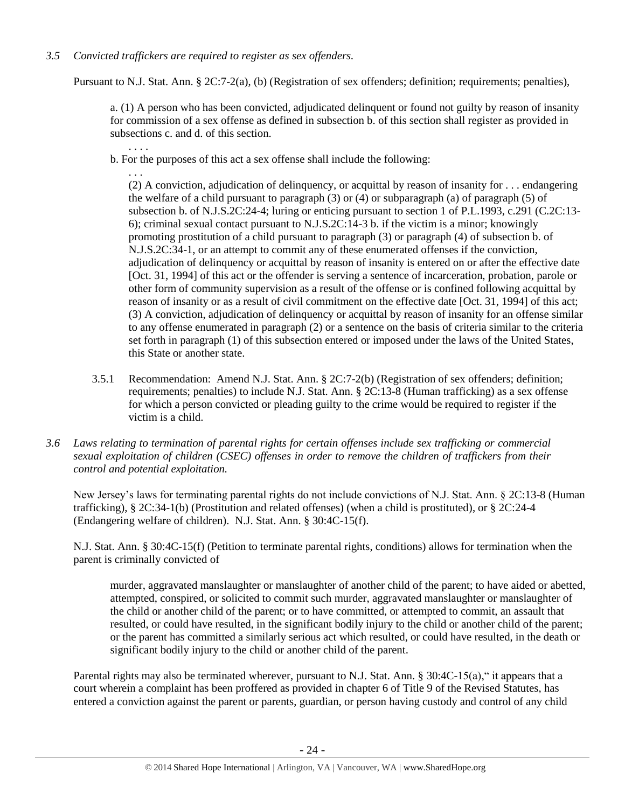# *3.5 Convicted traffickers are required to register as sex offenders.*

Pursuant to N.J. Stat. Ann. § 2C:7-2(a), (b) (Registration of sex offenders; definition; requirements; penalties),

a. (1) A person who has been convicted, adjudicated delinquent or found not guilty by reason of insanity for commission of a sex offense as defined in subsection b. of this section shall register as provided in subsections c. and d. of this section.

. . . . b. For the purposes of this act a sex offense shall include the following:

. . . (2) A conviction, adjudication of delinquency, or acquittal by reason of insanity for . . . endangering the welfare of a child pursuant to paragraph (3) or (4) or subparagraph (a) of paragraph (5) of subsection b. of N.J.S.2C:24-4; luring or enticing pursuant to section 1 of P.L.1993, c.291 (C.2C:13- 6); criminal sexual contact pursuant to N.J.S.2C:14-3 b. if the victim is a minor; knowingly promoting prostitution of a child pursuant to paragraph (3) or paragraph (4) of subsection b. of N.J.S.2C:34-1, or an attempt to commit any of these enumerated offenses if the conviction, adjudication of delinquency or acquittal by reason of insanity is entered on or after the effective date [Oct. 31, 1994] of this act or the offender is serving a sentence of incarceration, probation, parole or other form of community supervision as a result of the offense or is confined following acquittal by reason of insanity or as a result of civil commitment on the effective date [Oct. 31, 1994] of this act; (3) A conviction, adjudication of delinquency or acquittal by reason of insanity for an offense similar to any offense enumerated in paragraph (2) or a sentence on the basis of criteria similar to the criteria set forth in paragraph (1) of this subsection entered or imposed under the laws of the United States, this State or another state.

- 3.5.1 Recommendation: Amend N.J. Stat. Ann. § 2C:7-2(b) (Registration of sex offenders; definition; requirements; penalties) to include N.J. Stat. Ann. § 2C:13-8 (Human trafficking) as a sex offense for which a person convicted or pleading guilty to the crime would be required to register if the victim is a child.
- *3.6 Laws relating to termination of parental rights for certain offenses include sex trafficking or commercial sexual exploitation of children (CSEC) offenses in order to remove the children of traffickers from their control and potential exploitation.*

New Jersey's laws for terminating parental rights do not include convictions of N.J. Stat. Ann. § 2C:13-8 (Human trafficking), § 2C:34-1(b) (Prostitution and related offenses) (when a child is prostituted), or § 2C:24-4 (Endangering welfare of children). N.J. Stat. Ann. § 30:4C-15(f).

N.J. Stat. Ann. § 30:4C-15(f) (Petition to terminate parental rights, conditions) allows for termination when the parent is criminally convicted of

murder, aggravated manslaughter or manslaughter of another child of the parent; to have aided or abetted, attempted, conspired, or solicited to commit such murder, aggravated manslaughter or manslaughter of the child or another child of the parent; or to have committed, or attempted to commit, an assault that resulted, or could have resulted, in the significant bodily injury to the child or another child of the parent; or the parent has committed a similarly serious act which resulted, or could have resulted, in the death or significant bodily injury to the child or another child of the parent.

Parental rights may also be terminated wherever, pursuant to N.J. Stat. Ann. § 30:4C-15(a)," it appears that a court wherein a complaint has been proffered as provided in chapter 6 of Title 9 of the Revised Statutes, has entered a conviction against the parent or parents, guardian, or person having custody and control of any child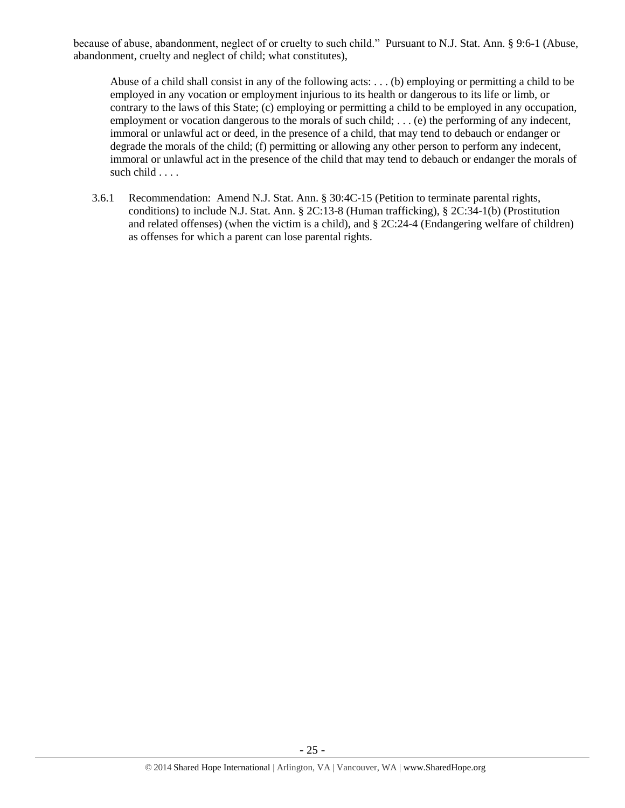because of abuse, abandonment, neglect of or cruelty to such child." Pursuant to N.J. Stat. Ann. § 9:6-1 (Abuse, abandonment, cruelty and neglect of child; what constitutes),

Abuse of a child shall consist in any of the following acts: . . . (b) employing or permitting a child to be employed in any vocation or employment injurious to its health or dangerous to its life or limb, or contrary to the laws of this State; (c) employing or permitting a child to be employed in any occupation, employment or vocation dangerous to the morals of such child; ... (e) the performing of any indecent, immoral or unlawful act or deed, in the presence of a child, that may tend to debauch or endanger or degrade the morals of the child; (f) permitting or allowing any other person to perform any indecent, immoral or unlawful act in the presence of the child that may tend to debauch or endanger the morals of such child . . . .

3.6.1 Recommendation: Amend N.J. Stat. Ann. § 30:4C-15 (Petition to terminate parental rights, conditions) to include N.J. Stat. Ann. § 2C:13-8 (Human trafficking), § 2C:34-1(b) (Prostitution and related offenses) (when the victim is a child), and  $\S 2C:24-4$  (Endangering welfare of children) as offenses for which a parent can lose parental rights.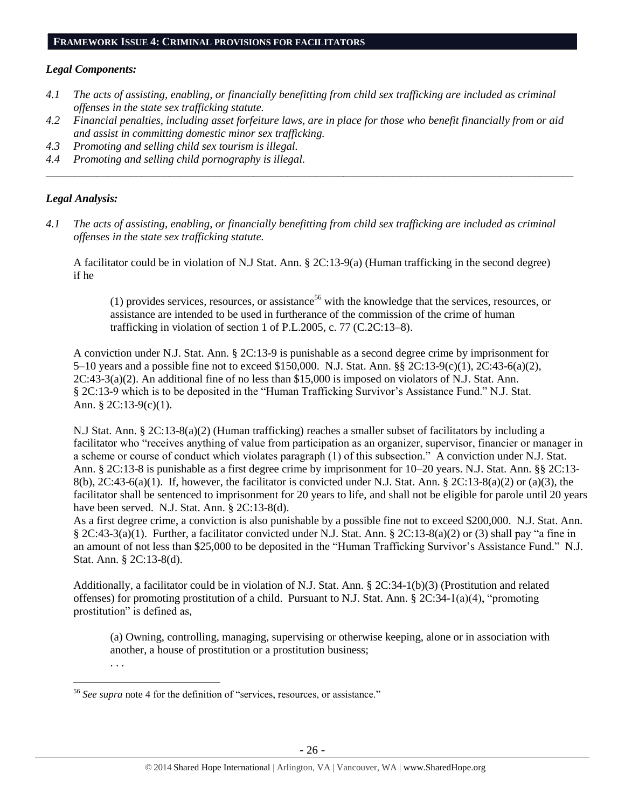# **FRAMEWORK ISSUE 4: CRIMINAL PROVISIONS FOR FACILITATORS**

### *Legal Components:*

- *4.1 The acts of assisting, enabling, or financially benefitting from child sex trafficking are included as criminal offenses in the state sex trafficking statute.*
- *4.2 Financial penalties, including asset forfeiture laws, are in place for those who benefit financially from or aid and assist in committing domestic minor sex trafficking.*

*\_\_\_\_\_\_\_\_\_\_\_\_\_\_\_\_\_\_\_\_\_\_\_\_\_\_\_\_\_\_\_\_\_\_\_\_\_\_\_\_\_\_\_\_\_\_\_\_\_\_\_\_\_\_\_\_\_\_\_\_\_\_\_\_\_\_\_\_\_\_\_\_\_\_\_\_\_\_\_\_\_\_\_\_\_\_\_\_\_\_\_\_\_\_*

- *4.3 Promoting and selling child sex tourism is illegal.*
- *4.4 Promoting and selling child pornography is illegal.*

# *Legal Analysis:*

*4.1 The acts of assisting, enabling, or financially benefitting from child sex trafficking are included as criminal offenses in the state sex trafficking statute.*

A facilitator could be in violation of N.J Stat. Ann. § 2C:13-9(a) (Human trafficking in the second degree) if he

(1) provides services, resources, or assistance<sup>56</sup> with the knowledge that the services, resources, or assistance are intended to be used in furtherance of the commission of the crime of human trafficking in violation of section 1 of P.L.2005, c. 77 (C.2C:13–8).

A conviction under N.J. Stat. Ann. § 2C:13-9 is punishable as a second degree crime by imprisonment for 5–10 years and a possible fine not to exceed \$150,000. N.J. Stat. Ann. §§ 2C:13-9(c)(1), 2C:43-6(a)(2), 2C:43-3(a)(2). An additional fine of no less than \$15,000 is imposed on violators of N.J. Stat. Ann. § 2C:13-9 which is to be deposited in the "Human Trafficking Survivor's Assistance Fund." N.J. Stat. Ann. § 2C:13-9(c)(1).

N.J Stat. Ann. § 2C:13-8(a)(2) (Human trafficking) reaches a smaller subset of facilitators by including a facilitator who "receives anything of value from participation as an organizer, supervisor, financier or manager in a scheme or course of conduct which violates paragraph (1) of this subsection." A conviction under N.J. Stat. Ann. § 2C:13-8 is punishable as a first degree crime by imprisonment for 10–20 years. N.J. Stat. Ann. §§ 2C:13- 8(b), 2C:43-6(a)(1). If, however, the facilitator is convicted under N.J. Stat. Ann. § 2C:13-8(a)(2) or (a)(3), the facilitator shall be sentenced to imprisonment for 20 years to life, and shall not be eligible for parole until 20 years have been served. N.J. Stat. Ann. § 2C:13-8(d).

As a first degree crime, a conviction is also punishable by a possible fine not to exceed \$200,000. N.J. Stat. Ann. § 2C:43-3(a)(1). Further, a facilitator convicted under N.J. Stat. Ann. § 2C:13-8(a)(2) or (3) shall pay "a fine in an amount of not less than \$25,000 to be deposited in the "Human Trafficking Survivor's Assistance Fund." N.J. Stat. Ann. § 2C:13-8(d).

Additionally, a facilitator could be in violation of N.J. Stat. Ann. § 2C:34-1(b)(3) (Prostitution and related offenses) for promoting prostitution of a child. Pursuant to N.J. Stat. Ann.  $\S 2C:34-1(a)(4)$ , "promoting prostitution" is defined as,

(a) Owning, controlling, managing, supervising or otherwise keeping, alone or in association with another, a house of prostitution or a prostitution business; . . .

 $\overline{a}$ <sup>56</sup> See supra note [4](#page-2-1) for the definition of "services, resources, or assistance."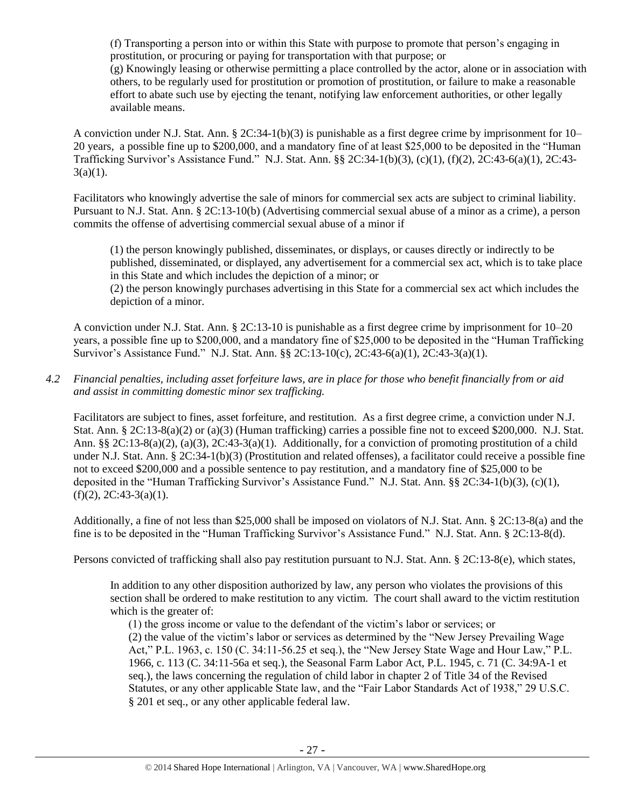(f) Transporting a person into or within this State with purpose to promote that person's engaging in prostitution, or procuring or paying for transportation with that purpose; or (g) Knowingly leasing or otherwise permitting a place controlled by the actor, alone or in association with others, to be regularly used for prostitution or promotion of prostitution, or failure to make a reasonable effort to abate such use by ejecting the tenant, notifying law enforcement authorities, or other legally available means.

A conviction under N.J. Stat. Ann. § 2C:34-1(b)(3) is punishable as a first degree crime by imprisonment for 10– 20 years, a possible fine up to \$200,000, and a mandatory fine of at least \$25,000 to be deposited in the "Human Trafficking Survivor's Assistance Fund." N.J. Stat. Ann. §§ 2C:34-1(b)(3), (c)(1), (f)(2), 2C:43-6(a)(1), 2C:43-  $3(a)(1)$ .

Facilitators who knowingly advertise the sale of minors for commercial sex acts are subject to criminal liability. Pursuant to N.J. Stat. Ann. § 2C:13-10(b) (Advertising commercial sexual abuse of a minor as a crime), a person commits the offense of advertising commercial sexual abuse of a minor if

(1) the person knowingly published, disseminates, or displays, or causes directly or indirectly to be published, disseminated, or displayed, any advertisement for a commercial sex act, which is to take place in this State and which includes the depiction of a minor; or

(2) the person knowingly purchases advertising in this State for a commercial sex act which includes the depiction of a minor.

A conviction under N.J. Stat. Ann. § 2C:13-10 is punishable as a first degree crime by imprisonment for 10–20 years, a possible fine up to \$200,000, and a mandatory fine of \$25,000 to be deposited in the "Human Trafficking Survivor's Assistance Fund." N.J. Stat. Ann. §§ 2C:13-10(c), 2C:43-6(a)(1), 2C:43-3(a)(1).

# *4.2 Financial penalties, including asset forfeiture laws, are in place for those who benefit financially from or aid and assist in committing domestic minor sex trafficking.*

Facilitators are subject to fines, asset forfeiture, and restitution. As a first degree crime, a conviction under N.J. Stat. Ann. § 2C:13-8(a)(2) or (a)(3) (Human trafficking) carries a possible fine not to exceed \$200,000. N.J. Stat. Ann. §§ 2C:13-8(a)(2), (a)(3), 2C:43-3(a)(1). Additionally, for a conviction of promoting prostitution of a child under N.J. Stat. Ann. § 2C:34-1(b)(3) (Prostitution and related offenses), a facilitator could receive a possible fine not to exceed \$200,000 and a possible sentence to pay restitution, and a mandatory fine of \$25,000 to be deposited in the "Human Trafficking Survivor's Assistance Fund." N.J. Stat. Ann. §§ 2C:34-1(b)(3), (c)(1),  $(f)(2)$ , 2C:43-3(a)(1).

Additionally, a fine of not less than \$25,000 shall be imposed on violators of N.J. Stat. Ann. § 2C:13-8(a) and the fine is to be deposited in the "Human Trafficking Survivor's Assistance Fund." N.J. Stat. Ann. § 2C:13-8(d).

Persons convicted of trafficking shall also pay restitution pursuant to N.J. Stat. Ann. § 2C:13-8(e), which states,

In addition to any other disposition authorized by law, any person who violates the provisions of this section shall be ordered to make restitution to any victim. The court shall award to the victim restitution which is the greater of:

(1) the gross income or value to the defendant of the victim's labor or services; or (2) the value of the victim's labor or services as determined by the "New Jersey Prevailing Wage Act," P.L. 1963, c. 150 (C. 34:11-56.25 et seq.), the "New Jersey State Wage and Hour Law," P.L. 1966, c. 113 (C. 34:11-56a et seq.), the Seasonal Farm Labor Act, P.L. 1945, c. 71 (C. 34:9A-1 et seq.), the laws concerning the regulation of child labor in chapter 2 of Title 34 of the Revised Statutes, or any other applicable State law, and the "Fair Labor Standards Act of 1938," 29 U.S.C. § 201 et seq., or any other applicable federal law.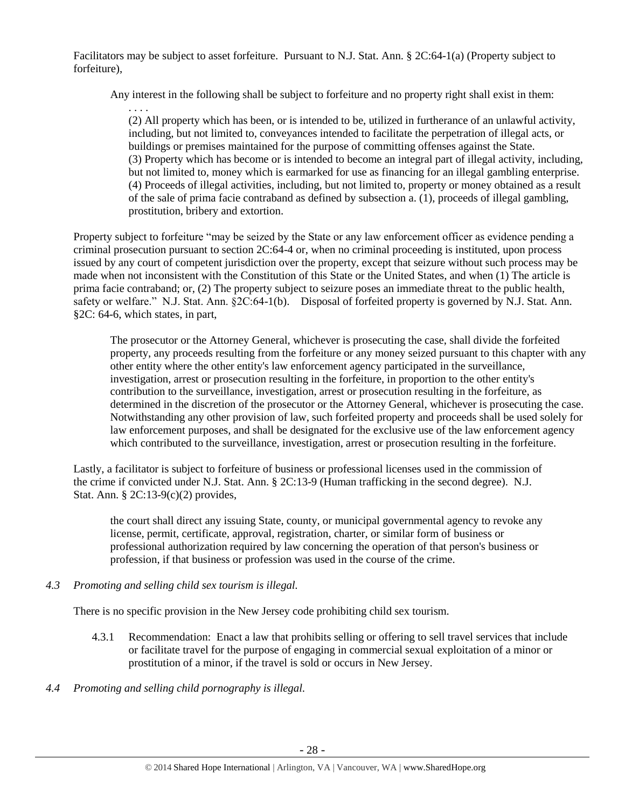Facilitators may be subject to asset forfeiture. Pursuant to N.J. Stat. Ann. § 2C:64-1(a) (Property subject to forfeiture),

Any interest in the following shall be subject to forfeiture and no property right shall exist in them:

. . . . (2) All property which has been, or is intended to be, utilized in furtherance of an unlawful activity, including, but not limited to, conveyances intended to facilitate the perpetration of illegal acts, or buildings or premises maintained for the purpose of committing offenses against the State. (3) Property which has become or is intended to become an integral part of illegal activity, including, but not limited to, money which is earmarked for use as financing for an illegal gambling enterprise. (4) Proceeds of illegal activities, including, but not limited to, property or money obtained as a result of the sale of prima facie contraband as defined by subsection a. (1), proceeds of illegal gambling, prostitution, bribery and extortion.

Property subject to forfeiture "may be seized by the State or any law enforcement officer as evidence pending a criminal prosecution pursuant to section 2C:64-4 or, when no criminal proceeding is instituted, upon process issued by any court of competent jurisdiction over the property, except that seizure without such process may be made when not inconsistent with the Constitution of this State or the United States, and when (1) The article is prima facie contraband; or, (2) The property subject to seizure poses an immediate threat to the public health, safety or welfare." N.J. Stat. Ann. §2C:64-1(b). Disposal of forfeited property is governed by N.J. Stat. Ann. §2C: 64-6, which states, in part,

The prosecutor or the Attorney General, whichever is prosecuting the case, shall divide the forfeited property, any proceeds resulting from the forfeiture or any money seized pursuant to this chapter with any other entity where the other entity's law enforcement agency participated in the surveillance, investigation, arrest or prosecution resulting in the forfeiture, in proportion to the other entity's contribution to the surveillance, investigation, arrest or prosecution resulting in the forfeiture, as determined in the discretion of the prosecutor or the Attorney General, whichever is prosecuting the case. Notwithstanding any other provision of law, such forfeited property and proceeds shall be used solely for law enforcement purposes, and shall be designated for the exclusive use of the law enforcement agency which contributed to the surveillance, investigation, arrest or prosecution resulting in the forfeiture.

Lastly, a facilitator is subject to forfeiture of business or professional licenses used in the commission of the crime if convicted under N.J. Stat. Ann. § 2C:13-9 (Human trafficking in the second degree). N.J. Stat. Ann. § 2C:13-9(c)(2) provides,

the court shall direct any issuing State, county, or municipal governmental agency to revoke any license, permit, certificate, approval, registration, charter, or similar form of business or professional authorization required by law concerning the operation of that person's business or profession, if that business or profession was used in the course of the crime.

# *4.3 Promoting and selling child sex tourism is illegal.*

There is no specific provision in the New Jersey code prohibiting child sex tourism.

- 4.3.1 Recommendation: Enact a law that prohibits selling or offering to sell travel services that include or facilitate travel for the purpose of engaging in commercial sexual exploitation of a minor or prostitution of a minor, if the travel is sold or occurs in New Jersey.
- *4.4 Promoting and selling child pornography is illegal.*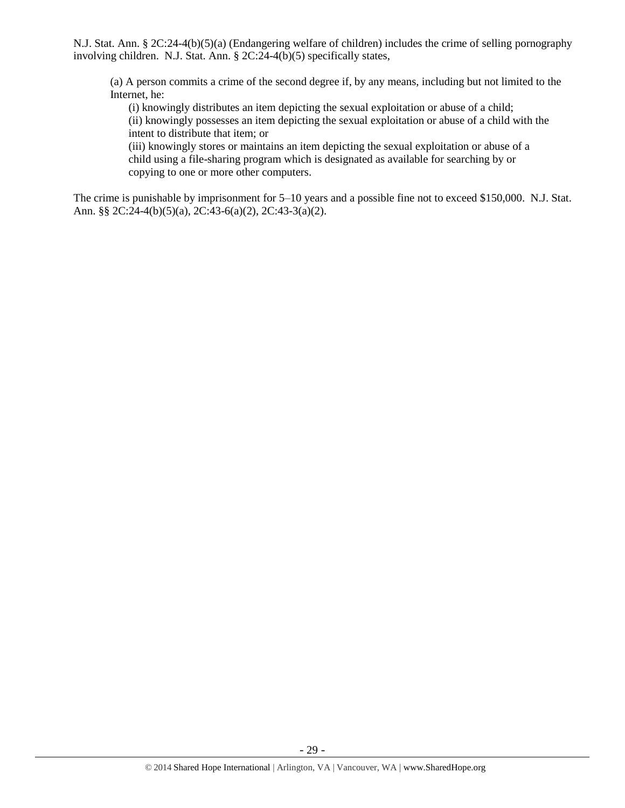N.J. Stat. Ann. § 2C:24-4(b)(5)(a) (Endangering welfare of children) includes the crime of selling pornography involving children. N.J. Stat. Ann. § 2C:24-4(b)(5) specifically states,

(a) A person commits a crime of the second degree if, by any means, including but not limited to the Internet, he:

(i) knowingly distributes an item depicting the sexual exploitation or abuse of a child; (ii) knowingly possesses an item depicting the sexual exploitation or abuse of a child with the intent to distribute that item; or

(iii) knowingly stores or maintains an item depicting the sexual exploitation or abuse of a child using a file-sharing program which is designated as available for searching by or copying to one or more other computers.

The crime is punishable by imprisonment for 5–10 years and a possible fine not to exceed \$150,000. N.J. Stat. Ann. §§ 2C:24-4(b)(5)(a), 2C:43-6(a)(2), 2C:43-3(a)(2).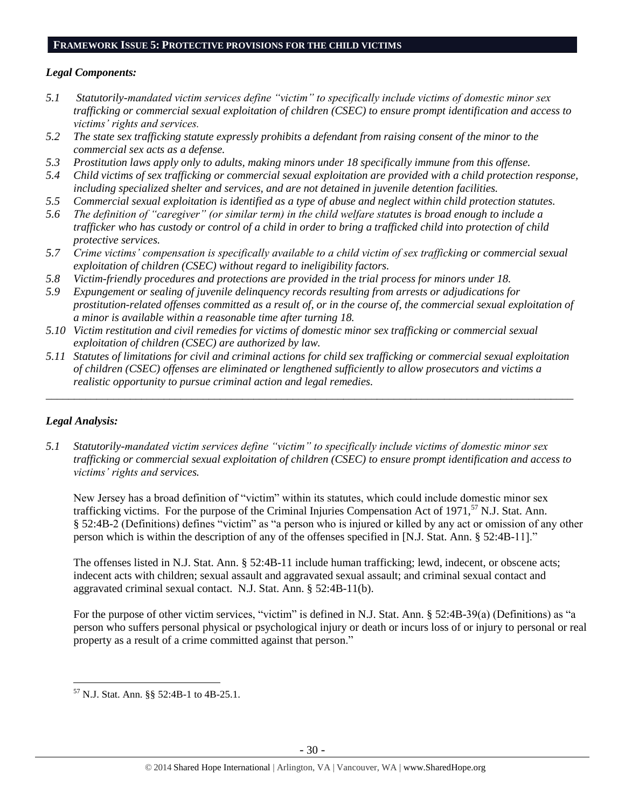### **FRAMEWORK ISSUE 5: PROTECTIVE PROVISIONS FOR THE CHILD VICTIMS**

### *Legal Components:*

- *5.1 Statutorily-mandated victim services define "victim" to specifically include victims of domestic minor sex trafficking or commercial sexual exploitation of children (CSEC) to ensure prompt identification and access to victims' rights and services.*
- *5.2 The state sex trafficking statute expressly prohibits a defendant from raising consent of the minor to the commercial sex acts as a defense.*
- *5.3 Prostitution laws apply only to adults, making minors under 18 specifically immune from this offense.*
- *5.4 Child victims of sex trafficking or commercial sexual exploitation are provided with a child protection response, including specialized shelter and services, and are not detained in juvenile detention facilities.*
- *5.5 Commercial sexual exploitation is identified as a type of abuse and neglect within child protection statutes.*
- *5.6 The definition of "caregiver" (or similar term) in the child welfare statutes is broad enough to include a trafficker who has custody or control of a child in order to bring a trafficked child into protection of child protective services.*
- *5.7 Crime victims' compensation is specifically available to a child victim of sex trafficking or commercial sexual exploitation of children (CSEC) without regard to ineligibility factors.*
- *5.8 Victim-friendly procedures and protections are provided in the trial process for minors under 18.*
- *5.9 Expungement or sealing of juvenile delinquency records resulting from arrests or adjudications for prostitution-related offenses committed as a result of, or in the course of, the commercial sexual exploitation of a minor is available within a reasonable time after turning 18.*
- *5.10 Victim restitution and civil remedies for victims of domestic minor sex trafficking or commercial sexual exploitation of children (CSEC) are authorized by law.*
- *5.11 Statutes of limitations for civil and criminal actions for child sex trafficking or commercial sexual exploitation of children (CSEC) offenses are eliminated or lengthened sufficiently to allow prosecutors and victims a realistic opportunity to pursue criminal action and legal remedies.*

*\_\_\_\_\_\_\_\_\_\_\_\_\_\_\_\_\_\_\_\_\_\_\_\_\_\_\_\_\_\_\_\_\_\_\_\_\_\_\_\_\_\_\_\_\_\_\_\_\_\_\_\_\_\_\_\_\_\_\_\_\_\_\_\_\_\_\_\_\_\_\_\_\_\_\_\_\_\_\_\_\_\_\_\_\_\_\_\_\_\_\_\_\_\_*

# *Legal Analysis:*

*5.1 Statutorily-mandated victim services define "victim" to specifically include victims of domestic minor sex trafficking or commercial sexual exploitation of children (CSEC) to ensure prompt identification and access to victims' rights and services.*

New Jersey has a broad definition of "victim" within its statutes, which could include domestic minor sex trafficking victims. For the purpose of the Criminal Injuries Compensation Act of  $1971<sup>57</sup>$  N.J. Stat. Ann. § 52:4B-2 (Definitions) defines "victim" as "a person who is injured or killed by any act or omission of any other person which is within the description of any of the offenses specified in [N.J. Stat. Ann. § 52:4B-11]."

The offenses listed in N.J. Stat. Ann. § 52:4B-11 include human trafficking; lewd, indecent, or obscene acts; indecent acts with children; sexual assault and aggravated sexual assault; and criminal sexual contact and aggravated criminal sexual contact. N.J. Stat. Ann. § 52:4B-11(b).

For the purpose of other victim services, "victim" is defined in N.J. Stat. Ann. § 52:4B-39(a) (Definitions) as "a person who suffers personal physical or psychological injury or death or incurs loss of or injury to personal or real property as a result of a crime committed against that person."

 $\overline{a}$ <sup>57</sup> N.J. Stat. Ann. §§ 52:4B-1 to 4B-25.1.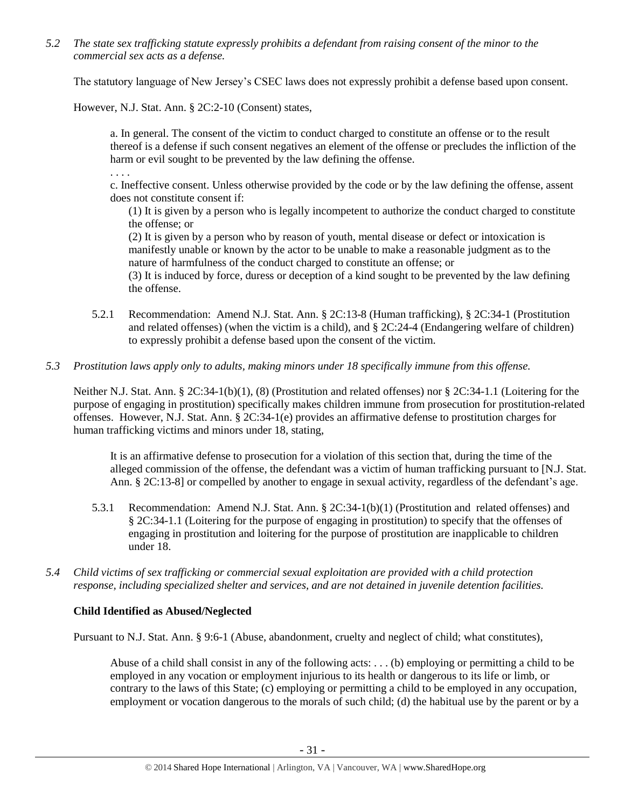*5.2 The state sex trafficking statute expressly prohibits a defendant from raising consent of the minor to the commercial sex acts as a defense.*

The statutory language of New Jersey's CSEC laws does not expressly prohibit a defense based upon consent.

However, N.J. Stat. Ann. § 2C:2-10 (Consent) states,

a. In general. The consent of the victim to conduct charged to constitute an offense or to the result thereof is a defense if such consent negatives an element of the offense or precludes the infliction of the harm or evil sought to be prevented by the law defining the offense.

. . . .

c. Ineffective consent. Unless otherwise provided by the code or by the law defining the offense, assent does not constitute consent if:

(1) It is given by a person who is legally incompetent to authorize the conduct charged to constitute the offense; or

(2) It is given by a person who by reason of youth, mental disease or defect or intoxication is manifestly unable or known by the actor to be unable to make a reasonable judgment as to the nature of harmfulness of the conduct charged to constitute an offense; or

(3) It is induced by force, duress or deception of a kind sought to be prevented by the law defining the offense.

- 5.2.1 Recommendation: Amend N.J. Stat. Ann. § 2C:13-8 (Human trafficking), § 2C:34-1 (Prostitution and related offenses) (when the victim is a child), and  $\S 2C:24-4$  (Endangering welfare of children) to expressly prohibit a defense based upon the consent of the victim.
- *5.3 Prostitution laws apply only to adults, making minors under 18 specifically immune from this offense.*

Neither N.J. Stat. Ann. § 2C:34-1(b)(1), (8) (Prostitution and related offenses) nor § 2C:34-1.1 (Loitering for the purpose of engaging in prostitution) specifically makes children immune from prosecution for prostitution-related offenses. However, N.J. Stat. Ann. § 2C:34-1(e) provides an affirmative defense to prostitution charges for human trafficking victims and minors under 18, stating,

It is an affirmative defense to prosecution for a violation of this section that, during the time of the alleged commission of the offense, the defendant was a victim of human trafficking pursuant to [N.J. Stat. Ann. § 2C:13-8] or compelled by another to engage in sexual activity, regardless of the defendant's age.

- 5.3.1 Recommendation: Amend N.J. Stat. Ann. § 2C:34-1(b)(1) (Prostitution and related offenses) and § 2C:34-1.1 (Loitering for the purpose of engaging in prostitution) to specify that the offenses of engaging in prostitution and loitering for the purpose of prostitution are inapplicable to children under 18.
- *5.4 Child victims of sex trafficking or commercial sexual exploitation are provided with a child protection response, including specialized shelter and services, and are not detained in juvenile detention facilities.*

# **Child Identified as Abused/Neglected**

Pursuant to N.J. Stat. Ann. § 9:6-1 (Abuse, abandonment, cruelty and neglect of child; what constitutes),

Abuse of a child shall consist in any of the following acts: . . . (b) employing or permitting a child to be employed in any vocation or employment injurious to its health or dangerous to its life or limb, or contrary to the laws of this State; (c) employing or permitting a child to be employed in any occupation, employment or vocation dangerous to the morals of such child; (d) the habitual use by the parent or by a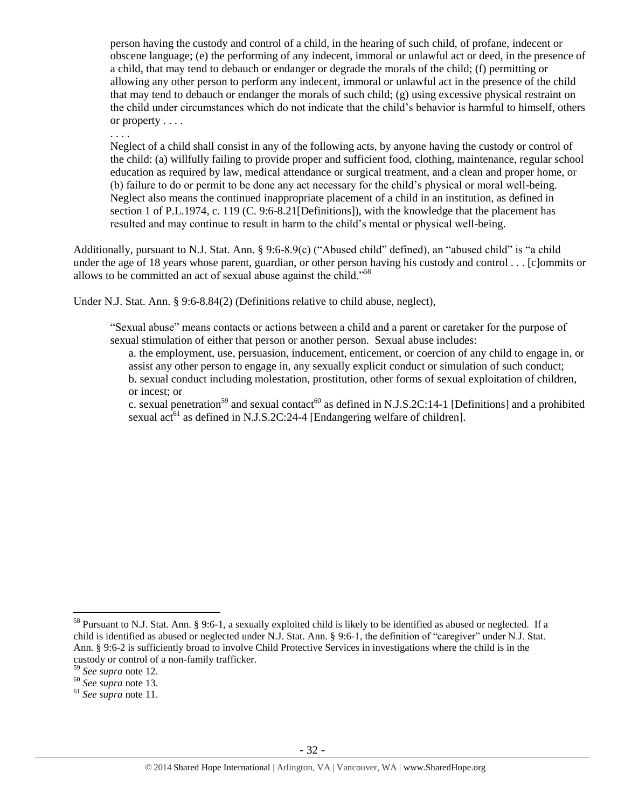person having the custody and control of a child, in the hearing of such child, of profane, indecent or obscene language; (e) the performing of any indecent, immoral or unlawful act or deed, in the presence of a child, that may tend to debauch or endanger or degrade the morals of the child; (f) permitting or allowing any other person to perform any indecent, immoral or unlawful act in the presence of the child that may tend to debauch or endanger the morals of such child; (g) using excessive physical restraint on the child under circumstances which do not indicate that the child's behavior is harmful to himself, others or property . . . .

. . . .

Neglect of a child shall consist in any of the following acts, by anyone having the custody or control of the child: (a) willfully failing to provide proper and sufficient food, clothing, maintenance, regular school education as required by law, medical attendance or surgical treatment, and a clean and proper home, or (b) failure to do or permit to be done any act necessary for the child's physical or moral well-being. Neglect also means the continued inappropriate placement of a child in an institution, as defined in section 1 of P.L.1974, c. 119 (C. 9:6-8.21[Definitions]), with the knowledge that the placement has resulted and may continue to result in harm to the child's mental or physical well-being.

Additionally, pursuant to N.J. Stat. Ann. § 9:6-8.9(c) ("Abused child" defined), an "abused child" is "a child under the age of 18 years whose parent, guardian, or other person having his custody and control . . . [c]ommits or allows to be committed an act of sexual abuse against the child."<sup>58</sup>

Under N.J. Stat. Ann. § 9:6-8.84(2) (Definitions relative to child abuse, neglect),

"Sexual abuse" means contacts or actions between a child and a parent or caretaker for the purpose of sexual stimulation of either that person or another person. Sexual abuse includes:

a. the employment, use, persuasion, inducement, enticement, or coercion of any child to engage in, or assist any other person to engage in, any sexually explicit conduct or simulation of such conduct; b. sexual conduct including molestation, prostitution, other forms of sexual exploitation of children,

or incest; or

c. sexual penetration<sup>59</sup> and sexual contact<sup>60</sup> as defined in N.J.S.2C:14-1 [Definitions] and a prohibited sexual  $\text{act}^{61}$  as defined in N.J.S.2C:24-4 [Endangering welfare of children].

<sup>58</sup> Pursuant to N.J. Stat. Ann. § 9:6-1, a sexually exploited child is likely to be identified as abused or neglected. If a child is identified as abused or neglected under N.J. Stat. Ann. § 9:6-1, the definition of "caregiver" under N.J. Stat. Ann. § 9:6-2 is sufficiently broad to involve Child Protective Services in investigations where the child is in the custody or control of a non-family trafficker.

<sup>59</sup> *See supra* note [12.](#page-5-0)

<sup>60</sup> *See supra* note [13.](#page-5-1)

<sup>61</sup> *See supra* note [11.](#page-4-1)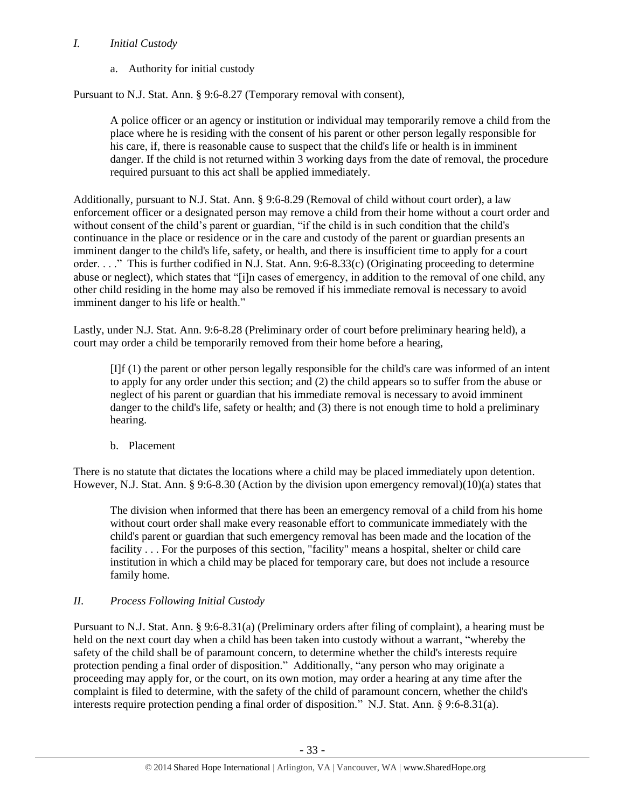# *I. Initial Custody*

a. Authority for initial custody

Pursuant to N.J. Stat. Ann. § 9:6-8.27 (Temporary removal with consent),

A police officer or an agency or institution or individual may temporarily remove a child from the place where he is residing with the consent of his parent or other person legally responsible for his care, if, there is reasonable cause to suspect that the child's life or health is in imminent danger. If the child is not returned within 3 working days from the date of removal, the procedure required pursuant to this act shall be applied immediately.

Additionally, pursuant to N.J. Stat. Ann. § 9:6-8.29 (Removal of child without court order), a law enforcement officer or a designated person may remove a child from their home without a court order and without consent of the child's parent or guardian, "if the child is in such condition that the child's continuance in the place or residence or in the care and custody of the parent or guardian presents an imminent danger to the child's life, safety, or health, and there is insufficient time to apply for a court order. . . ." This is further codified in N.J. Stat. Ann. 9:6-8.33(c) (Originating proceeding to determine abuse or neglect), which states that "[i]n cases of emergency, in addition to the removal of one child, any other child residing in the home may also be removed if his immediate removal is necessary to avoid imminent danger to his life or health."

Lastly, under N.J. Stat. Ann. 9:6-8.28 (Preliminary order of court before preliminary hearing held), a court may order a child be temporarily removed from their home before a hearing,

[I]f (1) the parent or other person legally responsible for the child's care was informed of an intent to apply for any order under this section; and (2) the child appears so to suffer from the abuse or neglect of his parent or guardian that his immediate removal is necessary to avoid imminent danger to the child's life, safety or health; and (3) there is not enough time to hold a preliminary hearing.

b. Placement

There is no statute that dictates the locations where a child may be placed immediately upon detention. However, N.J. Stat. Ann. § 9:6-8.30 (Action by the division upon emergency removal)(10)(a) states that

The division when informed that there has been an emergency removal of a child from his home without court order shall make every reasonable effort to communicate immediately with the child's parent or guardian that such emergency removal has been made and the location of the facility . . . For the purposes of this section, "facility" means a hospital, shelter or child care institution in which a child may be placed for temporary care, but does not include a resource family home.

# *II. Process Following Initial Custody*

Pursuant to N.J. Stat. Ann. § 9:6-8.31(a) (Preliminary orders after filing of complaint), a hearing must be held on the next court day when a child has been taken into custody without a warrant, "whereby the safety of the child shall be of paramount concern, to determine whether the child's interests require protection pending a final order of disposition." Additionally, "any person who may originate a proceeding may apply for, or the court, on its own motion, may order a hearing at any time after the complaint is filed to determine, with the safety of the child of paramount concern, whether the child's interests require protection pending a final order of disposition." N.J. Stat. Ann. § 9:6-8.31(a).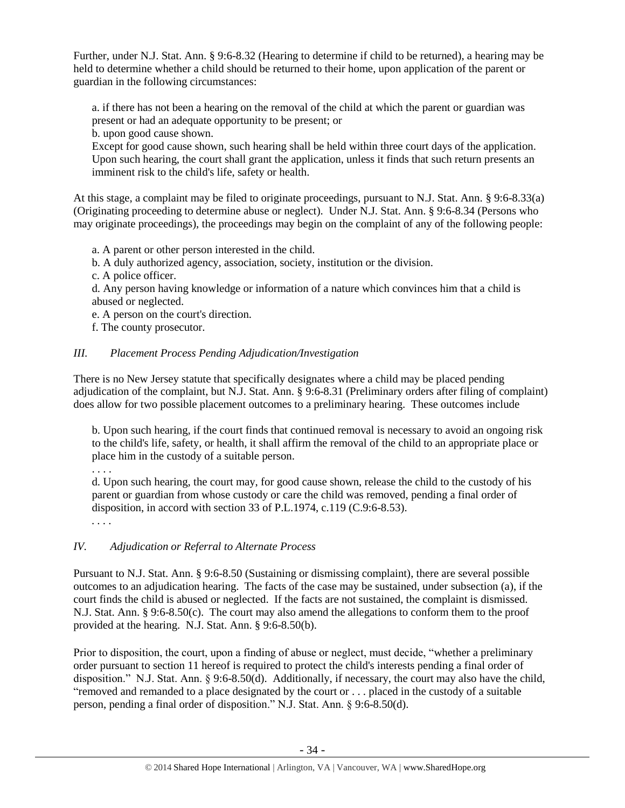Further, under N.J. Stat. Ann. § 9:6-8.32 (Hearing to determine if child to be returned), a hearing may be held to determine whether a child should be returned to their home, upon application of the parent or guardian in the following circumstances:

a. if there has not been a hearing on the removal of the child at which the parent or guardian was present or had an adequate opportunity to be present; or

b. upon good cause shown.

Except for good cause shown, such hearing shall be held within three court days of the application. Upon such hearing, the court shall grant the application, unless it finds that such return presents an imminent risk to the child's life, safety or health.

At this stage, a complaint may be filed to originate proceedings, pursuant to N.J. Stat. Ann. § 9:6-8.33(a) (Originating proceeding to determine abuse or neglect). Under N.J. Stat. Ann. § 9:6-8.34 (Persons who may originate proceedings), the proceedings may begin on the complaint of any of the following people:

a. A parent or other person interested in the child.

b. A duly authorized agency, association, society, institution or the division.

c. A police officer.

d. Any person having knowledge or information of a nature which convinces him that a child is abused or neglected.

e. A person on the court's direction.

f. The county prosecutor.

### *III. Placement Process Pending Adjudication/Investigation*

There is no New Jersey statute that specifically designates where a child may be placed pending adjudication of the complaint, but N.J. Stat. Ann. § 9:6-8.31 (Preliminary orders after filing of complaint) does allow for two possible placement outcomes to a preliminary hearing. These outcomes include

b. Upon such hearing, if the court finds that continued removal is necessary to avoid an ongoing risk to the child's life, safety, or health, it shall affirm the removal of the child to an appropriate place or place him in the custody of a suitable person.

. . . .

d. Upon such hearing, the court may, for good cause shown, release the child to the custody of his parent or guardian from whose custody or care the child was removed, pending a final order of disposition, in accord with section 33 of P.L.1974, c.119 (C.9:6-8.53). *. . . .*

# *IV. Adjudication or Referral to Alternate Process*

Pursuant to N.J. Stat. Ann. § 9:6-8.50 (Sustaining or dismissing complaint), there are several possible outcomes to an adjudication hearing. The facts of the case may be sustained, under subsection (a), if the court finds the child is abused or neglected. If the facts are not sustained, the complaint is dismissed. N.J. Stat. Ann. § 9:6-8.50(c). The court may also amend the allegations to conform them to the proof provided at the hearing. N.J. Stat. Ann. § 9:6-8.50(b).

Prior to disposition, the court, upon a finding of abuse or neglect, must decide, "whether a preliminary order pursuant to section 11 hereof is required to protect the child's interests pending a final order of disposition." N.J. Stat. Ann. § 9:6-8.50(d). Additionally, if necessary, the court may also have the child, "removed and remanded to a place designated by the court or . . . placed in the custody of a suitable person, pending a final order of disposition." N.J. Stat. Ann. § 9:6-8.50(d).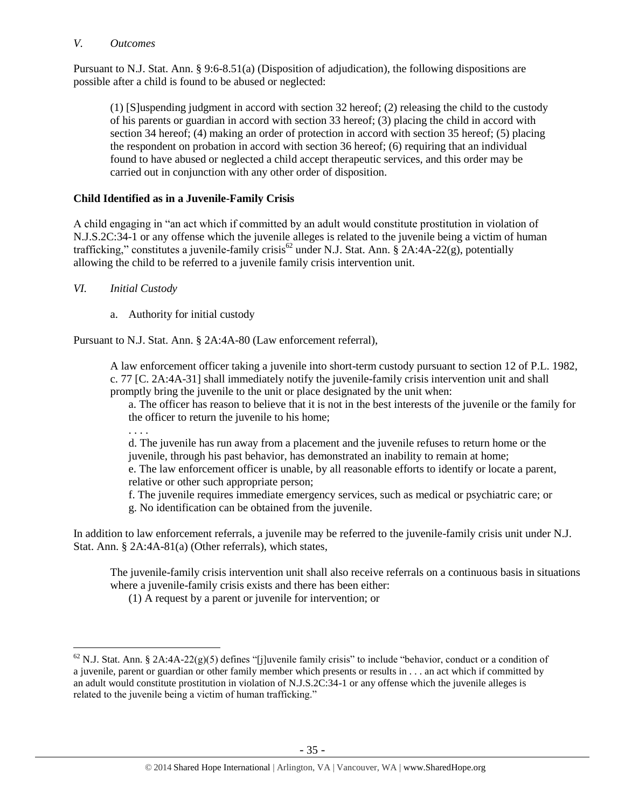### *V. Outcomes*

Pursuant to N.J. Stat. Ann. § 9:6-8.51(a) (Disposition of adjudication), the following dispositions are possible after a child is found to be abused or neglected:

(1) [S]uspending judgment in accord with section 32 hereof; (2) releasing the child to the custody of his parents or guardian in accord with section 33 hereof; (3) placing the child in accord with section 34 hereof; (4) making an order of protection in accord with section 35 hereof; (5) placing the respondent on probation in accord with section 36 hereof; (6) requiring that an individual found to have abused or neglected a child accept therapeutic services, and this order may be carried out in conjunction with any other order of disposition.

# **Child Identified as in a Juvenile-Family Crisis**

A child engaging in "an act which if committed by an adult would constitute prostitution in violation of N.J.S.2C:34-1 or any offense which the juvenile alleges is related to the juvenile being a victim of human trafficking," constitutes a juvenile-family crisis<sup>62</sup> under N.J. Stat. Ann. § 2A:4A-22(g), potentially allowing the child to be referred to a juvenile family crisis intervention unit.

*VI. Initial Custody*

a. Authority for initial custody

Pursuant to N.J. Stat. Ann. § 2A:4A-80 (Law enforcement referral),

A law enforcement officer taking a juvenile into short-term custody pursuant to section 12 of P.L. 1982, c. 77 [C. 2A:4A-31] shall immediately notify the juvenile-family crisis intervention unit and shall promptly bring the juvenile to the unit or place designated by the unit when:

a. The officer has reason to believe that it is not in the best interests of the juvenile or the family for the officer to return the juvenile to his home;

. . . .

 $\overline{a}$ 

d. The juvenile has run away from a placement and the juvenile refuses to return home or the juvenile, through his past behavior, has demonstrated an inability to remain at home;

e. The law enforcement officer is unable, by all reasonable efforts to identify or locate a parent, relative or other such appropriate person;

f. The juvenile requires immediate emergency services, such as medical or psychiatric care; or g. No identification can be obtained from the juvenile.

In addition to law enforcement referrals, a juvenile may be referred to the juvenile-family crisis unit under N.J. Stat. Ann. § 2A:4A-81(a) (Other referrals), which states,

The juvenile-family crisis intervention unit shall also receive referrals on a continuous basis in situations where a juvenile-family crisis exists and there has been either:

(1) A request by a parent or juvenile for intervention; or

 $62$  N.J. Stat. Ann. § 2A:4A-22(g)(5) defines "[j]uvenile family crisis" to include "behavior, conduct or a condition of a juvenile, parent or guardian or other family member which presents or results in . . . an act which if committed by an adult would constitute prostitution in violation of N.J.S.2C:34-1 or any offense which the juvenile alleges is related to the juvenile being a victim of human trafficking."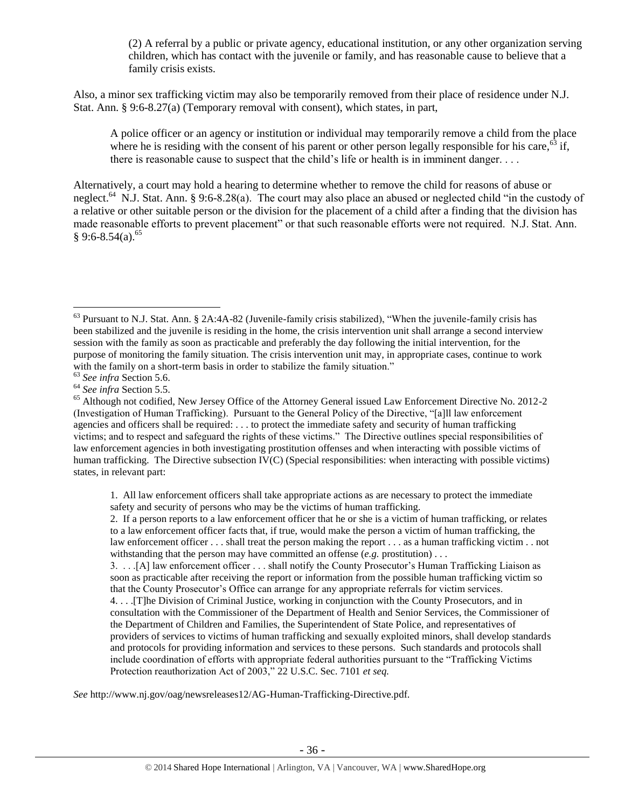(2) A referral by a public or private agency, educational institution, or any other organization serving children, which has contact with the juvenile or family, and has reasonable cause to believe that a family crisis exists.

Also, a minor sex trafficking victim may also be temporarily removed from their place of residence under N.J. Stat. Ann. § 9:6-8.27(a) (Temporary removal with consent), which states, in part,

A police officer or an agency or institution or individual may temporarily remove a child from the place where he is residing with the consent of his parent or other person legally responsible for his care,  $^{63}$  if, there is reasonable cause to suspect that the child's life or health is in imminent danger....

Alternatively, a court may hold a hearing to determine whether to remove the child for reasons of abuse or neglect.<sup>64</sup> N.J. Stat. Ann. § 9:6-8.28(a). The court may also place an abused or neglected child "in the custody of a relative or other suitable person or the division for the placement of a child after a finding that the division has made reasonable efforts to prevent placement" or that such reasonable efforts were not required. N.J. Stat. Ann.  $§ 9:6-8.54(a).^{65}$ 

 $\overline{a}$ 

1. All law enforcement officers shall take appropriate actions as are necessary to protect the immediate safety and security of persons who may be the victims of human trafficking.

*See* http://www.nj.gov/oag/newsreleases12/AG-Human-Trafficking-Directive.pdf.

 $63$  Pursuant to N.J. Stat. Ann. § 2A:4A-82 (Juvenile-family crisis stabilized), "When the juvenile-family crisis has been stabilized and the juvenile is residing in the home, the crisis intervention unit shall arrange a second interview session with the family as soon as practicable and preferably the day following the initial intervention, for the purpose of monitoring the family situation. The crisis intervention unit may, in appropriate cases, continue to work with the family on a short-term basis in order to stabilize the family situation."

<sup>63</sup> *See infra* Section 5.6.

<sup>64</sup> *See infra* Section 5.5.

<sup>&</sup>lt;sup>65</sup> Although not codified, New Jersey Office of the Attorney General issued Law Enforcement Directive No. 2012-2 (Investigation of Human Trafficking). Pursuant to the General Policy of the Directive, "[a]ll law enforcement agencies and officers shall be required: . . . to protect the immediate safety and security of human trafficking victims; and to respect and safeguard the rights of these victims." The Directive outlines special responsibilities of law enforcement agencies in both investigating prostitution offenses and when interacting with possible victims of human trafficking. The Directive subsection IV(C) (Special responsibilities: when interacting with possible victims) states, in relevant part:

<sup>2.</sup> If a person reports to a law enforcement officer that he or she is a victim of human trafficking, or relates to a law enforcement officer facts that, if true, would make the person a victim of human trafficking, the law enforcement officer . . . shall treat the person making the report . . . as a human trafficking victim . . not withstanding that the person may have committed an offense (*e.g.* prostitution) . . .

<sup>3. . . .[</sup>A] law enforcement officer . . . shall notify the County Prosecutor's Human Trafficking Liaison as soon as practicable after receiving the report or information from the possible human trafficking victim so that the County Prosecutor's Office can arrange for any appropriate referrals for victim services.

<sup>4. . . .[</sup>T]he Division of Criminal Justice, working in conjunction with the County Prosecutors, and in consultation with the Commissioner of the Department of Health and Senior Services, the Commissioner of the Department of Children and Families, the Superintendent of State Police, and representatives of providers of services to victims of human trafficking and sexually exploited minors, shall develop standards and protocols for providing information and services to these persons. Such standards and protocols shall include coordination of efforts with appropriate federal authorities pursuant to the "Trafficking Victims Protection reauthorization Act of 2003," 22 U.S.C. Sec. 7101 *et seq.*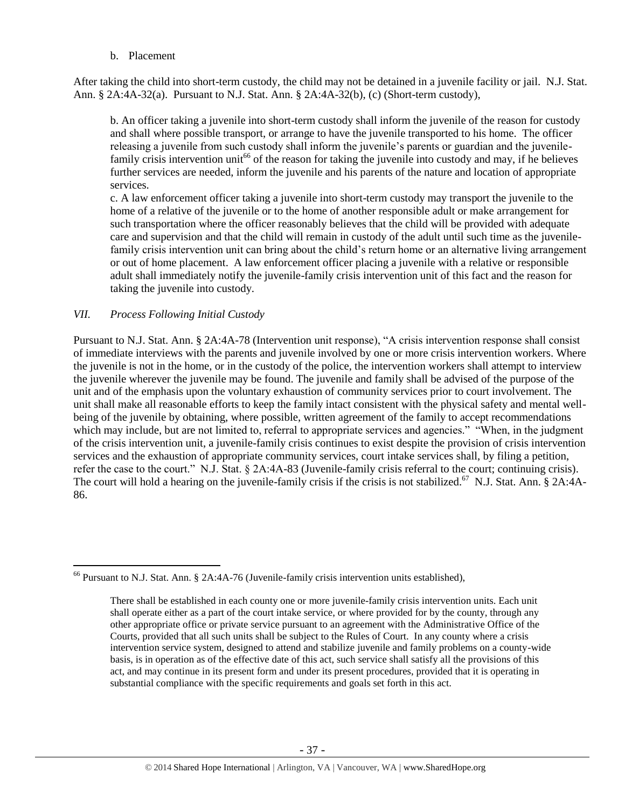b. Placement

After taking the child into short-term custody, the child may not be detained in a juvenile facility or jail. N.J. Stat. Ann. § 2A:4A-32(a). Pursuant to N.J. Stat. Ann. § 2A:4A-32(b), (c) (Short-term custody),

b. An officer taking a juvenile into short-term custody shall inform the juvenile of the reason for custody and shall where possible transport, or arrange to have the juvenile transported to his home. The officer releasing a juvenile from such custody shall inform the juvenile's parents or guardian and the juvenilefamily crisis intervention unit<sup>66</sup> of the reason for taking the juvenile into custody and may, if he believes further services are needed, inform the juvenile and his parents of the nature and location of appropriate services.

c. A law enforcement officer taking a juvenile into short-term custody may transport the juvenile to the home of a relative of the juvenile or to the home of another responsible adult or make arrangement for such transportation where the officer reasonably believes that the child will be provided with adequate care and supervision and that the child will remain in custody of the adult until such time as the juvenilefamily crisis intervention unit can bring about the child's return home or an alternative living arrangement or out of home placement. A law enforcement officer placing a juvenile with a relative or responsible adult shall immediately notify the juvenile-family crisis intervention unit of this fact and the reason for taking the juvenile into custody.

### *VII. Process Following Initial Custody*

 $\overline{a}$ 

Pursuant to N.J. Stat. Ann. § 2A:4A-78 (Intervention unit response), "A crisis intervention response shall consist of immediate interviews with the parents and juvenile involved by one or more crisis intervention workers. Where the juvenile is not in the home, or in the custody of the police, the intervention workers shall attempt to interview the juvenile wherever the juvenile may be found. The juvenile and family shall be advised of the purpose of the unit and of the emphasis upon the voluntary exhaustion of community services prior to court involvement. The unit shall make all reasonable efforts to keep the family intact consistent with the physical safety and mental wellbeing of the juvenile by obtaining, where possible, written agreement of the family to accept recommendations which may include, but are not limited to, referral to appropriate services and agencies." "When, in the judgment of the crisis intervention unit, a juvenile-family crisis continues to exist despite the provision of crisis intervention services and the exhaustion of appropriate community services, court intake services shall, by filing a petition, refer the case to the court." N.J. Stat. § 2A:4A-83 (Juvenile-family crisis referral to the court; continuing crisis). The court will hold a hearing on the juvenile-family crisis if the crisis is not stabilized.<sup>67</sup> N.J. Stat. Ann. § 2A:4A-86.

<sup>&</sup>lt;sup>66</sup> Pursuant to N.J. Stat. Ann. § 2A:4A-76 (Juvenile-family crisis intervention units established),

There shall be established in each county one or more juvenile-family crisis intervention units. Each unit shall operate either as a part of the court intake service, or where provided for by the county, through any other appropriate office or private service pursuant to an agreement with the Administrative Office of the Courts, provided that all such units shall be subject to the Rules of Court. In any county where a crisis intervention service system, designed to attend and stabilize juvenile and family problems on a county-wide basis, is in operation as of the effective date of this act, such service shall satisfy all the provisions of this act, and may continue in its present form and under its present procedures, provided that it is operating in substantial compliance with the specific requirements and goals set forth in this act.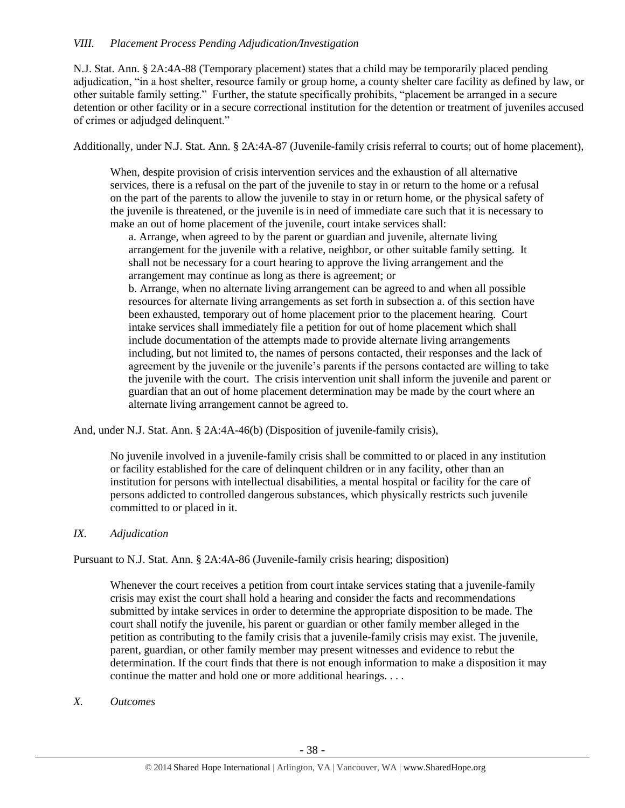### *VIII. Placement Process Pending Adjudication/Investigation*

N.J. Stat. Ann. § 2A:4A-88 (Temporary placement) states that a child may be temporarily placed pending adjudication, "in a host shelter, resource family or group home, a county shelter care facility as defined by law, or other suitable family setting." Further, the statute specifically prohibits, "placement be arranged in a secure detention or other facility or in a secure correctional institution for the detention or treatment of juveniles accused of crimes or adjudged delinquent."

Additionally, under N.J. Stat. Ann. § 2A:4A-87 (Juvenile-family crisis referral to courts; out of home placement),

When, despite provision of crisis intervention services and the exhaustion of all alternative services, there is a refusal on the part of the juvenile to stay in or return to the home or a refusal on the part of the parents to allow the juvenile to stay in or return home, or the physical safety of the juvenile is threatened, or the juvenile is in need of immediate care such that it is necessary to make an out of home placement of the juvenile, court intake services shall:

a. Arrange, when agreed to by the parent or guardian and juvenile, alternate living arrangement for the juvenile with a relative, neighbor, or other suitable family setting. It shall not be necessary for a court hearing to approve the living arrangement and the arrangement may continue as long as there is agreement; or

b. Arrange, when no alternate living arrangement can be agreed to and when all possible resources for alternate living arrangements as set forth in subsection a. of this section have been exhausted, temporary out of home placement prior to the placement hearing. Court intake services shall immediately file a petition for out of home placement which shall include documentation of the attempts made to provide alternate living arrangements including, but not limited to, the names of persons contacted, their responses and the lack of agreement by the juvenile or the juvenile's parents if the persons contacted are willing to take the juvenile with the court. The crisis intervention unit shall inform the juvenile and parent or guardian that an out of home placement determination may be made by the court where an alternate living arrangement cannot be agreed to.

And, under N.J. Stat. Ann. § 2A:4A-46(b) (Disposition of juvenile-family crisis),

No juvenile involved in a juvenile-family crisis shall be committed to or placed in any institution or facility established for the care of delinquent children or in any facility, other than an institution for persons with intellectual disabilities, a mental hospital or facility for the care of persons addicted to controlled dangerous substances, which physically restricts such juvenile committed to or placed in it.

# *IX. Adjudication*

Pursuant to N.J. Stat. Ann. § 2A:4A-86 (Juvenile-family crisis hearing; disposition)

Whenever the court receives a petition from court intake services stating that a juvenile-family crisis may exist the court shall hold a hearing and consider the facts and recommendations submitted by intake services in order to determine the appropriate disposition to be made. The court shall notify the juvenile, his parent or guardian or other family member alleged in the petition as contributing to the family crisis that a juvenile-family crisis may exist. The juvenile, parent, guardian, or other family member may present witnesses and evidence to rebut the determination. If the court finds that there is not enough information to make a disposition it may continue the matter and hold one or more additional hearings. . . .

*X. Outcomes*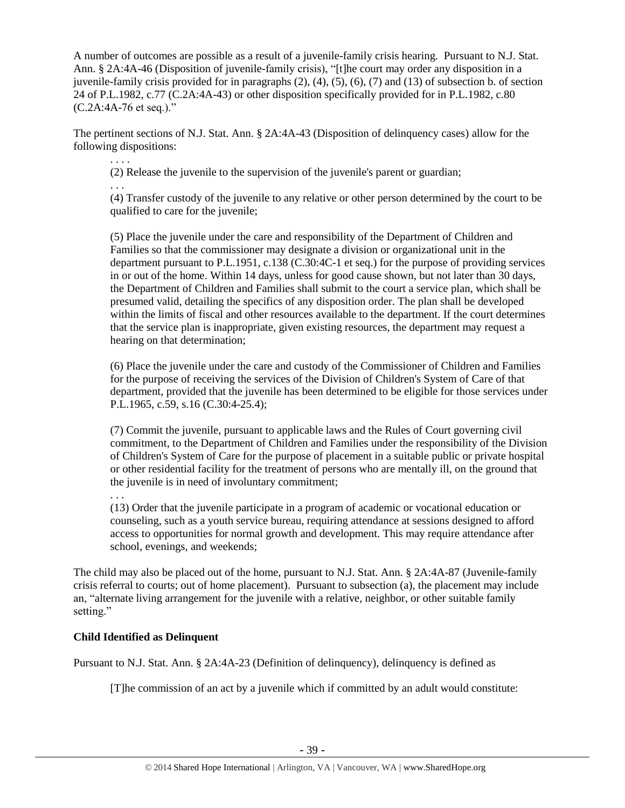A number of outcomes are possible as a result of a juvenile-family crisis hearing. Pursuant to N.J. Stat. Ann. § 2A:4A-46 (Disposition of juvenile-family crisis), "[t]he court may order any disposition in a juvenile-family crisis provided for in paragraphs (2), (4), (5), (6), (7) and (13) of subsection b. of section 24 of P.L[.1982, c.77](http://njlaw.rutgers.edu/cgi-bin/njstats/getnjstat.cgi?yr=1982&chap=77) (C.2A:4A-43) or other disposition specifically provided for in P.L[.1982, c.80](http://njlaw.rutgers.edu/cgi-bin/njstats/getnjstat.cgi?yr=1982&chap=80) (C.2A:4A-76 et seq.)."

The pertinent sections of N.J. Stat. Ann. § 2A:4A-43 (Disposition of delinquency cases) allow for the following dispositions:

(2) Release the juvenile to the supervision of the juvenile's parent or guardian;

. . .

. . . .

(4) Transfer custody of the juvenile to any relative or other person determined by the court to be qualified to care for the juvenile;

(5) Place the juvenile under the care and responsibility of the Department of Children and Families so that the commissioner may designate a division or organizational unit in the department pursuant to P.L[.1951, c.138](http://njlaw.rutgers.edu/cgi-bin/njstats/getnjstat.cgi?yr=1951&chap=138) (C.30:4C-1 et seq.) for the purpose of providing services in or out of the home. Within 14 days, unless for good cause shown, but not later than 30 days, the Department of Children and Families shall submit to the court a service plan, which shall be presumed valid, detailing the specifics of any disposition order. The plan shall be developed within the limits of fiscal and other resources available to the department. If the court determines that the service plan is inappropriate, given existing resources, the department may request a hearing on that determination;

(6) Place the juvenile under the care and custody of the Commissioner of Children and Families for the purpose of receiving the services of the Division of Children's System of Care of that department, provided that the juvenile has been determined to be eligible for those services under P.L[.1965, c.59,](http://njlaw.rutgers.edu/cgi-bin/njstats/getnjstat.cgi?yr=1965&chap=59) s.16 (C.30:4-25.4);

(7) Commit the juvenile, pursuant to applicable laws and the Rules of Court governing civil commitment, to the Department of Children and Families under the responsibility of the Division of Children's System of Care for the purpose of placement in a suitable public or private hospital or other residential facility for the treatment of persons who are mentally ill, on the ground that the juvenile is in need of involuntary commitment;

(13) Order that the juvenile participate in a program of academic or vocational education or counseling, such as a youth service bureau, requiring attendance at sessions designed to afford access to opportunities for normal growth and development. This may require attendance after school, evenings, and weekends;

The child may also be placed out of the home, pursuant to N.J. Stat. Ann. § 2A:4A-87 (Juvenile-family crisis referral to courts; out of home placement). Pursuant to subsection (a), the placement may include an, "alternate living arrangement for the juvenile with a relative, neighbor, or other suitable family setting."

# **Child Identified as Delinquent**

. . .

Pursuant to N.J. Stat. Ann. § 2A:4A-23 (Definition of delinquency), delinquency is defined as

[T]he commission of an act by a juvenile which if committed by an adult would constitute: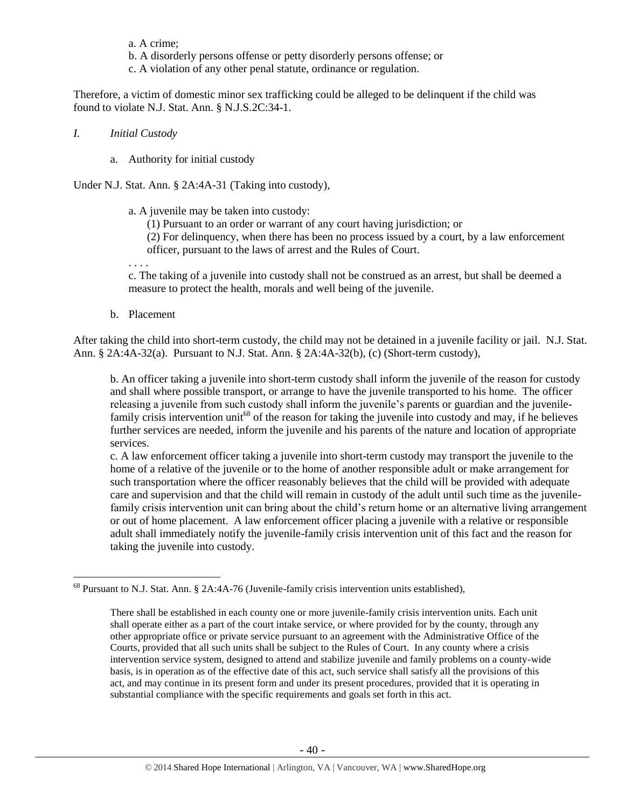a. A crime;

- b. A disorderly persons offense or petty disorderly persons offense; or
- c. A violation of any other penal statute, ordinance or regulation.

Therefore, a victim of domestic minor sex trafficking could be alleged to be delinquent if the child was found to violate N.J. Stat. Ann. § N.J.S.2C:34-1.

### *I. Initial Custody*

a. Authority for initial custody

Under N.J. Stat. Ann. § 2A:4A-31 (Taking into custody),

- a. A juvenile may be taken into custody:
	- (1) Pursuant to an order or warrant of any court having jurisdiction; or

(2) For delinquency, when there has been no process issued by a court, by a law enforcement officer, pursuant to the laws of arrest and the Rules of Court.

. . . .

c. The taking of a juvenile into custody shall not be construed as an arrest, but shall be deemed a measure to protect the health, morals and well being of the juvenile.

b. Placement

After taking the child into short-term custody, the child may not be detained in a juvenile facility or jail. N.J. Stat. Ann. § 2A:4A-32(a). Pursuant to N.J. Stat. Ann. § 2A:4A-32(b), (c) (Short-term custody),

b. An officer taking a juvenile into short-term custody shall inform the juvenile of the reason for custody and shall where possible transport, or arrange to have the juvenile transported to his home. The officer releasing a juvenile from such custody shall inform the juvenile's parents or guardian and the juvenilefamily crisis intervention unit<sup>68</sup> of the reason for taking the juvenile into custody and may, if he believes further services are needed, inform the juvenile and his parents of the nature and location of appropriate services.

c. A law enforcement officer taking a juvenile into short-term custody may transport the juvenile to the home of a relative of the juvenile or to the home of another responsible adult or make arrangement for such transportation where the officer reasonably believes that the child will be provided with adequate care and supervision and that the child will remain in custody of the adult until such time as the juvenilefamily crisis intervention unit can bring about the child's return home or an alternative living arrangement or out of home placement. A law enforcement officer placing a juvenile with a relative or responsible adult shall immediately notify the juvenile-family crisis intervention unit of this fact and the reason for taking the juvenile into custody.

 $\overline{a}$ <sup>68</sup> Pursuant to N.J. Stat. Ann. § 2A:4A-76 (Juvenile-family crisis intervention units established),

There shall be established in each county one or more juvenile-family crisis intervention units. Each unit shall operate either as a part of the court intake service, or where provided for by the county, through any other appropriate office or private service pursuant to an agreement with the Administrative Office of the Courts, provided that all such units shall be subject to the Rules of Court. In any county where a crisis intervention service system, designed to attend and stabilize juvenile and family problems on a county-wide basis, is in operation as of the effective date of this act, such service shall satisfy all the provisions of this act, and may continue in its present form and under its present procedures, provided that it is operating in substantial compliance with the specific requirements and goals set forth in this act.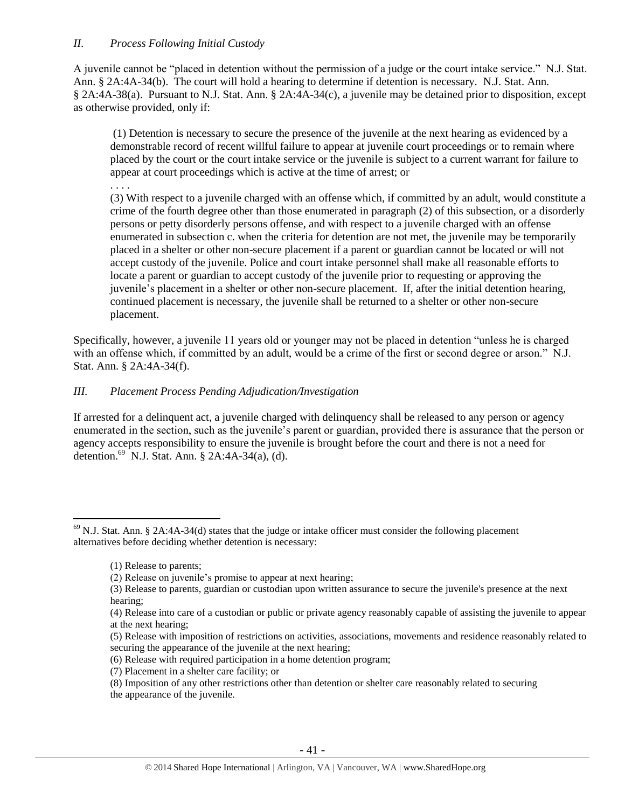A juvenile cannot be "placed in detention without the permission of a judge or the court intake service." N.J. Stat. Ann. § 2A:4A-34(b). The court will hold a hearing to determine if detention is necessary. N.J. Stat. Ann. § 2A:4A-38(a). Pursuant to N.J. Stat. Ann. § 2A:4A-34(c), a juvenile may be detained prior to disposition, except as otherwise provided, only if:

(1) Detention is necessary to secure the presence of the juvenile at the next hearing as evidenced by a demonstrable record of recent willful failure to appear at juvenile court proceedings or to remain where placed by the court or the court intake service or the juvenile is subject to a current warrant for failure to appear at court proceedings which is active at the time of arrest; or

. . . .

(3) With respect to a juvenile charged with an offense which, if committed by an adult, would constitute a crime of the fourth degree other than those enumerated in paragraph (2) of this subsection, or a disorderly persons or petty disorderly persons offense, and with respect to a juvenile charged with an offense enumerated in subsection c. when the criteria for detention are not met, the juvenile may be temporarily placed in a shelter or other non-secure placement if a parent or guardian cannot be located or will not accept custody of the juvenile. Police and court intake personnel shall make all reasonable efforts to locate a parent or guardian to accept custody of the juvenile prior to requesting or approving the juvenile's placement in a shelter or other non-secure placement. If, after the initial detention hearing, continued placement is necessary, the juvenile shall be returned to a shelter or other non-secure placement.

Specifically, however, a juvenile 11 years old or younger may not be placed in detention "unless he is charged with an offense which, if committed by an adult, would be a crime of the first or second degree or arson." N.J. Stat. Ann. § 2A:4A-34(f).

# *III. Placement Process Pending Adjudication/Investigation*

If arrested for a delinquent act, a juvenile charged with delinquency shall be released to any person or agency enumerated in the section, such as the juvenile's parent or guardian, provided there is assurance that the person or agency accepts responsibility to ensure the juvenile is brought before the court and there is not a need for detention.<sup>69</sup> N.J. Stat. Ann. § 2A:4A-34(a), (d).

 $\overline{a}$  $69$  N.J. Stat. Ann. § 2A:4A-34(d) states that the judge or intake officer must consider the following placement alternatives before deciding whether detention is necessary:

<sup>(1)</sup> Release to parents;

<sup>(2)</sup> Release on juvenile's promise to appear at next hearing;

<sup>(3)</sup> Release to parents, guardian or custodian upon written assurance to secure the juvenile's presence at the next hearing;

<sup>(4)</sup> Release into care of a custodian or public or private agency reasonably capable of assisting the juvenile to appear at the next hearing;

<sup>(5)</sup> Release with imposition of restrictions on activities, associations, movements and residence reasonably related to securing the appearance of the juvenile at the next hearing;

<sup>(6)</sup> Release with required participation in a home detention program;

<sup>(7)</sup> Placement in a shelter care facility; or

<sup>(8)</sup> Imposition of any other restrictions other than detention or shelter care reasonably related to securing the appearance of the juvenile.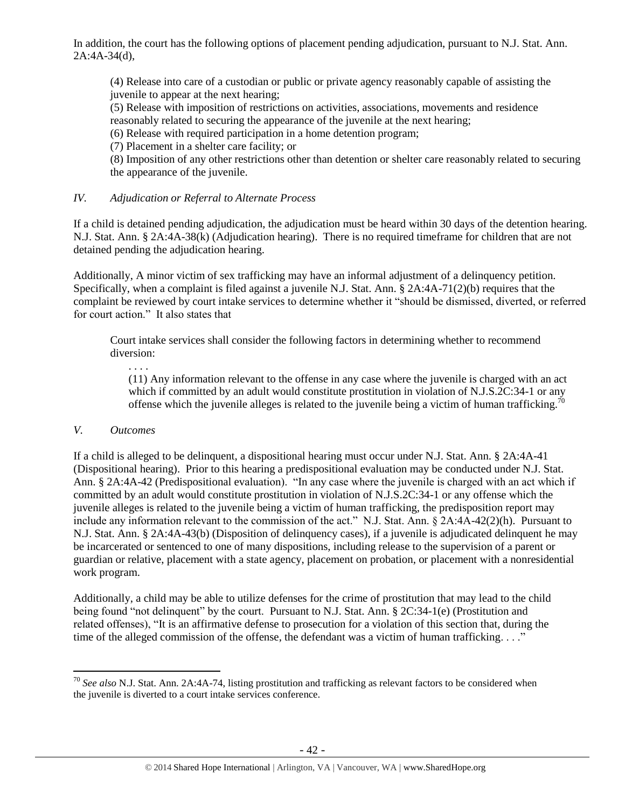In addition, the court has the following options of placement pending adjudication, pursuant to N.J. Stat. Ann. 2A:4A-34(d),

(4) Release into care of a custodian or public or private agency reasonably capable of assisting the juvenile to appear at the next hearing;

(5) Release with imposition of restrictions on activities, associations, movements and residence reasonably related to securing the appearance of the juvenile at the next hearing;

(6) Release with required participation in a home detention program;

(7) Placement in a shelter care facility; or

(8) Imposition of any other restrictions other than detention or shelter care reasonably related to securing the appearance of the juvenile.

# *IV. Adjudication or Referral to Alternate Process*

If a child is detained pending adjudication, the adjudication must be heard within 30 days of the detention hearing. N.J. Stat. Ann. § 2A:4A-38(k) (Adjudication hearing). There is no required timeframe for children that are not detained pending the adjudication hearing.

Additionally, A minor victim of sex trafficking may have an informal adjustment of a delinquency petition. Specifically, when a complaint is filed against a juvenile N.J. Stat. Ann. § 2A:4A-71(2)(b) requires that the complaint be reviewed by court intake services to determine whether it "should be dismissed, diverted, or referred for court action." It also states that

Court intake services shall consider the following factors in determining whether to recommend diversion:

offense which the juvenile alleges is related to the juvenile being a victim of human trafficking.<sup>7</sup>

. . . . (11) Any information relevant to the offense in any case where the juvenile is charged with an act which if committed by an adult would constitute prostitution in violation of N.J.S.2C:34-1 or any

### *V. Outcomes*

 $\overline{a}$ 

If a child is alleged to be delinquent, a dispositional hearing must occur under N.J. Stat. Ann. § 2A:4A-41 (Dispositional hearing). Prior to this hearing a predispositional evaluation may be conducted under N.J. Stat. Ann. § 2A:4A-42 (Predispositional evaluation). "In any case where the juvenile is charged with an act which if committed by an adult would constitute prostitution in violation of N.J.S.2C:34-1 or any offense which the juvenile alleges is related to the juvenile being a victim of human trafficking, the predisposition report may include any information relevant to the commission of the act." N.J. Stat. Ann. § 2A:4A-42(2)(h). Pursuant to N.J. Stat. Ann. § 2A:4A-43(b) (Disposition of delinquency cases), if a juvenile is adjudicated delinquent he may be incarcerated or sentenced to one of many dispositions, including release to the supervision of a parent or guardian or relative, placement with a state agency, placement on probation, or placement with a nonresidential work program.

Additionally, a child may be able to utilize defenses for the crime of prostitution that may lead to the child being found "not delinquent" by the court. Pursuant to N.J. Stat. Ann. § 2C:34-1(e) (Prostitution and related offenses), "It is an affirmative defense to prosecution for a violation of this section that, during the time of the alleged commission of the offense, the defendant was a victim of human trafficking...."

<sup>70</sup> *See also* N.J. Stat. Ann. 2A:4A-74, listing prostitution and trafficking as relevant factors to be considered when the juvenile is diverted to a court intake services conference.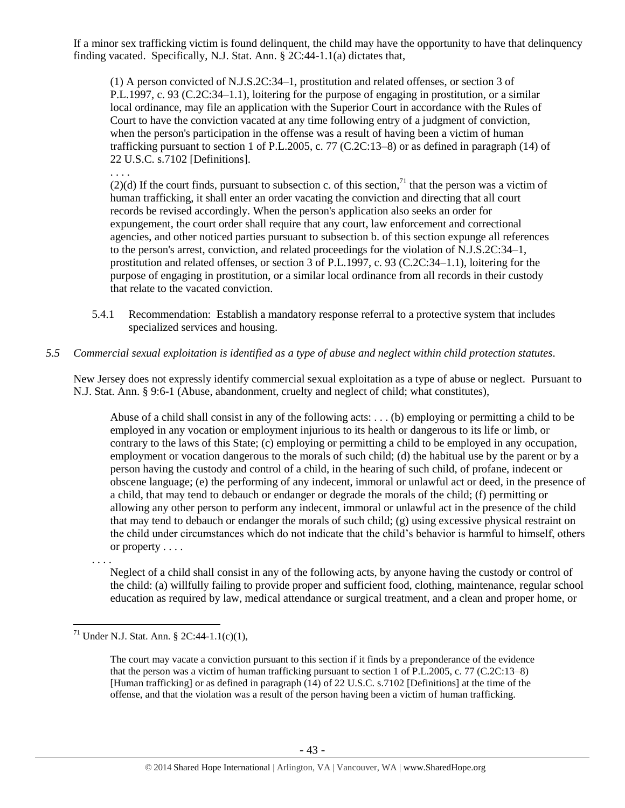If a minor sex trafficking victim is found delinquent, the child may have the opportunity to have that delinquency finding vacated. Specifically, N.J. Stat. Ann. § 2C:44-1.1(a) dictates that,

(1) A person convicted of N.J.S.2C:34–1, prostitution and related offenses, or section 3 of P.L.1997, c. 93 (C.2C:34–1.1), loitering for the purpose of engaging in prostitution, or a similar local ordinance, may file an application with the Superior Court in accordance with the Rules of Court to have the conviction vacated at any time following entry of a judgment of conviction, when the person's participation in the offense was a result of having been a victim of human trafficking pursuant to section 1 of P.L.2005, c. 77 (C.2C:13–8) or as defined in paragraph (14) of 22 U.S.C. s.7102 [Definitions].

. . . .

 $(2)(d)$  If the court finds, pursuant to subsection c. of this section,<sup>71</sup> that the person was a victim of human trafficking, it shall enter an order vacating the conviction and directing that all court records be revised accordingly. When the person's application also seeks an order for expungement, the court order shall require that any court, law enforcement and correctional agencies, and other noticed parties pursuant to subsection b. of this section expunge all references to the person's arrest, conviction, and related proceedings for the violation of N.J.S.2C:34–1, prostitution and related offenses, or section 3 of P.L.1997, c. 93 (C.2C:34–1.1), loitering for the purpose of engaging in prostitution, or a similar local ordinance from all records in their custody that relate to the vacated conviction.

5.4.1 Recommendation: Establish a mandatory response referral to a protective system that includes specialized services and housing.

### *5.5 Commercial sexual exploitation is identified as a type of abuse and neglect within child protection statutes.*

New Jersey does not expressly identify commercial sexual exploitation as a type of abuse or neglect. Pursuant to N.J. Stat. Ann. § 9:6-1 (Abuse, abandonment, cruelty and neglect of child; what constitutes),

Abuse of a child shall consist in any of the following acts: . . . (b) employing or permitting a child to be employed in any vocation or employment injurious to its health or dangerous to its life or limb, or contrary to the laws of this State; (c) employing or permitting a child to be employed in any occupation, employment or vocation dangerous to the morals of such child; (d) the habitual use by the parent or by a person having the custody and control of a child, in the hearing of such child, of profane, indecent or obscene language; (e) the performing of any indecent, immoral or unlawful act or deed, in the presence of a child, that may tend to debauch or endanger or degrade the morals of the child; (f) permitting or allowing any other person to perform any indecent, immoral or unlawful act in the presence of the child that may tend to debauch or endanger the morals of such child; (g) using excessive physical restraint on the child under circumstances which do not indicate that the child's behavior is harmful to himself, others or property . . . .

. . . .

 $\overline{a}$ 

Neglect of a child shall consist in any of the following acts, by anyone having the custody or control of the child: (a) willfully failing to provide proper and sufficient food, clothing, maintenance, regular school education as required by law, medical attendance or surgical treatment, and a clean and proper home, or

<sup>&</sup>lt;sup>71</sup> Under N.J. Stat. Ann. § 2C:44-1.1(c)(1),

The court may vacate a conviction pursuant to this section if it finds by a preponderance of the evidence that the person was a victim of human trafficking pursuant to section 1 of P.L.2005, c. 77 (C.2C:13–8) [Human trafficking] or as defined in paragraph (14) of 22 U.S.C. s.7102 [Definitions] at the time of the offense, and that the violation was a result of the person having been a victim of human trafficking.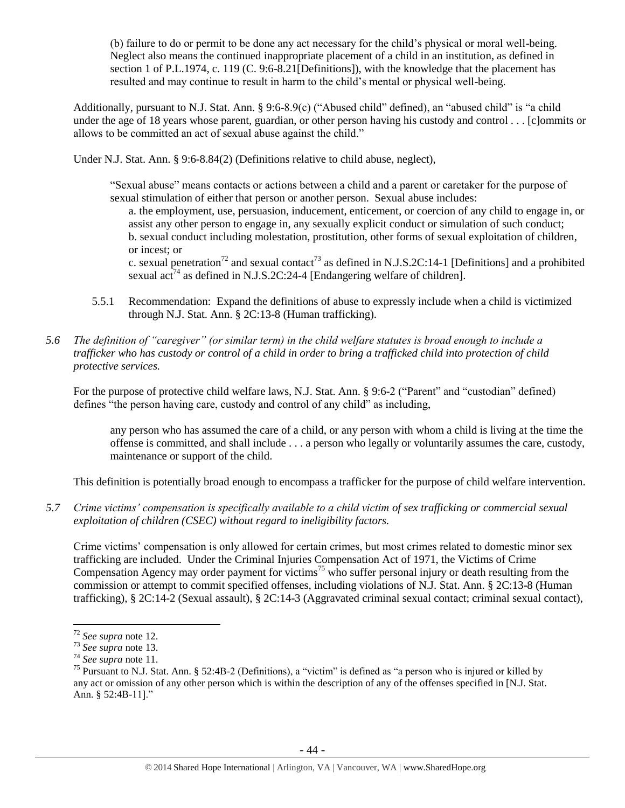(b) failure to do or permit to be done any act necessary for the child's physical or moral well-being. Neglect also means the continued inappropriate placement of a child in an institution, as defined in section 1 of P.L.1974, c. 119 (C. 9:6-8.21[Definitions]), with the knowledge that the placement has resulted and may continue to result in harm to the child's mental or physical well-being.

Additionally, pursuant to N.J. Stat. Ann. § 9:6-8.9(c) ("Abused child" defined), an "abused child" is "a child under the age of 18 years whose parent, guardian, or other person having his custody and control . . . [c]ommits or allows to be committed an act of sexual abuse against the child."

Under N.J. Stat. Ann. § 9:6-8.84(2) (Definitions relative to child abuse, neglect),

"Sexual abuse" means contacts or actions between a child and a parent or caretaker for the purpose of sexual stimulation of either that person or another person. Sexual abuse includes:

a. the employment, use, persuasion, inducement, enticement, or coercion of any child to engage in, or assist any other person to engage in, any sexually explicit conduct or simulation of such conduct; b. sexual conduct including molestation, prostitution, other forms of sexual exploitation of children, or incest; or

c. sexual penetration<sup>72</sup> and sexual contact<sup>73</sup> as defined in N.J.S.2C:14-1 [Definitions] and a prohibited sexual  $\arctan{74}$  as defined in N.J.S.2C:24-4 [Endangering welfare of children].

5.5.1 Recommendation: Expand the definitions of abuse to expressly include when a child is victimized through N.J. Stat. Ann. § 2C:13-8 (Human trafficking).

*5.6 The definition of "caregiver" (or similar term) in the child welfare statutes is broad enough to include a trafficker who has custody or control of a child in order to bring a trafficked child into protection of child protective services.*

For the purpose of protective child welfare laws, N.J. Stat. Ann. § 9:6-2 ("Parent" and "custodian" defined) defines "the person having care, custody and control of any child" as including,

any person who has assumed the care of a child, or any person with whom a child is living at the time the offense is committed, and shall include . . . a person who legally or voluntarily assumes the care, custody, maintenance or support of the child.

This definition is potentially broad enough to encompass a trafficker for the purpose of child welfare intervention.

*5.7 Crime victims' compensation is specifically available to a child victim of sex trafficking or commercial sexual exploitation of children (CSEC) without regard to ineligibility factors.*

Crime victims' compensation is only allowed for certain crimes, but most crimes related to domestic minor sex trafficking are included. Under the Criminal Injuries Compensation Act of 1971, the Victims of Crime Compensation Agency may order payment for victims<sup>75</sup> who suffer personal injury or death resulting from the commission or attempt to commit specified offenses, including violations of N.J. Stat. Ann. § 2C:13-8 (Human trafficking), § 2C:14-2 (Sexual assault), § 2C:14-3 (Aggravated criminal sexual contact; criminal sexual contact),

<sup>72</sup> *See supra* note [12.](#page-5-0)

<sup>73</sup> *See supra* note [13.](#page-5-1)

<sup>74</sup> *See supra* note [11.](#page-4-1)

<sup>&</sup>lt;sup>75</sup> Pursuant to N.J. Stat. Ann. § 52:4B-2 (Definitions), a "victim" is defined as "a person who is injured or killed by any act or omission of any other person which is within the description of any of the offenses specified in [N.J. Stat. Ann. § 52:4B-11]."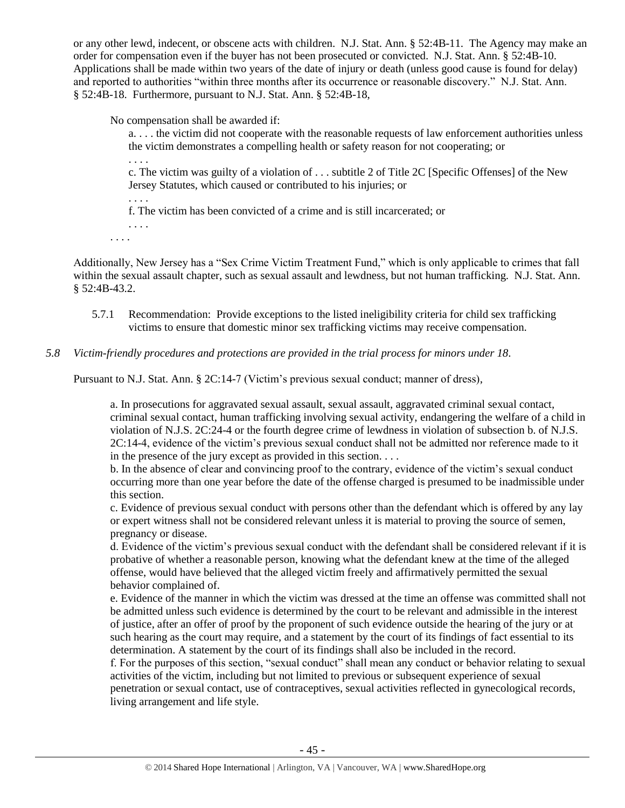or any other lewd, indecent, or obscene acts with children. N.J. Stat. Ann. § 52:4B-11. The Agency may make an order for compensation even if the buyer has not been prosecuted or convicted. N.J. Stat. Ann. § 52:4B-10. Applications shall be made within two years of the date of injury or death (unless good cause is found for delay) and reported to authorities "within three months after its occurrence or reasonable discovery." N.J. Stat. Ann. § 52:4B-18. Furthermore, pursuant to N.J. Stat. Ann. § 52:4B-18,

No compensation shall be awarded if:

a. . . . the victim did not cooperate with the reasonable requests of law enforcement authorities unless the victim demonstrates a compelling health or safety reason for not cooperating; or

. . . .

. . . .

. . . .

c. The victim was guilty of a violation of . . . subtitle 2 of Title 2C [Specific Offenses] of the New Jersey Statutes, which caused or contributed to his injuries; or

f. The victim has been convicted of a crime and is still incarcerated; or

. . . .

Additionally, New Jersey has a "Sex Crime Victim Treatment Fund," which is only applicable to crimes that fall within the sexual assault chapter, such as sexual assault and lewdness, but not human trafficking. N.J. Stat. Ann. § 52:4B-43.2.

5.7.1 Recommendation: Provide exceptions to the listed ineligibility criteria for child sex trafficking victims to ensure that domestic minor sex trafficking victims may receive compensation.

# *5.8 Victim-friendly procedures and protections are provided in the trial process for minors under 18.*

Pursuant to N.J. Stat. Ann. § 2C:14-7 (Victim's previous sexual conduct; manner of dress),

a. In prosecutions for aggravated sexual assault, sexual assault, aggravated criminal sexual contact, criminal sexual contact, human trafficking involving sexual activity, endangering the welfare of a child in violation of N.J.S. 2C:24-4 or the fourth degree crime of lewdness in violation of subsection b. of N.J.S. 2C:14-4, evidence of the victim's previous sexual conduct shall not be admitted nor reference made to it in the presence of the jury except as provided in this section. . . .

b. In the absence of clear and convincing proof to the contrary, evidence of the victim's sexual conduct occurring more than one year before the date of the offense charged is presumed to be inadmissible under this section.

c. Evidence of previous sexual conduct with persons other than the defendant which is offered by any lay or expert witness shall not be considered relevant unless it is material to proving the source of semen, pregnancy or disease.

d. Evidence of the victim's previous sexual conduct with the defendant shall be considered relevant if it is probative of whether a reasonable person, knowing what the defendant knew at the time of the alleged offense, would have believed that the alleged victim freely and affirmatively permitted the sexual behavior complained of.

e. Evidence of the manner in which the victim was dressed at the time an offense was committed shall not be admitted unless such evidence is determined by the court to be relevant and admissible in the interest of justice, after an offer of proof by the proponent of such evidence outside the hearing of the jury or at such hearing as the court may require, and a statement by the court of its findings of fact essential to its determination. A statement by the court of its findings shall also be included in the record.

f. For the purposes of this section, "sexual conduct" shall mean any conduct or behavior relating to sexual activities of the victim, including but not limited to previous or subsequent experience of sexual penetration or sexual contact, use of contraceptives, sexual activities reflected in gynecological records, living arrangement and life style.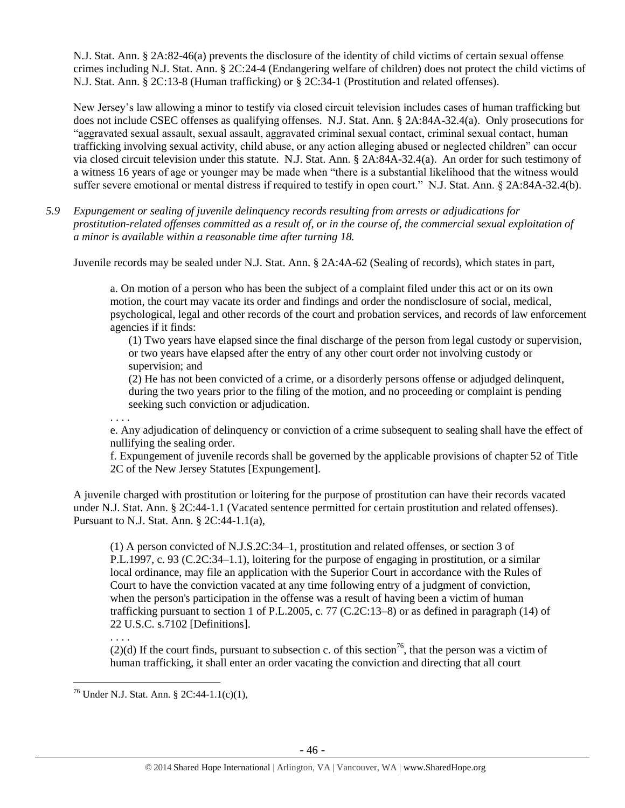N.J. Stat. Ann. § 2A:82-46(a) prevents the disclosure of the identity of child victims of certain sexual offense crimes including N.J. Stat. Ann. § 2C:24-4 (Endangering welfare of children) does not protect the child victims of N.J. Stat. Ann. § 2C:13-8 (Human trafficking) or § 2C:34-1 (Prostitution and related offenses).

New Jersey's law allowing a minor to testify via closed circuit television includes cases of human trafficking but does not include CSEC offenses as qualifying offenses. N.J. Stat. Ann. § 2A:84A-32.4(a). Only prosecutions for "aggravated sexual assault, sexual assault, aggravated criminal sexual contact, criminal sexual contact, human trafficking involving sexual activity, child abuse, or any action alleging abused or neglected children" can occur via closed circuit television under this statute. N.J. Stat. Ann. § 2A:84A-32.4(a). An order for such testimony of a witness 16 years of age or younger may be made when "there is a substantial likelihood that the witness would suffer severe emotional or mental distress if required to testify in open court." N.J. Stat. Ann. § 2A:84A-32.4(b).

*5.9 Expungement or sealing of juvenile delinquency records resulting from arrests or adjudications for prostitution-related offenses committed as a result of, or in the course of, the commercial sexual exploitation of a minor is available within a reasonable time after turning 18.*

Juvenile records may be sealed under N.J. Stat. Ann. § 2A:4A-62 (Sealing of records), which states in part,

a. On motion of a person who has been the subject of a complaint filed under this act or on its own motion, the court may vacate its order and findings and order the nondisclosure of social, medical, psychological, legal and other records of the court and probation services, and records of law enforcement agencies if it finds:

(1) Two years have elapsed since the final discharge of the person from legal custody or supervision, or two years have elapsed after the entry of any other court order not involving custody or supervision; and

(2) He has not been convicted of a crime, or a disorderly persons offense or adjudged delinquent, during the two years prior to the filing of the motion, and no proceeding or complaint is pending seeking such conviction or adjudication.

. . . . e. Any adjudication of delinquency or conviction of a crime subsequent to sealing shall have the effect of nullifying the sealing order.

f. Expungement of juvenile records shall be governed by the applicable provisions of chapter 52 of Title 2C of the New Jersey Statutes [Expungement].

A juvenile charged with prostitution or loitering for the purpose of prostitution can have their records vacated under N.J. Stat. Ann. § 2C:44-1.1 (Vacated sentence permitted for certain prostitution and related offenses). Pursuant to N.J. Stat. Ann. § 2C:44-1.1(a),

(1) A person convicted of N.J.S.2C:34–1, prostitution and related offenses, or section 3 of P.L.1997, c. 93 (C.2C:34–1.1), loitering for the purpose of engaging in prostitution, or a similar local ordinance, may file an application with the Superior Court in accordance with the Rules of Court to have the conviction vacated at any time following entry of a judgment of conviction, when the person's participation in the offense was a result of having been a victim of human trafficking pursuant to section 1 of P.L.2005, c. 77 (C.2C:13–8) or as defined in paragraph (14) of 22 U.S.C. s.7102 [Definitions].

. . . .

(2)(d) If the court finds, pursuant to subsection c. of this section<sup>76</sup>, that the person was a victim of human trafficking, it shall enter an order vacating the conviction and directing that all court

 $\overline{a}$ <sup>76</sup> Under N.J. Stat. Ann. § 2C:44-1.1(c)(1),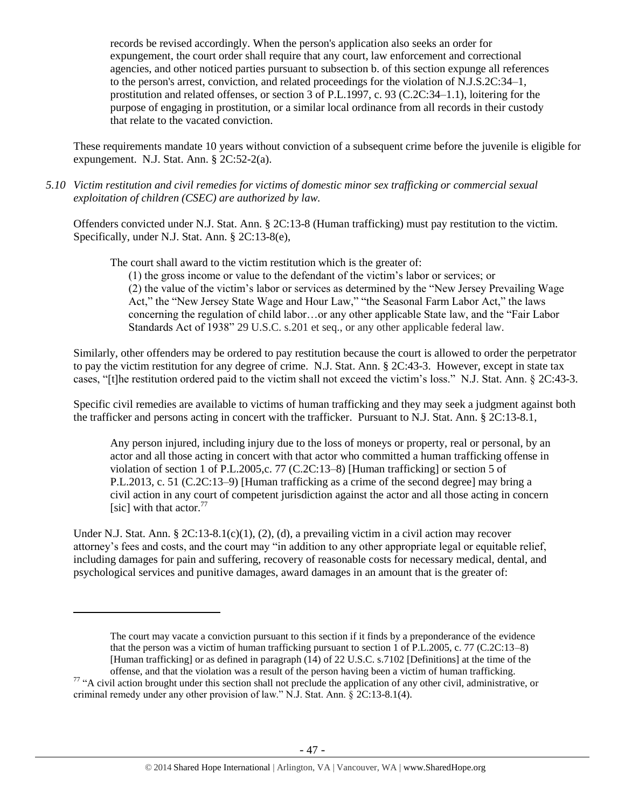records be revised accordingly. When the person's application also seeks an order for expungement, the court order shall require that any court, law enforcement and correctional agencies, and other noticed parties pursuant to subsection b. of this section expunge all references to the person's arrest, conviction, and related proceedings for the violation of N.J.S.2C:34–1, prostitution and related offenses, or section 3 of P.L.1997, c. 93 (C.2C:34–1.1), loitering for the purpose of engaging in prostitution, or a similar local ordinance from all records in their custody that relate to the vacated conviction.

These requirements mandate 10 years without conviction of a subsequent crime before the juvenile is eligible for expungement. N.J. Stat. Ann. § 2C:52-2(a).

*5.10 Victim restitution and civil remedies for victims of domestic minor sex trafficking or commercial sexual exploitation of children (CSEC) are authorized by law.* 

Offenders convicted under N.J. Stat. Ann. § 2C:13-8 (Human trafficking) must pay restitution to the victim. Specifically, under N.J. Stat. Ann. § 2C:13-8(e),

The court shall award to the victim restitution which is the greater of:

(1) the gross income or value to the defendant of the victim's labor or services; or (2) the value of the victim's labor or services as determined by the "New Jersey Prevailing Wage Act," the "New Jersey State Wage and Hour Law," "the Seasonal Farm Labor Act," the laws concerning the regulation of child labor…or any other applicable State law, and the "Fair Labor Standards Act of 1938" 29 U.S.C. s.201 et seq., or any other applicable federal law.

Similarly, other offenders may be ordered to pay restitution because the court is allowed to order the perpetrator to pay the victim restitution for any degree of crime. N.J. Stat. Ann. § 2C:43-3. However, except in state tax cases, "[t]he restitution ordered paid to the victim shall not exceed the victim's loss." N.J. Stat. Ann. § 2C:43-3.

Specific civil remedies are available to victims of human trafficking and they may seek a judgment against both the trafficker and persons acting in concert with the trafficker. Pursuant to N.J. Stat. Ann. § 2C:13-8.1,

Any person injured, including injury due to the loss of moneys or property, real or personal, by an actor and all those acting in concert with that actor who committed a human trafficking offense in violation of section 1 of P.L.2005,c. 77 (C.2C:13–8) [Human trafficking] or section 5 of P.L.2013, c. 51 (C.2C:13–9) [Human trafficking as a crime of the second degree] may bring a civil action in any court of competent jurisdiction against the actor and all those acting in concern [sic] with that actor. $77$ 

Under N.J. Stat. Ann. § 2C:13-8.1(c)(1), (2), (d), a prevailing victim in a civil action may recover attorney's fees and costs, and the court may "in addition to any other appropriate legal or equitable relief, including damages for pain and suffering, recovery of reasonable costs for necessary medical, dental, and psychological services and punitive damages, award damages in an amount that is the greater of:

The court may vacate a conviction pursuant to this section if it finds by a preponderance of the evidence that the person was a victim of human trafficking pursuant to section 1 of P.L.2005, c. 77 (C.2C:13–8) [Human trafficking] or as defined in paragraph (14) of 22 U.S.C. s.7102 [Definitions] at the time of the

offense, and that the violation was a result of the person having been a victim of human trafficking. <sup>77</sup> "A civil action brought under this section shall not preclude the application of any other civil, administrative, or criminal remedy under any other provision of law." N.J. Stat. Ann. § 2C:13-8.1(4).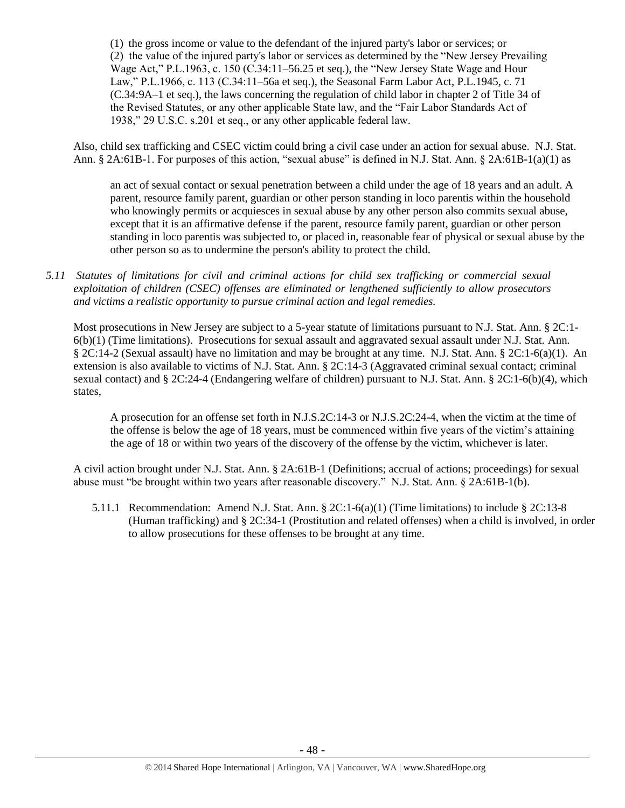(1) the gross income or value to the defendant of the injured party's labor or services; or (2) the value of the injured party's labor or services as determined by the "New Jersey Prevailing Wage Act," P.L.1963, c. 150 (C.34:11–56.25 et seq.), the "New Jersey State Wage and Hour Law," P.L.1966, c. 113 (C.34:11–56a et seq.), the Seasonal Farm Labor Act, P.L.1945, c. 71 (C.34:9A–1 et seq.), the laws concerning the regulation of child labor in chapter 2 of Title 34 of the Revised Statutes, or any other applicable State law, and the "Fair Labor Standards Act of 1938," 29 U.S.C. s.201 et seq., or any other applicable federal law.

Also, child sex trafficking and CSEC victim could bring a civil case under an action for sexual abuse. N.J. Stat. Ann. § 2A:61B-1. For purposes of this action, "sexual abuse" is defined in N.J. Stat. Ann. § 2A:61B-1(a)(1) as

an act of sexual contact or sexual penetration between a child under the age of 18 years and an adult. A parent, resource family parent, guardian or other person standing in loco parentis within the household who knowingly permits or acquiesces in sexual abuse by any other person also commits sexual abuse, except that it is an affirmative defense if the parent, resource family parent, guardian or other person standing in loco parentis was subjected to, or placed in, reasonable fear of physical or sexual abuse by the other person so as to undermine the person's ability to protect the child.

*5.11 Statutes of limitations for civil and criminal actions for child sex trafficking or commercial sexual exploitation of children (CSEC) offenses are eliminated or lengthened sufficiently to allow prosecutors and victims a realistic opportunity to pursue criminal action and legal remedies.*

Most prosecutions in New Jersey are subject to a 5-year statute of limitations pursuant to N.J. Stat. Ann. § 2C:1- 6(b)(1) (Time limitations). Prosecutions for sexual assault and aggravated sexual assault under N.J. Stat. Ann. § 2C:14-2 (Sexual assault) have no limitation and may be brought at any time. N.J. Stat. Ann. § 2C:1-6(a)(1). An extension is also available to victims of N.J. Stat. Ann. § 2C:14-3 (Aggravated criminal sexual contact; criminal sexual contact) and § 2C:24-4 (Endangering welfare of children) pursuant to N.J. Stat. Ann. § 2C:1-6(b)(4), which states,

A prosecution for an offense set forth in N.J.S.2C:14-3 or N.J.S.2C:24-4, when the victim at the time of the offense is below the age of 18 years, must be commenced within five years of the victim's attaining the age of 18 or within two years of the discovery of the offense by the victim, whichever is later.

A civil action brought under N.J. Stat. Ann. § 2A:61B-1 (Definitions; accrual of actions; proceedings) for sexual abuse must "be brought within two years after reasonable discovery." N.J. Stat. Ann. § 2A:61B-1(b).

5.11.1 Recommendation: Amend N.J. Stat. Ann. § 2C:1-6(a)(1) (Time limitations) to include § 2C:13-8 (Human trafficking) and § 2C:34-1 (Prostitution and related offenses) when a child is involved, in order to allow prosecutions for these offenses to be brought at any time.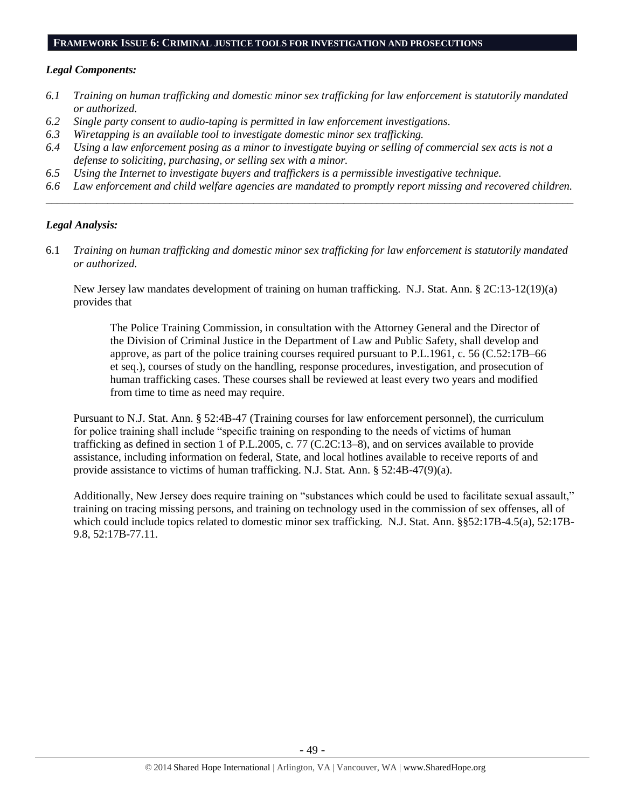#### **FRAMEWORK ISSUE 6: CRIMINAL JUSTICE TOOLS FOR INVESTIGATION AND PROSECUTIONS**

### *Legal Components:*

- *6.1 Training on human trafficking and domestic minor sex trafficking for law enforcement is statutorily mandated or authorized.*
- *6.2 Single party consent to audio-taping is permitted in law enforcement investigations.*
- *6.3 Wiretapping is an available tool to investigate domestic minor sex trafficking.*
- *6.4 Using a law enforcement posing as a minor to investigate buying or selling of commercial sex acts is not a defense to soliciting, purchasing, or selling sex with a minor.*
- *6.5 Using the Internet to investigate buyers and traffickers is a permissible investigative technique.*
- *6.6 Law enforcement and child welfare agencies are mandated to promptly report missing and recovered children. \_\_\_\_\_\_\_\_\_\_\_\_\_\_\_\_\_\_\_\_\_\_\_\_\_\_\_\_\_\_\_\_\_\_\_\_\_\_\_\_\_\_\_\_\_\_\_\_\_\_\_\_\_\_\_\_\_\_\_\_\_\_\_\_\_\_\_\_\_\_\_\_\_\_\_\_\_\_\_\_\_\_\_\_\_\_\_\_\_\_\_\_\_\_*

### *Legal Analysis:*

6.1 *Training on human trafficking and domestic minor sex trafficking for law enforcement is statutorily mandated or authorized.*

New Jersey law mandates development of training on human trafficking. N.J. Stat. Ann. § 2C:13-12(19)(a) provides that

The Police Training Commission, in consultation with the Attorney General and the Director of the Division of Criminal Justice in the Department of Law and Public Safety, shall develop and approve, as part of the police training courses required pursuant to P.L.1961, c. 56 (C.52:17B–66 et seq.), courses of study on the handling, response procedures, investigation, and prosecution of human trafficking cases. These courses shall be reviewed at least every two years and modified from time to time as need may require.

Pursuant to N.J. Stat. Ann. § 52:4B-47 (Training courses for law enforcement personnel), the curriculum for police training shall include "specific training on responding to the needs of victims of human trafficking as defined in section 1 of P.L.2005, c. 77 (C.2C:13–8), and on services available to provide assistance, including information on federal, State, and local hotlines available to receive reports of and provide assistance to victims of human trafficking. N.J. Stat. Ann. § 52:4B-47(9)(a).

Additionally, New Jersey does require training on "substances which could be used to facilitate sexual assault," training on tracing missing persons, and training on technology used in the commission of sex offenses, all of which could include topics related to domestic minor sex trafficking. N.J. Stat. Ann. §§52:17B-4.5(a), 52:17B-9.8, 52:17B-77.11.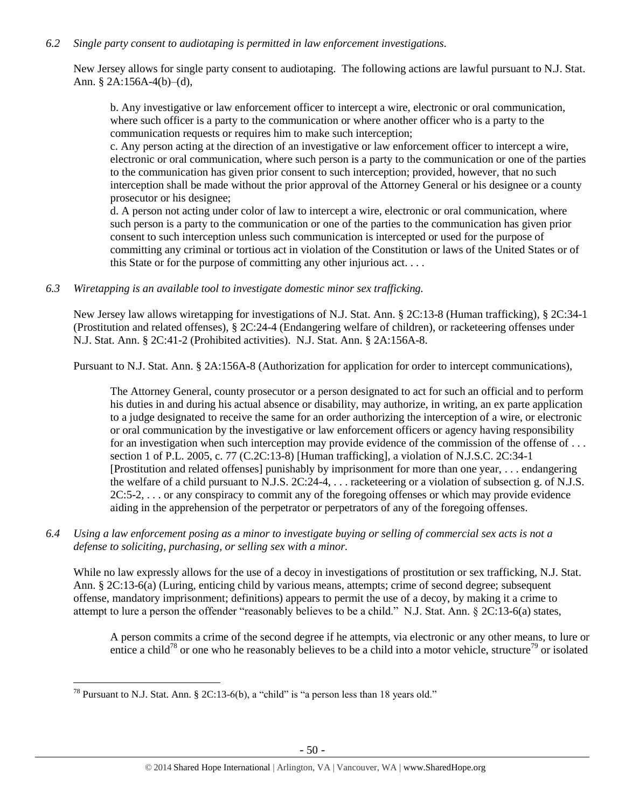# *6.2 Single party consent to audiotaping is permitted in law enforcement investigations.*

New Jersey allows for single party consent to audiotaping. The following actions are lawful pursuant to N.J. Stat. Ann. § 2A:156A-4(b)–(d),

b. Any investigative or law enforcement officer to intercept a wire, electronic or oral communication, where such officer is a party to the communication or where another officer who is a party to the communication requests or requires him to make such interception;

c. Any person acting at the direction of an investigative or law enforcement officer to intercept a wire, electronic or oral communication, where such person is a party to the communication or one of the parties to the communication has given prior consent to such interception; provided, however, that no such interception shall be made without the prior approval of the Attorney General or his designee or a county prosecutor or his designee;

d. A person not acting under color of law to intercept a wire, electronic or oral communication, where such person is a party to the communication or one of the parties to the communication has given prior consent to such interception unless such communication is intercepted or used for the purpose of committing any criminal or tortious act in violation of the Constitution or laws of the United States or of this State or for the purpose of committing any other injurious act. . . .

### *6.3 Wiretapping is an available tool to investigate domestic minor sex trafficking.*

New Jersey law allows wiretapping for investigations of N.J. Stat. Ann. § 2C:13-8 (Human trafficking), § 2C:34-1 (Prostitution and related offenses), § 2C:24-4 (Endangering welfare of children), or racketeering offenses under N.J. Stat. Ann. § 2C:41-2 (Prohibited activities). N.J. Stat. Ann. § 2A:156A-8.

Pursuant to N.J. Stat. Ann. § 2A:156A-8 (Authorization for application for order to intercept communications),

The Attorney General, county prosecutor or a person designated to act for such an official and to perform his duties in and during his actual absence or disability, may authorize, in writing, an ex parte application to a judge designated to receive the same for an order authorizing the interception of a wire, or electronic or oral communication by the investigative or law enforcement officers or agency having responsibility for an investigation when such interception may provide evidence of the commission of the offense of . . . section 1 of P.L. 2005, c. 77 (C.2C:13-8) [Human trafficking], a violation of N.J.S.C. 2C:34-1 [Prostitution and related offenses] punishably by imprisonment for more than one year, . . . endangering the welfare of a child pursuant to N.J.S. 2C:24-4, . . . racketeering or a violation of subsection g. of N.J.S. 2C:5-2, . . . or any conspiracy to commit any of the foregoing offenses or which may provide evidence aiding in the apprehension of the perpetrator or perpetrators of any of the foregoing offenses.

*6.4 Using a law enforcement posing as a minor to investigate buying or selling of commercial sex acts is not a defense to soliciting, purchasing, or selling sex with a minor.*

While no law expressly allows for the use of a decoy in investigations of prostitution or sex trafficking, N.J. Stat. Ann. § 2C:13-6(a) (Luring, enticing child by various means, attempts; crime of second degree; subsequent offense, mandatory imprisonment; definitions) appears to permit the use of a decoy, by making it a crime to attempt to lure a person the offender "reasonably believes to be a child." N.J. Stat. Ann. § 2C:13-6(a) states,

A person commits a crime of the second degree if he attempts, via electronic or any other means, to lure or entice a child<sup>78</sup> or one who he reasonably believes to be a child into a motor vehicle, structure<sup>79</sup> or isolated

 $\overline{a}$ <sup>78</sup> Pursuant to N.J. Stat. Ann. § 2C:13-6(b), a "child" is "a person less than 18 years old."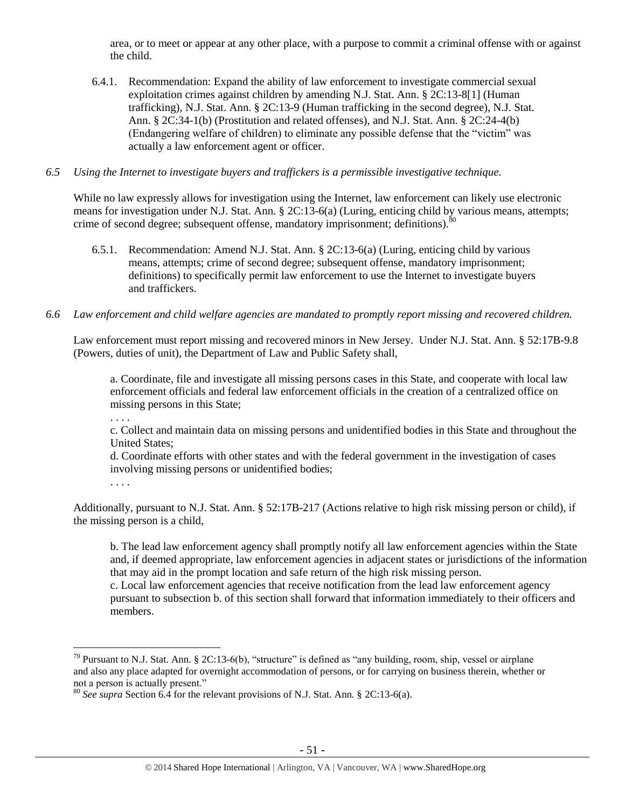area, or to meet or appear at any other place, with a purpose to commit a criminal offense with or against the child.

6.4.1. Recommendation: Expand the ability of law enforcement to investigate commercial sexual exploitation crimes against children by amending N.J. Stat. Ann. § 2C:13-8[1] (Human trafficking), N.J. Stat. Ann. § 2C:13-9 (Human trafficking in the second degree), N.J. Stat. Ann. § 2C:34-1(b) (Prostitution and related offenses), and N.J. Stat. Ann. § 2C:24-4(b) (Endangering welfare of children) to eliminate any possible defense that the "victim" was actually a law enforcement agent or officer.

### *6.5 Using the Internet to investigate buyers and traffickers is a permissible investigative technique.*

While no law expressly allows for investigation using the Internet, law enforcement can likely use electronic means for investigation under N.J. Stat. Ann. § 2C:13-6(a) (Luring, enticing child by various means, attempts; crime of second degree; subsequent offense, mandatory imprisonment; definitions).<sup>80</sup>

6.5.1. Recommendation: Amend N.J. Stat. Ann. § 2C:13-6(a) (Luring, enticing child by various means, attempts; crime of second degree; subsequent offense, mandatory imprisonment; definitions) to specifically permit law enforcement to use the Internet to investigate buyers and traffickers.

### *6.6 Law enforcement and child welfare agencies are mandated to promptly report missing and recovered children.*

Law enforcement must report missing and recovered minors in New Jersey. Under N.J. Stat. Ann. § 52:17B-9.8 (Powers, duties of unit), the Department of Law and Public Safety shall,

a. Coordinate, file and investigate all missing persons cases in this State, and cooperate with local law enforcement officials and federal law enforcement officials in the creation of a centralized office on missing persons in this State;

c. Collect and maintain data on missing persons and unidentified bodies in this State and throughout the United States;

d. Coordinate efforts with other states and with the federal government in the investigation of cases involving missing persons or unidentified bodies;

. . . .

. . . .

Additionally, pursuant to N.J. Stat. Ann. § 52:17B-217 (Actions relative to high risk missing person or child), if the missing person is a child,

b. The lead law enforcement agency shall promptly notify all law enforcement agencies within the State and, if deemed appropriate, law enforcement agencies in adjacent states or jurisdictions of the information that may aid in the prompt location and safe return of the high risk missing person.

c. Local law enforcement agencies that receive notification from the lead law enforcement agency pursuant to subsection b. of this section shall forward that information immediately to their officers and members.

 $\overline{a}$  $^{79}$  Pursuant to N.J. Stat. Ann. § 2C:13-6(b), "structure" is defined as "any building, room, ship, vessel or airplane and also any place adapted for overnight accommodation of persons, or for carrying on business therein, whether or not a person is actually present."

<sup>80</sup> *See supra* Section 6.4 for the relevant provisions of N.J. Stat. Ann. § 2C:13-6(a).